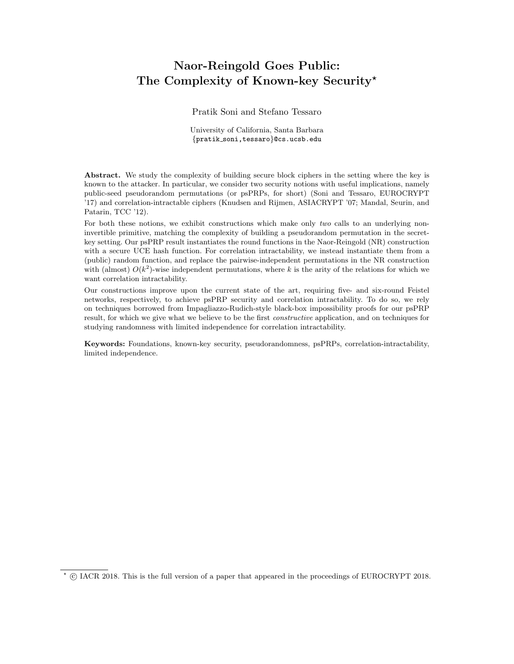# Naor-Reingold Goes Public: The Complexity of Known-key Security\*

Pratik Soni and Stefano Tessaro

University of California, Santa Barbara {pratik soni,tessaro}@cs.ucsb.edu

Abstract. We study the complexity of building secure block ciphers in the setting where the key is known to the attacker. In particular, we consider two security notions with useful implications, namely public-seed pseudorandom permutations (or psPRPs, for short) (Soni and Tessaro, EUROCRYPT '17) and correlation-intractable ciphers (Knudsen and Rijmen, ASIACRYPT '07; Mandal, Seurin, and Patarin, TCC '12).

For both these notions, we exhibit constructions which make only two calls to an underlying noninvertible primitive, matching the complexity of building a pseudorandom permutation in the secretkey setting. Our psPRP result instantiates the round functions in the Naor-Reingold (NR) construction with a secure UCE hash function. For correlation intractability, we instead instantiate them from a (public) random function, and replace the pairwise-independent permutations in the NR construction with (almost)  $O(k^2)$ -wise independent permutations, where k is the arity of the relations for which we want correlation intractability.

Our constructions improve upon the current state of the art, requiring five- and six-round Feistel networks, respectively, to achieve psPRP security and correlation intractability. To do so, we rely on techniques borrowed from Impagliazzo-Rudich-style black-box impossibility proofs for our psPRP result, for which we give what we believe to be the first constructive application, and on techniques for studying randomness with limited independence for correlation intractability.

Keywords: Foundations, known-key security, pseudorandomness, psPRPs, correlation-intractability, limited independence.

 $\star$  (c) IACR 2018. This is the full version of a paper that appeared in the proceedings of EUROCRYPT 2018.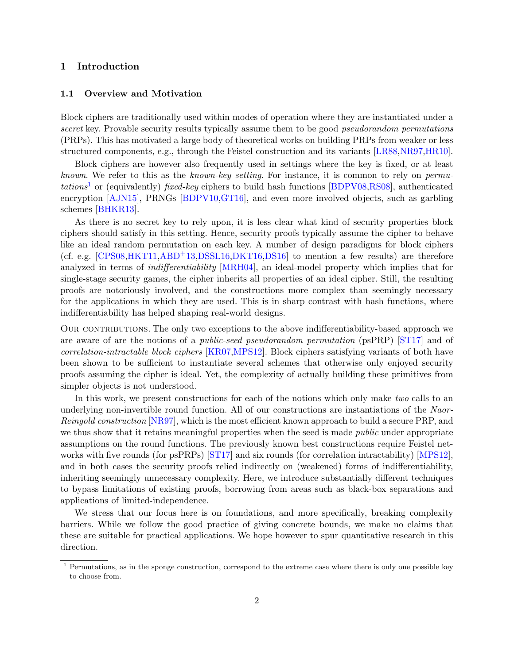# 1 Introduction

#### 1.1 Overview and Motivation

Block ciphers are traditionally used within modes of operation where they are instantiated under a secret key. Provable security results typically assume them to be good *pseudorandom permutations* (PRPs). This has motivated a large body of theoretical works on building PRPs from weaker or less structured components, e.g., through the Feistel construction and its variants [\[LR88,](#page-26-0)[NR97,](#page-26-1)[HR10\]](#page-26-2).

Block ciphers are however also frequently used in settings where the key is fixed, or at least known. We refer to this as the known-key setting. For instance, it is common to rely on permu*tations*<sup>[1](#page-1-0)</sup> or (equivalently) *fixed-key* ciphers to build hash functions [\[BDPV08,](#page-25-0)[RS08\]](#page-26-3), authenticated encryption [\[AJN15\]](#page-24-0), PRNGs [\[BDPV10,](#page-25-1)[GT16\]](#page-26-4), and even more involved objects, such as garbling schemes [\[BHKR13\]](#page-25-2).

As there is no secret key to rely upon, it is less clear what kind of security properties block ciphers should satisfy in this setting. Hence, security proofs typically assume the cipher to behave like an ideal random permutation on each key. A number of design paradigms for block ciphers (cf. e.g.  $[CPS08, HKT11, ABD+13, DSSL16, DKT16, DS16]$  $[CPS08, HKT11, ABD+13, DSSL16, DKT16, DS16]$  $[CPS08, HKT11, ABD+13, DSSL16, DKT16, DS16]$  $[CPS08, HKT11, ABD+13, DSSL16, DKT16, DS16]$  $[CPS08, HKT11, ABD+13, DSSL16, DKT16, DS16]$  $[CPS08, HKT11, ABD+13, DSSL16, DKT16, DS16]$  $[CPS08, HKT11, ABD+13, DSSL16, DKT16, DS16]$  to mention a few results) are therefore analyzed in terms of *indifferentiability* [\[MRH04\]](#page-26-6), an ideal-model property which implies that for single-stage security games, the cipher inherits all properties of an ideal cipher. Still, the resulting proofs are notoriously involved, and the constructions more complex than seemingly necessary for the applications in which they are used. This is in sharp contrast with hash functions, where indifferentiability has helped shaping real-world designs.

OUR CONTRIBUTIONS. The only two exceptions to the above indifferentiability-based approach we are aware of are the notions of a public-seed pseudorandom permutation (psPRP) [\[ST17\]](#page-26-7) and of correlation-intractable block ciphers [\[KR07](#page-26-8)[,MPS12\]](#page-26-9). Block ciphers satisfying variants of both have been shown to be sufficient to instantiate several schemes that otherwise only enjoyed security proofs assuming the cipher is ideal. Yet, the complexity of actually building these primitives from simpler objects is not understood.

In this work, we present constructions for each of the notions which only make two calls to an underlying non-invertible round function. All of our constructions are instantiations of the Naor-Reingold construction [\[NR97\]](#page-26-1), which is the most efficient known approach to build a secure PRP, and we thus show that it retains meaningful properties when the seed is made *public* under appropriate assumptions on the round functions. The previously known best constructions require Feistel networks with five rounds (for psPRPs) [\[ST17\]](#page-26-7) and six rounds (for correlation intractability) [\[MPS12\]](#page-26-9), and in both cases the security proofs relied indirectly on (weakened) forms of indifferentiability, inheriting seemingly unnecessary complexity. Here, we introduce substantially different techniques to bypass limitations of existing proofs, borrowing from areas such as black-box separations and applications of limited-independence.

We stress that our focus here is on foundations, and more specifically, breaking complexity barriers. While we follow the good practice of giving concrete bounds, we make no claims that these are suitable for practical applications. We hope however to spur quantitative research in this direction.

<span id="page-1-0"></span><sup>1</sup> Permutations, as in the sponge construction, correspond to the extreme case where there is only one possible key to choose from.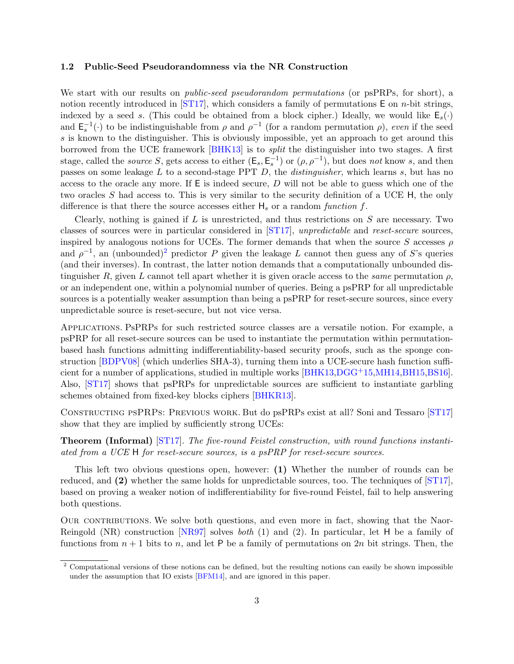#### 1.2 Public-Seed Pseudorandomness via the NR Construction

We start with our results on *public-seed pseudorandom permutations* (or psPRPs, for short), a notion recently introduced in  $ST17$ , which considers a family of permutations  $E$  on *n*-bit strings, indexed by a seed s. (This could be obtained from a block cipher.) Ideally, we would like  $E_s(\cdot)$ and  $\mathsf{E}_s^{-1}(\cdot)$  to be indistinguishable from  $\rho$  and  $\rho^{-1}$  (for a random permutation  $\rho$ ), even if the seed s is known to the distinguisher. This is obviously impossible, yet an approach to get around this borrowed from the UCE framework [\[BHK13\]](#page-25-7) is to split the distinguisher into two stages. A first stage, called the *source* S, gets access to either  $(E_s, E_s^{-1})$  or  $(\rho, \rho^{-1})$ , but does *not* know s, and then passes on some leakage  $L$  to a second-stage PPT  $D$ , the *distinguisher*, which learns  $s$ , but has no access to the oracle any more. If  $E$  is indeed secure,  $D$  will not be able to guess which one of the two oracles S had access to. This is very similar to the security definition of a UCE H, the only difference is that there the source accesses either  $H_s$  or a random function f.

Clearly, nothing is gained if  $L$  is unrestricted, and thus restrictions on  $S$  are necessary. Two classes of sources were in particular considered in [\[ST17\]](#page-26-7), unpredictable and reset-secure sources, inspired by analogous notions for UCEs. The former demands that when the source S accesses  $\rho$ and  $\rho^{-1}$ , an (unbounded)<sup>[2](#page-2-0)</sup> predictor P given the leakage L cannot then guess any of S's queries (and their inverses). In contrast, the latter notion demands that a computationally unbounded distinguisher R, given L cannot tell apart whether it is given oracle access to the *same* permutation  $\rho$ , or an independent one, within a polynomial number of queries. Being a psPRP for all unpredictable sources is a potentially weaker assumption than being a psPRP for reset-secure sources, since every unpredictable source is reset-secure, but not vice versa.

Applications. PsPRPs for such restricted source classes are a versatile notion. For example, a psPRP for all reset-secure sources can be used to instantiate the permutation within permutationbased hash functions admitting indifferentiability-based security proofs, such as the sponge construction [\[BDPV08\]](#page-25-0) (which underlies SHA-3), turning them into a UCE-secure hash function sufficient for a number of applications, studied in multiple works [\[BHK13,](#page-25-7)[DGG](#page-25-8)+15[,MH14](#page-26-10)[,BH15](#page-25-9)[,BS16\]](#page-25-10). Also, [\[ST17\]](#page-26-7) shows that psPRPs for unpredictable sources are sufficient to instantiate garbling schemes obtained from fixed-key blocks ciphers [\[BHKR13\]](#page-25-2).

Constructing psPRPs: Previous work. But do psPRPs exist at all? Soni and Tessaro [\[ST17\]](#page-26-7) show that they are implied by sufficiently strong UCEs:

Theorem (Informal) [\[ST17\]](#page-26-7). The five-round Feistel construction, with round functions instantiated from a UCE H for reset-secure sources, is a psPRP for reset-secure sources.

This left two obvious questions open, however: (1) Whether the number of rounds can be reduced, and (2) whether the same holds for unpredictable sources, too. The techniques of [\[ST17\]](#page-26-7), based on proving a weaker notion of indifferentiability for five-round Feistel, fail to help answering both questions.

OUR CONTRIBUTIONS. We solve both questions, and even more in fact, showing that the Naor-Reingold (NR) construction [\[NR97\]](#page-26-1) solves both (1) and (2). In particular, let H be a family of functions from  $n + 1$  bits to n, and let P be a family of permutations on  $2n$  bit strings. Then, the

<span id="page-2-0"></span><sup>&</sup>lt;sup>2</sup> Computational versions of these notions can be defined, but the resulting notions can easily be shown impossible under the assumption that IO exists [\[BFM14\]](#page-25-11), and are ignored in this paper.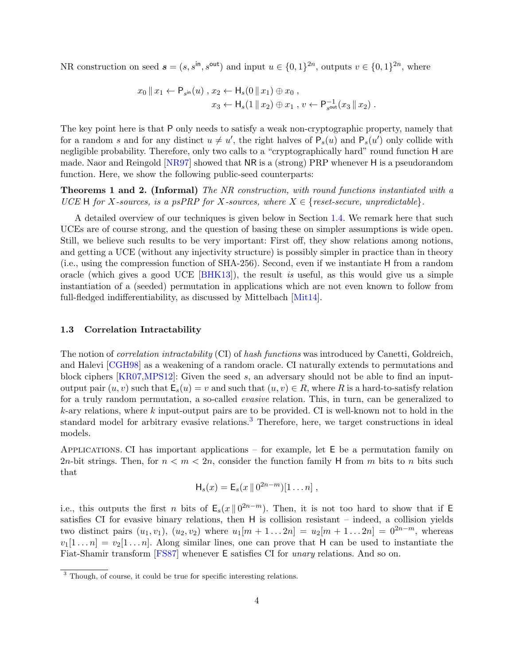NR construction on seed  $s = (s, s^{\text{in}}, s^{\text{out}})$  and input  $u \in \{0, 1\}^{2n}$ , outputs  $v \in \{0, 1\}^{2n}$ , where

$$
x_0 \parallel x_1 \leftarrow P_{s^{in}}(u), x_2 \leftarrow H_s(0 \parallel x_1) \oplus x_0,
$$
  
 $x_3 \leftarrow H_s(1 \parallel x_2) \oplus x_1, v \leftarrow P_{s^{out}}^{-1}(x_3 \parallel x_2).$ 

The key point here is that P only needs to satisfy a weak non-cryptographic property, namely that for a random s and for any distinct  $u \neq u'$ , the right halves of  $P_s(u)$  and  $P_s(u')$  only collide with negligible probability. Therefore, only two calls to a "cryptographically hard" round function H are made. Naor and Reingold [\[NR97\]](#page-26-1) showed that NR is a (strong) PRP whenever H is a pseudorandom function. Here, we show the following public-seed counterparts:

Theorems 1 and 2. (Informal) The NR construction, with round functions instantiated with a UCE H for X-sources, is a psPRP for X-sources, where  $X \in \{reset\text{-}secure, unpredictable\}$ .

A detailed overview of our techniques is given below in Section [1.4.](#page-4-0) We remark here that such UCEs are of course strong, and the question of basing these on simpler assumptions is wide open. Still, we believe such results to be very important: First off, they show relations among notions, and getting a UCE (without any injectivity structure) is possibly simpler in practice than in theory (i.e., using the compression function of SHA-256). Second, even if we instantiate H from a random oracle (which gives a good UCE [\[BHK13\]](#page-25-7)), the result is useful, as this would give us a simple instantiation of a (seeded) permutation in applications which are not even known to follow from full-fledged indifferentiability, as discussed by Mittelbach [\[Mit14\]](#page-26-11).

## 1.3 Correlation Intractability

The notion of *correlation intractability* (CI) of hash functions was introduced by Canetti, Goldreich, and Halevi [\[CGH98\]](#page-25-12) as a weakening of a random oracle. CI naturally extends to permutations and block ciphers  $[KR07,MPS12]$  $[KR07,MPS12]$ : Given the seed s, an adversary should not be able to find an inputoutput pair  $(u, v)$  such that  $\mathsf{E}_s(u) = v$  and such that  $(u, v) \in R$ , where R is a hard-to-satisfy relation for a truly random permutation, a so-called evasive relation. This, in turn, can be generalized to  $k$ -ary relations, where  $k$  input-output pairs are to be provided. CI is well-known not to hold in the standard model for arbitrary evasive relations.<sup>[3](#page-3-0)</sup> Therefore, here, we target constructions in ideal models.

Applications. CI has important applications – for example, let E be a permutation family on 2n-bit strings. Then, for  $n < m < 2n$ , consider the function family H from m bits to n bits such that

$$
H_s(x) = E_s(x \, || \, 0^{2n-m})[1 \dots n] \, ,
$$

i.e., this outputs the first n bits of  $E_s(x||0^{2n-m})$ . Then, it is not too hard to show that if E satisfies CI for evasive binary relations, then H is collision resistant – indeed, a collision yields two distinct pairs  $(u_1, v_1), (u_2, v_2)$  where  $u_1[m + 1... 2n] = u_2[m + 1... 2n] = 0^{2n-m}$ , whereas  $v_1[1 \dots n] = v_2[1 \dots n]$ . Along similar lines, one can prove that H can be used to instantiate the Fiat-Shamir transform [\[FS87\]](#page-25-13) whenever E satisfies CI for unary relations. And so on.

<span id="page-3-0"></span> $\frac{3}{3}$  Though, of course, it could be true for specific interesting relations.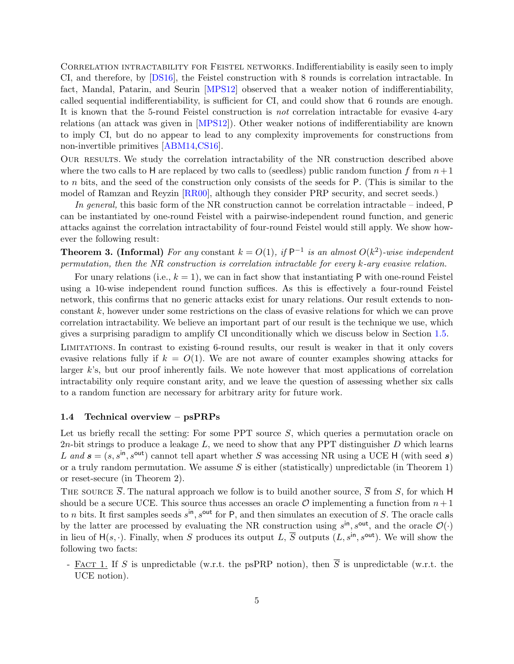CORRELATION INTRACTABILITY FOR FEISTEL NETWORKS. Indifferentiability is easily seen to imply CI, and therefore, by [\[DS16\]](#page-25-6), the Feistel construction with 8 rounds is correlation intractable. In fact, Mandal, Patarin, and Seurin [\[MPS12\]](#page-26-9) observed that a weaker notion of indifferentiability, called sequential indifferentiability, is sufficient for CI, and could show that 6 rounds are enough. It is known that the 5-round Feistel construction is not correlation intractable for evasive 4-ary relations (an attack was given in [\[MPS12\]](#page-26-9)). Other weaker notions of indifferentiability are known to imply CI, but do no appear to lead to any complexity improvements for constructions from non-invertible primitives [\[ABM14](#page-24-2)[,CS16\]](#page-25-14).

OUR RESULTS. We study the correlation intractability of the NR construction described above where the two calls to H are replaced by two calls to (seedless) public random function f from  $n+1$ to n bits, and the seed of the construction only consists of the seeds for P. (This is similar to the model of Ramzan and Reyzin [\[RR00\]](#page-26-12), although they consider PRP security, and secret seeds.)

In general, this basic form of the NR construction cannot be correlation intractable – indeed, P can be instantiated by one-round Feistel with a pairwise-independent round function, and generic attacks against the correlation intractability of four-round Feistel would still apply. We show however the following result:

**Theorem 3. (Informal)** For any constant  $k = O(1)$ , if  $P^{-1}$  is an almost  $O(k^2)$ -wise independent permutation, then the NR construction is correlation intractable for every k-ary evasive relation.

For unary relations (i.e.,  $k = 1$ ), we can in fact show that instantiating P with one-round Feistel using a 10-wise independent round function suffices. As this is effectively a four-round Feistel network, this confirms that no generic attacks exist for unary relations. Our result extends to nonconstant k, however under some restrictions on the class of evasive relations for which we can prove correlation intractability. We believe an important part of our result is the technique we use, which gives a surprising paradigm to amplify CI unconditionally which we discuss below in Section [1.5.](#page-6-0)

Limitations. In contrast to existing 6-round results, our result is weaker in that it only covers evasive relations fully if  $k = O(1)$ . We are not aware of counter examples showing attacks for larger  $k$ 's, but our proof inherently fails. We note however that most applications of correlation intractability only require constant arity, and we leave the question of assessing whether six calls to a random function are necessary for arbitrary arity for future work.

#### <span id="page-4-0"></span>1.4 Technical overview – psPRPs

Let us briefly recall the setting: For some PPT source  $S$ , which queries a permutation oracle on 2n-bit strings to produce a leakage  $L$ , we need to show that any PPT distinguisher  $D$  which learns L and  $s = (s, s^{\text{in}}, s^{\text{out}})$  cannot tell apart whether S was accessing NR using a UCE H (with seed s) or a truly random permutation. We assume  $S$  is either (statistically) unpredictable (in Theorem 1) or reset-secure (in Theorem 2).

THE SOURCE  $\overline{S}$ . The natural approach we follow is to build another source,  $\overline{S}$  from S, for which H should be a secure UCE. This source thus accesses an oracle  $\mathcal O$  implementing a function from  $n+1$ to *n* bits. It first samples seeds  $s^{\text{in}}$ ,  $s^{\text{out}}$  for P, and then simulates an execution of S. The oracle calls by the latter are processed by evaluating the NR construction using  $s^{\text{in}}$ ,  $s^{\text{out}}$ , and the oracle  $\mathcal{O}(\cdot)$ in lieu of  $H(s, \cdot)$ . Finally, when S produces its output L,  $\overline{S}$  outputs  $(L, s^{\text{in}}, s^{\text{out}})$ . We will show the following two facts:

- FACT 1. If S is unpredictable (w.r.t. the psPRP notion), then  $\overline{S}$  is unpredictable (w.r.t. the UCE notion).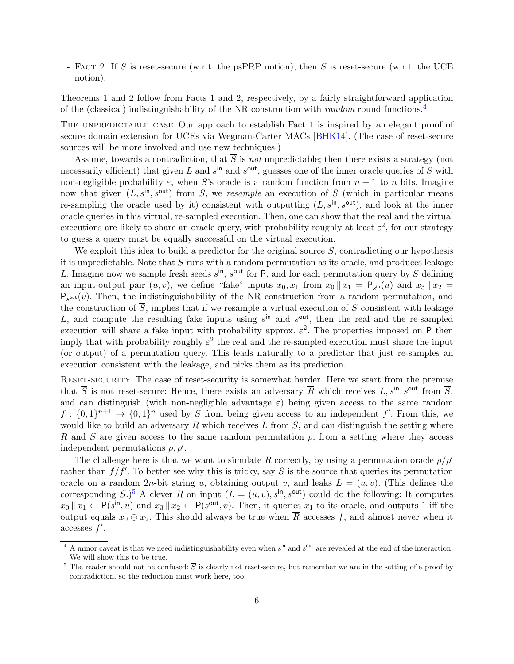- FACT 2. If S is reset-secure (w.r.t. the psPRP notion), then  $\overline{S}$  is reset-secure (w.r.t. the UCE notion).

Theorems 1 and 2 follow from Facts 1 and 2, respectively, by a fairly straightforward application of the (classical) indistinguishability of the NR construction with *random* round functions.<sup>[4](#page-5-0)</sup>

THE UNPREDICTABLE CASE. Our approach to establish Fact 1 is inspired by an elegant proof of secure domain extension for UCEs via Wegman-Carter MACs [\[BHK14\]](#page-25-15). (The case of reset-secure sources will be more involved and use new techniques.)

Assume, towards a contradiction, that  $\overline{S}$  is not unpredictable; then there exists a strategy (not necessarily efficient) that given L and  $s^{\text{in}}$  and  $s^{\text{out}}$ , guesses one of the inner oracle queries of  $\overline{S}$  with non-negligible probability  $\varepsilon$ , when  $\overline{S}$ 's oracle is a random function from  $n + 1$  to n bits. Imagine now that given  $(L, s^{\text{in}}, s^{\text{out}})$  from  $\overline{S}$ , we resample an execution of  $\overline{S}$  (which in particular means re-sampling the oracle used by it) consistent with outputting  $(L, s^{\text{in}}, s^{\text{out}})$ , and look at the inner oracle queries in this virtual, re-sampled execution. Then, one can show that the real and the virtual executions are likely to share an oracle query, with probability roughly at least  $\varepsilon^2$ , for our strategy to guess a query must be equally successful on the virtual execution.

We exploit this idea to build a predictor for the original source  $S$ , contradicting our hypothesis it is unpredictable. Note that  $S$  runs with a random permutation as its oracle, and produces leakage L. Imagine now we sample fresh seeds  $s^{\text{in}}$ ,  $s^{\text{out}}$  for P, and for each permutation query by S defining an input-output pair  $(u, v)$ , we define "fake" inputs  $x_0, x_1$  from  $x_0 \parallel x_1 = \mathsf{P}_{s^{\text{in}}}(u)$  and  $x_3 \parallel x_2 =$  $P_{s<sub>out</sub>}(v)$ . Then, the indistinguishability of the NR construction from a random permutation, and the construction of  $\overline{S}$ , implies that if we resample a virtual execution of S consistent with leakage L, and compute the resulting fake inputs using  $s^{\text{in}}$  and  $s^{\text{out}}$ , then the real and the re-sampled execution will share a fake input with probability approx.  $\varepsilon^2$ . The properties imposed on P then imply that with probability roughly  $\varepsilon^2$  the real and the re-sampled execution must share the input (or output) of a permutation query. This leads naturally to a predictor that just re-samples an execution consistent with the leakage, and picks them as its prediction.

Reset-security. The case of reset-security is somewhat harder. Here we start from the premise that  $\overline{S}$  is not reset-secure: Hence, there exists an adversary  $\overline{R}$  which receives  $L, s^{\text{in}}, s^{\text{out}}$  from  $\overline{S}$ , and can distinguish (with non-negligible advantage  $\varepsilon$ ) being given access to the same random  $f: \{0,1\}^{n+1} \to \{0,1\}^n$  used by  $\overline{S}$  from being given access to an independent f'. From this, we would like to build an adversary R which receives L from  $S$ , and can distinguish the setting where R and S are given access to the same random permutation  $\rho$ , from a setting where they access independent permutations  $\rho, \rho'$ .

The challenge here is that we want to simulate  $\overline{R}$  correctly, by using a permutation oracle  $\rho/\rho'$ rather than  $f/f'$ . To better see why this is tricky, say S is the source that queries its permutation oracle on a random 2n-bit string u, obtaining output v, and leaks  $L = (u, v)$ . (This defines the corresponding  $\overline{S}$ .)<sup>[5](#page-5-1)</sup> A clever  $\overline{R}$  on input  $(L = (u, v), s^{\text{in}}, s^{\text{out}})$  could do the following: It computes  $x_0 \parallel x_1 \leftarrow P(s^{\text{in}}, u)$  and  $x_3 \parallel x_2 \leftarrow P(s^{\text{out}}, v)$ . Then, it queries  $x_1$  to its oracle, and outputs 1 iff the output equals  $x_0 \oplus x_2$ . This should always be true when  $\overline{R}$  accesses f, and almost never when it  $accesses f'.$ 

<span id="page-5-0"></span><sup>&</sup>lt;sup>4</sup> A minor caveat is that we need indistinguishability even when  $s<sup>in</sup>$  and  $s<sup>out</sup>$  are revealed at the end of the interaction. We will show this to be true.

<span id="page-5-1"></span><sup>&</sup>lt;sup>5</sup> The reader should not be confused:  $\overline{S}$  is clearly not reset-secure, but remember we are in the setting of a proof by contradiction, so the reduction must work here, too.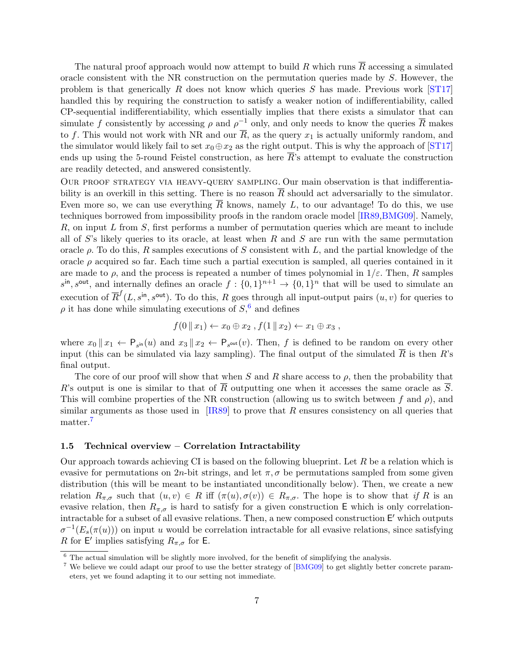The natural proof approach would now attempt to build R which runs  $\overline{R}$  accessing a simulated oracle consistent with the NR construction on the permutation queries made by S. However, the problem is that generically R does not know which queries S has made. Previous work  $ST17$ handled this by requiring the construction to satisfy a weaker notion of indifferentiability, called CP-sequential indifferentiability, which essentially implies that there exists a simulator that can simulate f consistently by accessing  $\rho$  and  $\rho^{-1}$  only, and only needs to know the queries  $\overline{R}$  makes to f. This would not work with NR and our  $\overline{R}$ , as the query  $x_1$  is actually uniformly random, and the simulator would likely fail to set  $x_0 \oplus x_2$  as the right output. This is why the approach of [\[ST17\]](#page-26-7) ends up using the 5-round Feistel construction, as here  $\overline{R}$ 's attempt to evaluate the construction are readily detected, and answered consistently.

Our proof strategy via heavy-query sampling. Our main observation is that indifferentiability is an overkill in this setting. There is no reason  $\overline{R}$  should act adversarially to the simulator. Even more so, we can use everything  $\overline{R}$  knows, namely L, to our advantage! To do this, we use techniques borrowed from impossibility proofs in the random oracle model [\[IR89,](#page-26-13)[BMG09\]](#page-25-16). Namely, R, on input L from S, first performs a number of permutation queries which are meant to include all of  $S$ 's likely queries to its oracle, at least when R and S are run with the same permutation oracle  $\rho$ . To do this, R samples executions of S consistent with L, and the partial knowledge of the oracle  $\rho$  acquired so far. Each time such a partial execution is sampled, all queries contained in it are made to  $\rho$ , and the process is repeated a number of times polynomial in  $1/\varepsilon$ . Then, R samples  $s^{\text{in}}$ ,  $s^{\text{out}}$ , and internally defines an oracle  $f: \{0,1\}^{n+1} \to \{0,1\}^n$  that will be used to simulate an execution of  $\overline{R}^f(L, s^{\text{in}}, s^{\text{out}})$ . To do this, R goes through all input-output pairs  $(u, v)$  for queries to  $\rho$  it has done while simulating executions of  $S<sup>6</sup>$  $S<sup>6</sup>$  $S<sup>6</sup>$  and defines

$$
f(0 \| x_1) \leftarrow x_0 \oplus x_2, f(1 \| x_2) \leftarrow x_1 \oplus x_3,
$$

where  $x_0 \parallel x_1 \leftarrow \mathsf{P}_{s^{\text{in}}}(u)$  and  $x_3 \parallel x_2 \leftarrow \mathsf{P}_{s^{\text{out}}}(v)$ . Then, f is defined to be random on every other input (this can be simulated via lazy sampling). The final output of the simulated  $\overline{R}$  is then R's final output.

The core of our proof will show that when S and R share access to  $\rho$ , then the probability that R's output is one is similar to that of  $\overline{R}$  outputting one when it accesses the same oracle as  $\overline{S}$ . This will combine properties of the NR construction (allowing us to switch between f and  $\rho$ ), and similar arguments as those used in  $[IR89]$  to prove that R ensures consistency on all queries that matter.<sup>[7](#page-6-2)</sup>

#### <span id="page-6-0"></span>1.5 Technical overview – Correlation Intractability

Our approach towards achieving CI is based on the following blueprint. Let  $R$  be a relation which is evasive for permutations on 2n-bit strings, and let  $\pi, \sigma$  be permutations sampled from some given distribution (this will be meant to be instantiated unconditionally below). Then, we create a new relation  $R_{\pi,\sigma}$  such that  $(u, v) \in R$  iff  $(\pi(u), \sigma(v)) \in R_{\pi,\sigma}$ . The hope is to show that if R is an evasive relation, then  $R_{\pi,\sigma}$  is hard to satisfy for a given construction E which is only correlationintractable for a subset of all evasive relations. Then, a new composed construction  $E'$  which outputs  $\sigma^{-1}(E_s(\pi(u)))$  on input u would be correlation intractable for all evasive relations, since satisfying R for  $\mathsf{E}'$  implies satisfying  $R_{\pi,\sigma}$  for  $\mathsf{E}$ .

<span id="page-6-1"></span> $\frac{6}{6}$  The actual simulation will be slightly more involved, for the benefit of simplifying the analysis.

<span id="page-6-2"></span><sup>&</sup>lt;sup>7</sup> We believe we could adapt our proof to use the better strategy of [\[BMG09\]](#page-25-16) to get slightly better concrete parameters, yet we found adapting it to our setting not immediate.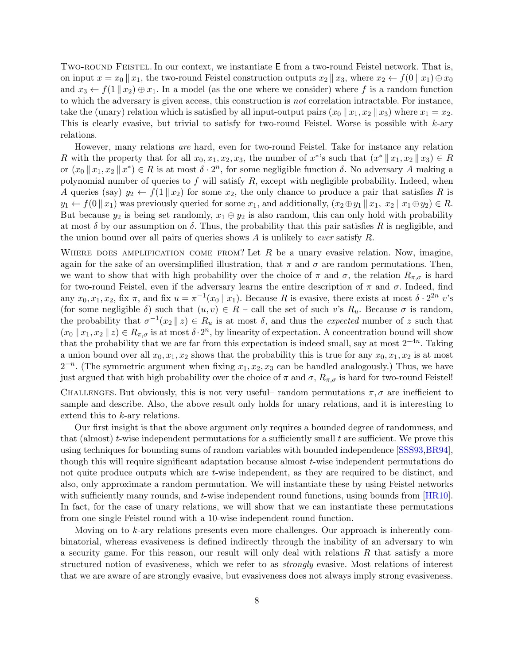TWO-ROUND FEISTEL. In our context, we instantiate  $E$  from a two-round Feistel network. That is, on input  $x = x_0 || x_1$ , the two-round Feistel construction outputs  $x_2 || x_3$ , where  $x_2 \leftarrow f(0 || x_1) \oplus x_0$ and  $x_3 \leftarrow f(1 | x_2) \oplus x_1$ . In a model (as the one where we consider) where f is a random function to which the adversary is given access, this construction is not correlation intractable. For instance, take the (unary) relation which is satisfied by all input-output pairs  $(x_0 || x_1, x_2 || x_3)$  where  $x_1 = x_2$ . This is clearly evasive, but trivial to satisfy for two-round Feistel. Worse is possible with  $k$ -ary relations.

However, many relations are hard, even for two-round Feistel. Take for instance any relation R with the property that for all  $x_0, x_1, x_2, x_3$ , the number of  $x^*$ 's such that  $(x^* || x_1, x_2 || x_3) \in R$ or  $(x_0 \| x_1, x_2 \| x^*) \in R$  is at most  $\delta \cdot 2^n$ , for some negligible function  $\delta$ . No adversary A making a polynomial number of queries to f will satisfy  $R$ , except with negligible probability. Indeed, when A queries (say)  $y_2 \leftarrow f(1 \| x_2)$  for some  $x_2$ , the only chance to produce a pair that satisfies R is  $y_1 \leftarrow f(0 \, \| \, x_1)$  was previously queried for some  $x_1$ , and additionally,  $(x_2 \oplus y_1 \, \| \, x_1, x_2 \, \| \, x_1 \oplus y_2) \in R$ . But because  $y_2$  is being set randomly,  $x_1 \oplus y_2$  is also random, this can only hold with probability at most  $\delta$  by our assumption on  $\delta$ . Thus, the probability that this pair satisfies R is negligible, and the union bound over all pairs of queries shows  $A$  is unlikely to *ever* satisfy  $R$ .

WHERE DOES AMPLIFICATION COME FROM? Let  $R$  be a unary evasive relation. Now, imagine, again for the sake of an oversimplified illustration, that  $\pi$  and  $\sigma$  are random permutations. Then, we want to show that with high probability over the choice of  $\pi$  and  $\sigma$ , the relation  $R_{\pi,\sigma}$  is hard for two-round Feistel, even if the adversary learns the entire description of  $\pi$  and  $\sigma$ . Indeed, find any  $x_0, x_1, x_2$ , fix  $\pi$ , and fix  $u = \pi^{-1}(x_0 \parallel x_1)$ . Because R is evasive, there exists at most  $\delta \cdot 2^{2n}$  v's (for some negligible  $\delta$ ) such that  $(u, v) \in R$  – call the set of such v's  $R_u$ . Because  $\sigma$  is random, the probability that  $\sigma^{-1}(x_2 \mid z) \in R_u$  is at most  $\delta$ , and thus the *expected* number of z such that  $(x_0 \| x_1, x_2 \| z) \in R_{\pi,\sigma}$  is at most  $\delta \cdot 2^n$ , by linearity of expectation. A concentration bound will show that the probability that we are far from this expectation is indeed small, say at most  $2^{-4n}$ . Taking a union bound over all  $x_0, x_1, x_2$  shows that the probability this is true for any  $x_0, x_1, x_2$  is at most  $2^{-n}$ . (The symmetric argument when fixing  $x_1, x_2, x_3$  can be handled analogously.) Thus, we have just argued that with high probability over the choice of  $\pi$  and  $\sigma$ ,  $R_{\pi,\sigma}$  is hard for two-round Feistel!

CHALLENGES. But obviously, this is not very useful– random permutations  $\pi, \sigma$  are inefficient to sample and describe. Also, the above result only holds for unary relations, and it is interesting to extend this to k-ary relations.

Our first insight is that the above argument only requires a bounded degree of randomness, and that (almost)  $t$ -wise independent permutations for a sufficiently small  $t$  are sufficient. We prove this using techniques for bounding sums of random variables with bounded independence [\[SSS93,](#page-26-14)[BR94\]](#page-25-17), though this will require significant adaptation because almost t-wise independent permutations do not quite produce outputs which are t-wise independent, as they are required to be distinct, and also, only approximate a random permutation. We will instantiate these by using Feistel networks with sufficiently many rounds, and t-wise independent round functions, using bounds from [\[HR10\]](#page-26-2). In fact, for the case of unary relations, we will show that we can instantiate these permutations from one single Feistel round with a 10-wise independent round function.

Moving on to k-ary relations presents even more challenges. Our approach is inherently combinatorial, whereas evasiveness is defined indirectly through the inability of an adversary to win a security game. For this reason, our result will only deal with relations  $R$  that satisfy a more structured notion of evasiveness, which we refer to as strongly evasive. Most relations of interest that we are aware of are strongly evasive, but evasiveness does not always imply strong evasiveness.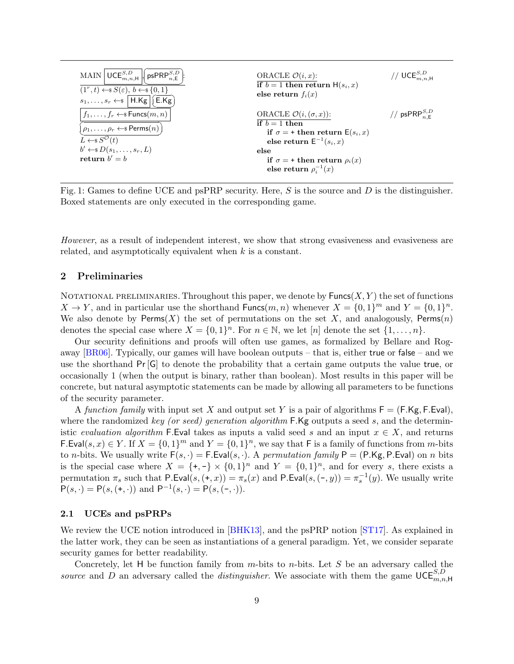<span id="page-8-0"></span>

| $\sqrt{\mathsf{psPRP}}_{n,\mathsf{E}}^{S,D}$<br>MAIN $\bigcup$ UCE $_{m,n,H}^{S,D}$<br>$(1^r, t) \leftarrow$ s $S(\varepsilon)$ , $b \leftarrow$ s $\{0, 1\}$<br>$s_1, \ldots, s_r \leftarrow \{ \mathsf{H.Kg} \}$<br>E.Kg | ORACLE $\mathcal{O}(i, x)$ :<br>if $b=1$ then return $H(s_i, x)$<br>else return $f_i(x)$                                                                                                                                | $\mathsf{UCE}_{m,n,\mathsf{P}}^{S,D}$ |
|----------------------------------------------------------------------------------------------------------------------------------------------------------------------------------------------------------------------------|-------------------------------------------------------------------------------------------------------------------------------------------------------------------------------------------------------------------------|---------------------------------------|
| $f_1,\ldots,f_r \leftarrow \text{\$Funcs}(m,n)$<br>$(p_1, \ldots, \rho_r \leftarrow \text{\$Perms}(n)$<br>$L \leftarrow s S^{\mathcal{O}}(t)$<br>$b' \leftarrow \S D(s_1, \ldots, s_r, L)$<br>return $b' = b$              | ORACLE $\mathcal{O}(i, (\sigma, x))$ :<br>if $b = 1$ then<br>if $\sigma = +$ then return $E(s_i, x)$<br>else return $E^{-1}(s_i, x)$<br>else<br>if $\sigma = +$ then return $\rho_i(x)$<br>else return $\rho_i^{-1}(x)$ | $^\prime$ ps $\mathsf{PRP}_n^{S,D}$   |

Fig. 1: Games to define UCE and psPRP security. Here,  $S$  is the source and  $D$  is the distinguisher. Boxed statements are only executed in the corresponding game.

However, as a result of independent interest, we show that strong evasiveness and evasiveness are related, and asymptotically equivalent when k is a constant.

# 2 Preliminaries

NOTATIONAL PRELIMINARIES. Throughout this paper, we denote by  $\mathsf{Funcs}(X, Y)$  the set of functions  $X \to Y$ , and in particular use the shorthand Funcs $(m, n)$  whenever  $X = \{0, 1\}^m$  and  $Y = \{0, 1\}^n$ . We also denote by  $\text{Perms}(X)$  the set of permutations on the set X, and analogously,  $\text{Perms}(n)$ denotes the special case where  $X = \{0,1\}^n$ . For  $n \in \mathbb{N}$ , we let [n] denote the set  $\{1,\ldots,n\}$ .

Our security definitions and proofs will often use games, as formalized by Bellare and Rogaway [ $BRO6$ ]. Typically, our games will have boolean outputs – that is, either true or false – and we use the shorthand Pr [G] to denote the probability that a certain game outputs the value true, or occasionally 1 (when the output is binary, rather than boolean). Most results in this paper will be concrete, but natural asymptotic statements can be made by allowing all parameters to be functions of the security parameter.

A function family with input set X and output set Y is a pair of algorithms  $F = (F.Kg, F.Eval)$ , where the randomized key (or seed) generation algorithm  $\mathsf{F}.\mathsf{Kg}$  outputs a seed s, and the deterministic evaluation algorithm F.Eval takes as inputs a valid seed s and an input  $x \in X$ , and returns F.Eval(s, x)  $\in Y$ . If  $X = \{0, 1\}^m$  and  $Y = \{0, 1\}^n$ , we say that F is a family of functions from m-bits to *n*-bits. We usually write  $F(s, \cdot) = F.Eval(s, \cdot)$ . A *permutation family*  $P = (P.Kg, P.Eval)$  on *n* bits is the special case where  $X = \{+, -\} \times \{0, 1\}^n$  and  $Y = \{0, 1\}^n$ , and for every s, there exists a permutation  $\pi_s$  such that P.Eval $(s, (+, x)) = \pi_s(x)$  and P.Eval $(s, (-, y)) = \pi_s^{-1}(y)$ . We usually write  $P(s, \cdot) = P(s, (+, \cdot))$  and  $P^{-1}(s, \cdot) = P(s, (-, \cdot)).$ 

#### 2.1 UCEs and psPRPs

We review the UCE notion introduced in [\[BHK13\]](#page-25-7), and the psPRP notion [\[ST17\]](#page-26-7). As explained in the latter work, they can be seen as instantiations of a general paradigm. Yet, we consider separate security games for better readability.

Concretely, let  $H$  be function family from m-bits to n-bits. Let  $S$  be an adversary called the source and D an adversary called the *distinguisher*. We associate with them the game  $\mathsf{UCE}_{m,n,\mathsf{H}}^{S,D}$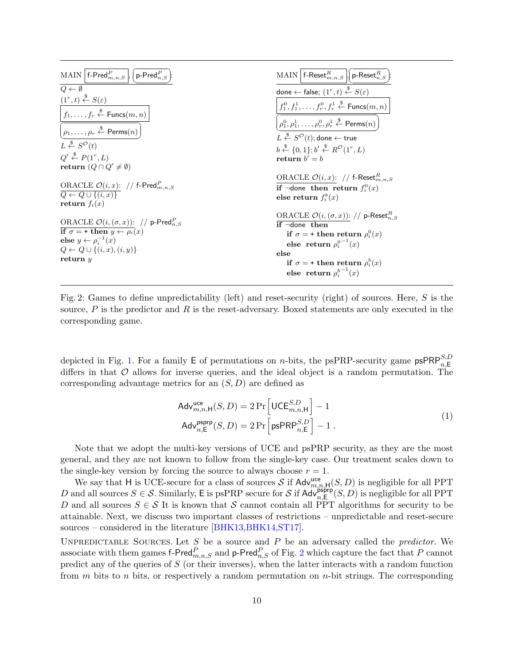<span id="page-9-0"></span> $\operatorname{MAIN}$   $\big\}$  f-Pred $_{m,n,S}^{P}$   $\big\},$  $\boxed{\mathsf{p}\text{-}\mathsf{Pred}^P_{n,S}}$ : ✝ ☎  $^{\prime}$  $\overline{Q \leftarrow \emptyset}$  $(1^r, t) \stackrel{\$}{\leftarrow} S(\varepsilon)$  $f_1,\ldots,f_r \stackrel{\$}{\leftarrow}$  Funcs $(m,n)$  $\overline{\phantom{0}}$ ✝ ☎ ✆  $\rho_1, \ldots, \rho_r$  $\stackrel{\$}{\leftarrow}$  Perms $(n)$  $L \overset{\$}{\leftarrow} S^{\mathcal{O}}(t)$  $Q' \stackrel{\$}{\leftarrow} P(1^r, L)$ return  $(Q \cap Q' \neq \emptyset)$  $\mathrm{ORACLE} \ \mathcal{O}(i,x)\mathrm{:}\ \not| /\ \mathsf{f}\text{-}\mathsf{Pred}^P_{m,n,S}$  $Q \leftarrow Q \cup \{(i,x)\}$ return  $f_i(x)$ ORACLE O(i,(σ, x)): // p-Pred<sup>P</sup> n,S if  $\sigma = +$  then  $y \leftarrow \rho_i(x)$ else  $y \leftarrow \rho_i^{-1}(x)$  $Q \leftarrow Q \cup \{(i, x), (i, y)\}\$ return y  $\operatorname{MAIN}$   $\big\vert$  f-Reset $_{m,n,S}^R$   $\big\vert,$  $\sqrt{\mathsf{p}\text{-}\mathsf{Reset}^R_{n,S}}$ : ✝ ☎  $^{\prime}$ done  $\leftarrow$  false;  $(1^r, t) \stackrel{\$}{\leftarrow} S(\varepsilon)$  $f^0_1, f^1_1, \ldots, f^0_r, f^1_r \stackrel{\$}{\leftarrow} \mathsf{Funcs}(m,n)$ ✞ ✝ ☎ ✆  $\rho^0_1, \rho^1_1, \ldots, \rho^0_r, \rho^1_r \overset{\$}{\leftarrow} \mathsf{Perms}(n)$  $L \stackrel{\$}{\leftarrow} S^{\mathcal{O}}(t);$  done  $\leftarrow$  true  $b \stackrel{\$}{\leftarrow} \{0,1\}; b' \stackrel{\$}{\leftarrow} R^{\mathcal{O}}(1^r, L)$ return  $b' = b$ ORACLE  $\mathcal{O}(i,x)$ : // f-Reset $_{m,n,S}^R$ if  $\neg$ done then return  $f_i^0(x)$ else return  $f_i^b(x)$  $\mathrm{ORACLE} \ \mathcal{O}(i,(\sigma,x))$ : // p- $\mathsf{Reset}^R_{n,\,S}$ if ¬done then if  $\sigma =$  + then return  $\rho_i^0(x)$  $\textbf{else} \;\; \textbf{return} \; \rho_i^{0 \, -1}(x)$ else if  $\sigma =$  + then return  $\rho_i^b(x)$  $\textbf{else} \;\; \textbf{return} \; \rho_i^{b-1}(x)$ 

Fig. 2: Games to define unpredictability (left) and reset-security (right) of sources. Here, S is the source,  $P$  is the predictor and  $R$  is the reset-adversary. Boxed statements are only executed in the corresponding game.

depicted in Fig. [1.](#page-8-0) For a family  $E$  of permutations on *n*-bits, the psPRP-security game  $p s P R P_{n,E}^{S,D}$ differs in that  $\mathcal O$  allows for inverse queries, and the ideal object is a random permutation. The corresponding advantage metrics for an  $(S, D)$  are defined as

$$
\mathsf{Adv}_{m,n,\mathsf{H}}^{\mathsf{uce}}(S,D) = 2 \Pr\left[\mathsf{UCE}_{m,n,\mathsf{H}}^{S,D}\right] - 1
$$
\n
$$
\mathsf{Adv}_{n,\mathsf{E}}^{\mathsf{psprp}}(S,D) = 2 \Pr\left[\mathsf{psPRP}_{n,\mathsf{E}}^{S,D}\right] - 1.
$$
\n(1)

Note that we adopt the multi-key versions of UCE and psPRP security, as they are the most general, and they are not known to follow from the single-key case. Our treatment scales down to the single-key version by forcing the source to always choose  $r = 1$ .

We say that H is UCE-secure for a class of sources S if  $\text{Adv}_{m,n,\text{H}}^{\text{uce}}(S, D)$  is negligible for all PPT D and all sources  $S \in \mathcal{S}$ . Similarly, E is psPRP secure for S if  $\text{Adv}_{n,E}^{\text{bSPP}}(S, D)$  is negligible for all PPT D and all sources  $S \in \mathcal{S}$  It is known that S cannot contain all PPT algorithms for security to be attainable. Next, we discuss two important classes of restrictions – unpredictable and reset-secure sources – considered in the literature [\[BHK13,](#page-25-7) [BHK14](#page-25-15), ST17].

UNPREDICTABLE SOURCES. Let  $S$  be a source and  $P$  be an adversary called the *predictor*. We associate with them games f-Pred $_{m,n,S}^P$  and p-Pred $_{n,S}^P$  of Fig. [2](#page-9-0) which capture the fact that  $P$  cannot predict any of the queries of S (or their inverses), when the latter interacts with a random function from  $m$  bits to  $n$  bits, or respectively a random permutation on  $n$ -bit strings. The corresponding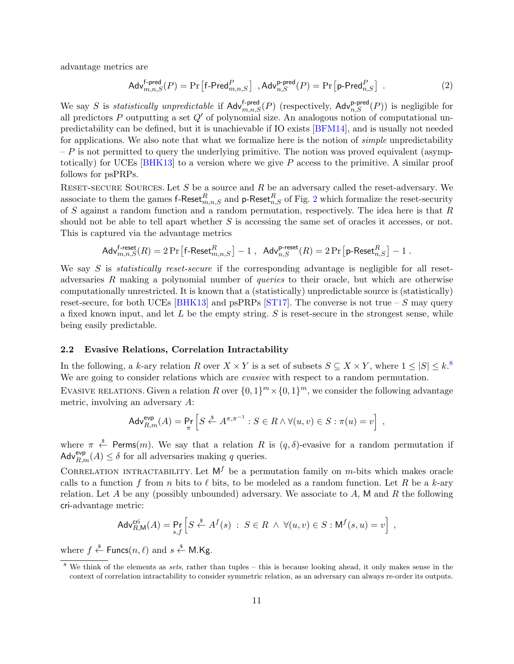advantage metrics are

$$
\mathsf{Adv}_{m,n,S}^{\mathsf{f-pred}}(P) = \Pr\left[\mathsf{f-Pred}_{m,n,S}^P\right], \mathsf{Adv}_{n,S}^{\mathsf{p-pred}}(P) = \Pr\left[\mathsf{p-Pred}_{n,S}^P\right].\tag{2}
$$

We say S is *statistically unpredictable* if  $\text{Adv}_{m,n,S}^{\text{f-pred}}(P)$  (respectively,  $\text{Adv}_{n,S}^{\text{p-pred}}(P)$ ) is negligible for all predictors P outputting a set  $Q'$  of polynomial size. An analogous notion of computational unpredictability can be defined, but it is unachievable if IO exists [\[BFM14\]](#page-25-11), and is usually not needed for applications. We also note that what we formalize here is the notion of *simple* unpredictability  $-P$  is not permitted to query the underlying primitive. The notion was proved equivalent (asymp-totically) for UCEs [\[BHK13\]](#page-25-7) to a version where we give  $P$  access to the primitive. A similar proof follows for psPRPs.

RESET-SECURE SOURCES. Let  $S$  be a source and  $R$  be an adversary called the reset-adversary. We associate to them the games f-Reset $_{m,n,S}^R$  and p-Reset $_{n,S}^R$  of Fig. [2](#page-9-0) which formalize the reset-security of S against a random function and a random permutation, respectively. The idea here is that R should not be able to tell apart whether  $S$  is accessing the same set of oracles it accesses, or not. This is captured via the advantage metrics

$$
\mathsf{Adv}_{m,n,S}^{\mathsf{f-reset}}(R) = 2\Pr\left[\mathsf{f}\text{-}\mathsf{Reset}_{m,n,S}^{R}\right] - 1 \;, \;\; \mathsf{Adv}_{n,S}^{\mathsf{p-reset}}(R) = 2\Pr\left[\mathsf{p}\text{-}\mathsf{Reset}_{n,S}^{R}\right] - 1 \;.
$$

We say S is *statistically reset-secure* if the corresponding advantage is negligible for all resetadversaries R making a polynomial number of queries to their oracle, but which are otherwise computationally unrestricted. It is known that a (statistically) unpredictable source is (statistically) reset-secure, for both UCEs [\[BHK13\]](#page-25-7) and psPRPs [\[ST17\]](#page-26-7). The converse is not true – S may query a fixed known input, and let  $L$  be the empty string.  $S$  is reset-secure in the strongest sense, while being easily predictable.

## 2.2 Evasive Relations, Correlation Intractability

In the following, a k-ary relation R over  $X \times Y$  is a set of subsets  $S \subseteq X \times Y$ , where  $1 \leq |S| \leq k$ .<sup>[8](#page-10-0)</sup> We are going to consider relations which are *evasive* with respect to a random permutation. EVASIVE RELATIONS. Given a relation R over  $\{0,1\}^m \times \{0,1\}^m$ , we consider the following advantage metric, involving an adversary A:

$$
\mathsf{Adv}_{R,m}^{\mathsf{evp}}(A) = \Pr_{\pi} \left[ S \xleftarrow{\$} A^{\pi,\pi^{-1}} : S \in R \wedge \forall (u,v) \in S : \pi(u) = v \right] \;,
$$

where  $\pi \stackrel{\$}{\leftarrow}$  Perms $(m)$ . We say that a relation R is  $(q, \delta)$ -evasive for a random permutation if  $\mathsf{Adv}_{R,m}^{\mathsf{evp}}(A) \leq \delta$  for all adversaries making q queries.

CORRELATION INTRACTABILITY. Let  $M<sup>f</sup>$  be a permutation family on m-bits which makes oracle calls to a function f from n bits to  $\ell$  bits, to be modeled as a random function. Let R be a k-ary relation. Let  $A$  be any (possibly unbounded) adversary. We associate to  $A$ , M and  $R$  the following cri-advantage metric:

$$
\mathsf{Adv}_{R,\mathsf{M}}^{\mathsf{cri}}(A) = \Pr_{s,f} \left[ S \stackrel{\$}{\leftarrow} A^f(s) \; : \; S \in R \; \wedge \; \forall (u,v) \in S : \mathsf{M}^f(s,u) = v \right] \; ,
$$

where  $f \stackrel{\hspace{0.1em}\mathsf{\scriptscriptstyle\$}}{\leftarrow}$  Funcs $(n,\ell)$  and  $s \stackrel{\hspace{0.1em}\mathsf{\scriptscriptstyle\$}}{\leftarrow}$  M.Kg.

<span id="page-10-0"></span> $8$  We think of the elements as sets, rather than tuples – this is because looking ahead, it only makes sense in the context of correlation intractability to consider symmetric relation, as an adversary can always re-order its outputs.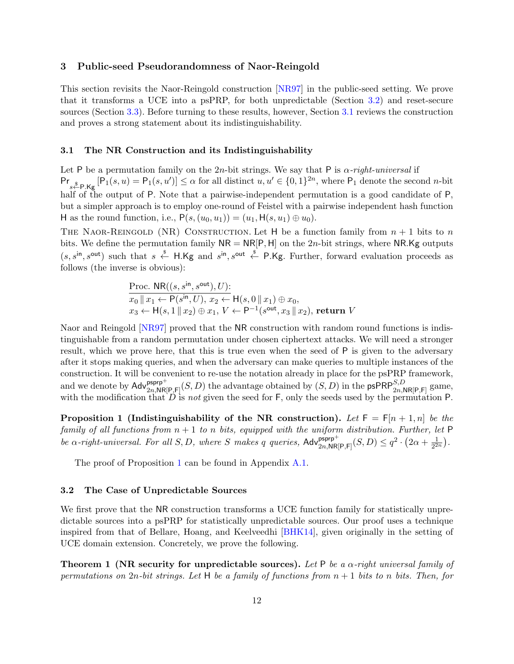## <span id="page-11-4"></span>3 Public-seed Pseudorandomness of Naor-Reingold

This section revisits the Naor-Reingold construction [\[NR97\]](#page-26-1) in the public-seed setting. We prove that it transforms a UCE into a psPRP, for both unpredictable (Section [3.2\)](#page-11-0) and reset-secure sources (Section [3.3\)](#page-13-0). Before turning to these results, however, Section [3.1](#page-11-1) reviews the construction and proves a strong statement about its indistinguishability.

#### <span id="page-11-1"></span>3.1 The NR Construction and its Indistinguishability

Let P be a permutation family on the 2n-bit strings. We say that P is  $\alpha$ -right-universal if  $\Pr_{s \leftarrow P.Kg} [P_1(s, u) = P_1(s, u')] \leq \alpha$  for all distinct  $u, u' \in \{0, 1\}^{2n}$ , where  $P_1$  denote the second *n*-bit half of the output of P. Note that a pairwise-independent permutation is a good candidate of P. but a simpler approach is to employ one-round of Feistel with a pairwise independent hash function H as the round function, i.e.,  $P(s,(u_0,u_1)) = (u_1, H(s,u_1) \oplus u_0)$ .

THE NAOR-REINGOLD (NR) CONSTRUCTION. Let H be a function family from  $n + 1$  bits to n bits. We define the permutation family  $NR = NR[P,H]$  on the 2n-bit strings, where NR.Kg outputs  $(s, s^{\text{in}}, s^{\text{out}})$  such that  $s \stackrel{\$}{\leftarrow} H.Kg$  and  $s^{\text{in}}, s^{\text{out}} \stackrel{\$}{\leftarrow} P.Kg$ . Further, forward evaluation proceeds as follows (the inverse is obvious):

Proc. NR((s, s<sup>in</sup>, s<sup>out</sup>), U):  
\n
$$
\overline{x_0} || x_1 \leftarrow P(sin, U), x_2 \leftarrow H(s, 0 || x_1) \oplus x_0,
$$
  
\n $x_3 \leftarrow H(s, 1 || x_2) \oplus x_1, V \leftarrow P^{-1}(sout, x_3 || x_2),$  return V

Naor and Reingold [\[NR97\]](#page-26-1) proved that the NR construction with random round functions is indistinguishable from a random permutation under chosen ciphertext attacks. We will need a stronger result, which we prove here, that this is true even when the seed of P is given to the adversary after it stops making queries, and when the adversary can make queries to multiple instances of the construction. It will be convenient to re-use the notation already in place for the psPRP framework, and we denote by  $\mathsf{Adv}_{2n,\mathsf{NR}[P,\mathsf{F}]}^{\mathsf{psprp}^+}(S,D)$  the advantage obtained by  $(S,D)$  in the  $\mathsf{psPRP}_{2n,\mathsf{NR}[P,\mathsf{F}]}^{S,D}$  game, with the modification that  $D$  is not given the seed for  $F$ , only the seeds used by the permutation  $P$ .

<span id="page-11-2"></span>**Proposition 1** (Indistinguishability of the NR construction). Let  $F = F[n+1,n]$  be the family of all functions from  $n + 1$  to n bits, equipped with the uniform distribution. Further, let  $P$ be  $\alpha$ -right-universal. For all S, D, where S makes q queries,  $\mathsf{Adv}_{2n,\mathsf{NR}[P,\mathsf{F}]}^{\mathsf{psprp}^+}(S,D) \leq q^2 \cdot (2\alpha + \frac{1}{2^2})$  $\frac{1}{2^{2n}}$ .

The proof of Proposition [1](#page-11-2) can be found in Appendix [A.1.](#page-26-15)

## <span id="page-11-0"></span>3.2 The Case of Unpredictable Sources

We first prove that the NR construction transforms a UCE function family for statistically unpredictable sources into a psPRP for statistically unpredictable sources. Our proof uses a technique inspired from that of Bellare, Hoang, and Keelveedhi [\[BHK14\]](#page-25-15), given originally in the setting of UCE domain extension. Concretely, we prove the following.

<span id="page-11-3"></span>**Theorem 1 (NR security for unpredictable sources).** Let P be a  $\alpha$ -right universal family of permutations on  $2n$ -bit strings. Let H be a family of functions from  $n + 1$  bits to n bits. Then, for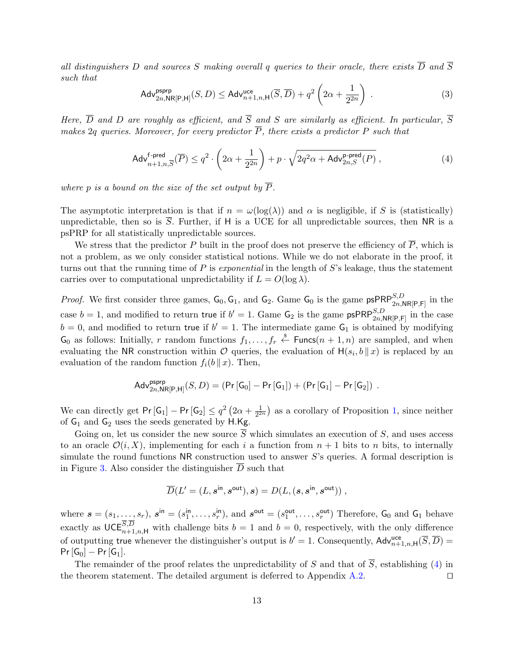all distinguishers D and sources S making overall q queries to their oracle, there exists  $\overline{D}$  and  $\overline{S}$ such that

$$
\mathsf{Adv}_{2n,\mathsf{NR}[P,H]}^{\mathsf{psprp}}(S,D) \leq \mathsf{Adv}_{n+1,n,\mathsf{H}}^{\mathsf{uce}}(\overline{S},\overline{D}) + q^2 \left(2\alpha + \frac{1}{2^{2n}}\right) \,. \tag{3}
$$

Here,  $\overline{D}$  and  $D$  are roughly as efficient, and  $\overline{S}$  and  $S$  are similarly as efficient. In particular,  $\overline{S}$ makes 2q queries. Moreover, for every predictor  $\overline{P}$ , there exists a predictor P such that

<span id="page-12-0"></span>
$$
\mathsf{Adv}_{n+1,n,\overline{S}}^{\mathsf{f-pred}}(\overline{P}) \le q^2 \cdot \left(2\alpha + \frac{1}{2^{2n}}\right) + p \cdot \sqrt{2q^2\alpha + \mathsf{Adv}_{2n,S}^{\mathsf{p-pred}}(P)},\tag{4}
$$

where p is a bound on the size of the set output by  $\overline{P}$ .

The asymptotic interpretation is that if  $n = \omega(\log(\lambda))$  and  $\alpha$  is negligible, if S is (statistically) unpredictable, then so is  $S$ . Further, if  $H$  is a UCE for all unpredictable sources, then NR is a psPRP for all statistically unpredictable sources.

We stress that the predictor P built in the proof does not preserve the efficiency of  $\overline{P}$ , which is not a problem, as we only consider statistical notions. While we do not elaborate in the proof, it turns out that the running time of  $P$  is *exponential* in the length of  $S$ 's leakage, thus the statement carries over to computational unpredictability if  $L = O(\log \lambda)$ .

*Proof.* We first consider three games,  $G_0, G_1$ , and  $G_2$ . Game  $G_0$  is the game  $psPRP_{2n,NR[P,F]}^{S,D}$  in the case  $b = 1$ , and modified to return true if  $b' = 1$ . Game  $G_2$  is the game  $psPRP_{2n,NR[P,F]}^{S,D}$  in the case  $b = 0$ , and modified to return true if  $b' = 1$ . The intermediate game  $G_1$  is obtained by modifying  $\mathsf{G}_0$  as follows: Initially, r random functions  $f_1, \ldots, f_r \stackrel{\hspace{0.1em}\mathsf{\scriptscriptstyle\$}}{\leftarrow}$  Funcs $(n+1, n)$  are sampled, and when evaluating the NR construction within  $\mathcal O$  queries, the evaluation of  $H(s_i, b \mid x)$  is replaced by an evaluation of the random function  $f_i(b \parallel x)$ . Then,

$$
\mathsf{Adv}_{2n,\mathsf{NR}[P,H]}^{\mathsf{psprp}}(S,D) = (\mathsf{Pr}\left[\mathsf{G}_0\right] - \mathsf{Pr}\left[\mathsf{G}_1\right]) + (\mathsf{Pr}\left[\mathsf{G}_1\right] - \mathsf{Pr}\left[\mathsf{G}_2\right]) \; .
$$

We can directly get  $Pr[G_1] - Pr[G_2] \le q^2 (2\alpha + \frac{1}{2^2})$  $\frac{1}{2^{2n}}$  as a corollary of Proposition [1,](#page-11-2) since neither of  $G_1$  and  $G_2$  uses the seeds generated by H.Kg.

Going on, let us consider the new source  $\overline{S}$  which simulates an execution of S, and uses access to an oracle  $\mathcal{O}(i, X)$ , implementing for each i a function from  $n + 1$  bits to n bits, to internally simulate the round functions NR construction used to answer S's queries. A formal description is in Figure [3.](#page-13-1) Also consider the distinguisher  $\overline{D}$  such that

$$
\overline{D}(L'=(L,s^{\rm in},s^{\rm out}),s)=D(L,(s,s^{\rm in},s^{\rm out}))\;,
$$

where  $\mathbf{s} = (s_1, \ldots, s_r)$ ,  $\mathbf{s}^{\text{in}} = (s_1^{\text{in}}, \ldots, s_r^{\text{in}})$ , and  $\mathbf{s}^{\text{out}} = (s_1^{\text{out}}, \ldots, s_r^{\text{out}})$  Therefore,  $\mathsf{G}_0$  and  $\mathsf{G}_1$  behave exactly as  $\mathsf{UCE}_{n+1,n,\mathsf{H}}^{S,D}$  with challenge bits  $b=1$  and  $b=0$ , respectively, with the only difference of outputting true whenever the distinguisher's output is  $b' = 1$ . Consequently,  $\mathsf{Adv}_{n+1,n,H}^{\mathsf{uce}}(\overline{S},\overline{D}) =$  $Pr[G_0] - Pr[G_1].$ 

The remainder of the proof relates the unpredictability of S and that of  $\overline{S}$ , establishing [\(4\)](#page-12-0) in the theorem statement. The detailed argument is deferred to Appendix  $A.2$ .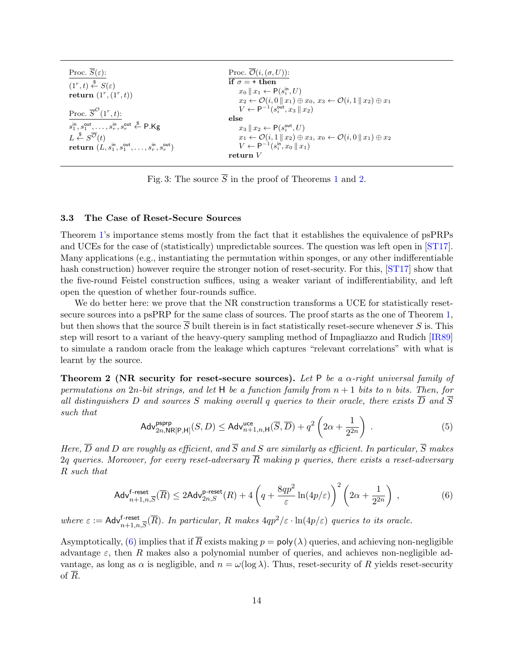```
Proc. \overline{S}(\varepsilon):
(1^r, t) \stackrel{\$}{\leftarrow} S(\varepsilon)return (1^r, (1^r, t))Proc. \overline{S}^{\mathcal{O}}(1^r,t):
s_1^\mathsf{in}, s_1^\mathsf{out}, \ldots, s_r^\mathsf{in}, s_r^\mathsf{out} \overset{\$}{\leftarrow} \mathsf{P}.\mathsf{Kg}L \overset{\$}{\leftarrow} S^{\overline{\mathcal{O}}}(t)\textbf{return }(L, s_1^{\text{in}}, s_1^{\text{out}}, \dots, s_r^{\text{in}}, s_r^{\text{out}})Proc. \overline{\mathcal{O}}(i, (\sigma, U)):
                                                                                                                                  if \sigma = + then
                                                                                                                                            x_0 \parallel x_1 \leftarrow \mathsf{P}(s_i^{\mathsf{in}}, U)x_2 \leftarrow \mathcal{O}(i, 0 \parallel x_1) \oplus x_0, x_3 \leftarrow \mathcal{O}(i, 1 \parallel x_2) \oplus x_1V \leftarrow \mathsf{P}^{-1}(s_i^{\text{out}}, x_3 \,\|\, x_2)else
                                                                                                                                            x_3 \parallel x_2 \leftarrow P(s_i^{\text{out}}, U)x_1 \leftarrow \mathcal{O}(i, 1 \parallel x_2) \oplus x_3, x_0 \leftarrow \mathcal{O}(i, 0 \parallel x_1) \oplus x_2V \leftarrow \mathsf{P}^{-1}(s_i^{\text{in}}, x_0 \,\|\, x_1)return V
```
Fig. 3: The source  $\overline{S}$  in the proof of Theorems [1](#page-11-3) and [2.](#page-13-2)

#### <span id="page-13-0"></span>3.3 The Case of Reset-Secure Sources

Theorem [1'](#page-11-3)s importance stems mostly from the fact that it establishes the equivalence of psPRPs and UCEs for the case of (statistically) unpredictable sources. The question was left open in [\[ST17\]](#page-26-7). Many applications (e.g., instantiating the permutation within sponges, or any other indifferentiable hash construction) however require the stronger notion of reset-security. For this,  $ST17$  show that the five-round Feistel construction suffices, using a weaker variant of indifferentiability, and left open the question of whether four-rounds suffice.

We do better here: we prove that the NR construction transforms a UCE for statistically resetsecure sources into a psPRP for the same class of sources. The proof starts as the one of Theorem [1,](#page-11-3) but then shows that the source  $\overline{S}$  built therein is in fact statistically reset-secure whenever S is. This step will resort to a variant of the heavy-query sampling method of Impagliazzo and Rudich [\[IR89\]](#page-26-13) to simulate a random oracle from the leakage which captures "relevant correlations" with what is learnt by the source.

<span id="page-13-2"></span>Theorem 2 (NR security for reset-secure sources). Let P be a  $\alpha$ -right universal family of permutations on 2n-bit strings, and let  $H$  be a function family from  $n + 1$  bits to n bits. Then, for all distinguishers D and sources S making overall q queries to their oracle, there exists  $\overline{D}$  and  $\overline{S}$ such that

$$
\mathsf{Adv}_{2n,\mathsf{NR}[P,H]}^{\mathsf{psprp}}(S,D) \leq \mathsf{Adv}_{n+1,n,H}^{\text{uce}}(\overline{S},\overline{D}) + q^2 \left(2\alpha + \frac{1}{2^{2n}}\right) \,. \tag{5}
$$

Here,  $\overline{D}$  and  $D$  are roughly as efficient, and  $\overline{S}$  and  $S$  are similarly as efficient. In particular,  $\overline{S}$  makes 2q queries. Moreover, for every reset-adversary  $\overline{R}$  making p queries, there exists a reset-adversary R such that

<span id="page-13-3"></span>
$$
\mathsf{Adv}_{n+1,n,\overline{S}}^{\mathsf{f} \text{-reset}}(\overline{R}) \le 2\mathsf{Adv}_{2n,S}^{\mathsf{p} \text{-reset}}(R) + 4\left(q + \frac{8qp^2}{\varepsilon}\ln(4p/\varepsilon)\right)^2 \left(2\alpha + \frac{1}{2^{2n}}\right) ,\tag{6}
$$

where  $\varepsilon := \text{Adv}_{n+1,n,\overline{S}}^{\text{f-reset}}(\overline{R})$ . In particular, R makes  $4qp^2/\varepsilon \cdot \ln(4p/\varepsilon)$  queries to its oracle.

Asymptotically, [\(6\)](#page-13-3) implies that if  $\overline{R}$  exists making  $p = \text{poly}(\lambda)$  queries, and achieving non-negligible advantage  $\varepsilon$ , then R makes also a polynomial number of queries, and achieves non-negligible advantage, as long as  $\alpha$  is negligible, and  $n = \omega(\log \lambda)$ . Thus, reset-security of R yields reset-security of  $\overline{R}$ .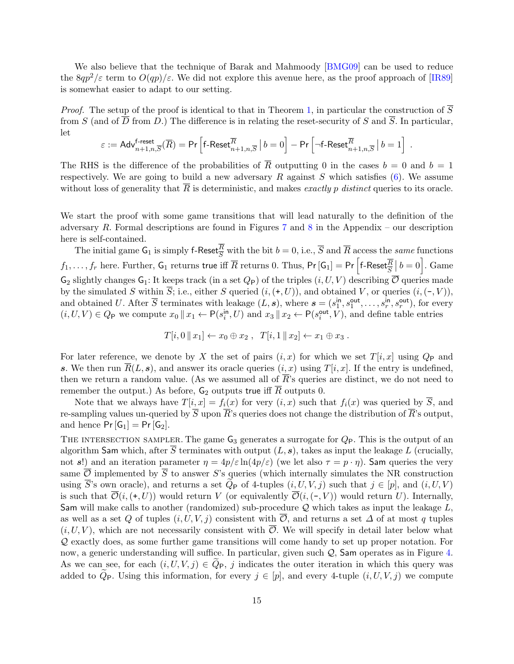We also believe that the technique of Barak and Mahmoody [\[BMG09\]](#page-25-16) can be used to reduce the  $8qp^2/\varepsilon$  term to  $O(qp)/\varepsilon$ . We did not explore this avenue here, as the proof approach of [\[IR89\]](#page-26-13) is somewhat easier to adapt to our setting.

*Proof.* The setup of the proof is identical to that in Theorem [1,](#page-11-3) in particular the construction of  $\overline{S}$ from S (and of  $\overline{D}$  from D.) The difference is in relating the reset-security of S and  $\overline{S}$ . In particular, let

$$
\varepsilon := \mathsf{Adv}_{n+1,n,\overline{S}}^{\mathsf{f} \text{-reset}}(\overline{R}) = \Pr\left[\mathsf{f}\text{-Reset}_{n+1,n,\overline{S}}^{\overline{R}} \, \big| \, b = 0\right] - \Pr\left[\neg \mathsf{f}\text{-Reset}_{n+1,n,\overline{S}}^{\overline{R}} \, \big| \, b = 1\right] \; .
$$

The RHS is the difference of the probabilities of  $\overline{R}$  outputting 0 in the cases  $b = 0$  and  $b = 1$ respectively. We are going to build a new adversary R against  $S$  which satisfies [\(6\)](#page-13-3). We assume without loss of generality that  $\overline{R}$  is deterministic, and makes exactly p distinct queries to its oracle.

We start the proof with some game transitions that will lead naturally to the definition of the adversary R. Formal descriptions are found in Figures [7](#page-30-0) and [8](#page-31-0) in the Appendix – our description here is self-contained.

The initial game  $\mathsf{G}_1$  is simply f-Reset $\frac{R}{S}$  with the bit  $b = 0$ , i.e.,  $\overline{S}$  and  $\overline{R}$  access the same functions  $f_1,\ldots,f_r$  here. Further,  ${\sf G}_1$  returns true iff  $\overline{R}$  returns  $0.$  Thus,  $\mathsf{Pr}\left[{\sf G}_1\right]=\mathsf{Pr}\left[\mathsf{f}\text{-}\mathsf{Reset} \frac{\overline{R}}{S} \,|\, b=0\right].$   $\text{Game}$  $G_2$  slightly changes  $G_1$ : It keeps track (in a set  $Q_P$ ) of the triples  $(i, U, V)$  describing  $\overline{O}$  queries made by the simulated S within  $\overline{S}$ ; i.e., either S queried  $(i, (+, U))$ , and obtained V, or queries  $(i, (-, V))$ , and obtained U. After  $\overline{S}$  terminates with leakage  $(L, s)$ , where  $s = (s_1^{\text{in}}, s_1^{\text{out}}, \ldots, s_r^{\text{in}}, s_r^{\text{out}})$ , for every  $(i, U, V) \in Q_P$  we compute  $x_0 \parallel x_1 \leftarrow P(s_i^{\text{in}}, U)$  and  $x_3 \parallel x_2 \leftarrow P(s_i^{\text{out}}, V)$ , and define table entries

$$
T[i,0\,\Vert\,x_1]\leftarrow x_0\oplus x_2\ ,\ T[i,1\,\Vert\,x_2]\leftarrow x_1\oplus x_3\ .
$$

For later reference, we denote by X the set of pairs  $(i, x)$  for which we set  $T[i, x]$  using  $Q_P$  and s. We then run  $\overline{R}(L, s)$ , and answer its oracle queries  $(i, x)$  using  $T[i, x]$ . If the entry is undefined, then we return a random value. (As we assumed all of  $\overline{R}$ 's queries are distinct, we do not need to remember the output.) As before,  $G_2$  outputs true iff  $\overline{R}$  outputs 0.

Note that we always have  $T[i, x] = f_i(x)$  for very  $(i, x)$  such that  $f_i(x)$  was queried by  $\overline{S}$ , and re-sampling values un-queried by  $\overline{S}$  upon  $\overline{R}$ 's queries does not change the distribution of  $\overline{R}$ 's output, and hence  $Pr[G_1] = Pr[G_2]$ .

THE INTERSECTION SAMPLER. The game  $G_3$  generates a surrogate for  $Q_P$ . This is the output of an algorithm Sam which, after  $\overline{S}$  terminates with output  $(L, s)$ , takes as input the leakage L (crucially, not s!) and an iteration parameter  $\eta = 4p/\varepsilon \ln(4p/\varepsilon)$  (we let also  $\tau = p \cdot \eta$ ). Sam queries the very same  $\overline{\mathcal{O}}$  implemented by  $\overline{S}$  to answer S's queries (which internally simulates the NR construction using  $\overline{S}$ 's own oracle), and returns a set  $\widetilde{Q}_P$  of 4-tuples  $(i, U, V, j)$  such that  $j \in [p]$ , and  $(i, U, V)$ is such that  $\mathcal{O}(i, (+, U))$  would return V (or equivalently  $\mathcal{O}(i, (-, V))$ ) would return U). Internally, Sam will make calls to another (randomized) sub-procedure  $Q$  which takes as input the leakage  $L$ , as well as a set Q of tuples  $(i, U, V, j)$  consistent with  $\overline{O}$ , and returns a set  $\Delta$  of at most q tuples  $(i, U, V)$ , which are not necessarily consistent with  $\overline{O}$ . We will specify in detail later below what Q exactly does, as some further game transitions will come handy to set up proper notation. For now, a generic understanding will suffice. In particular, given such  $\mathcal{Q}$ , Sam operates as in Figure [4.](#page-15-0) As we can see, for each  $(i, U, V, j) \in Q_{\mathsf{P}}$ , j indicates the outer iteration in which this query was added to  $Q_P$ . Using this information, for every  $j \in [p]$ , and every 4-tuple  $(i, U, V, j)$  we compute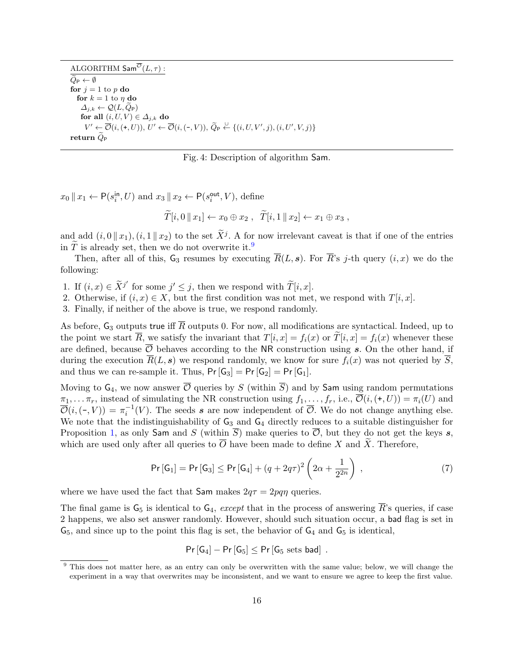<span id="page-15-0"></span>ALGORITHM  $\mathsf{Sam}^{\overline{\mathcal{O}}}(L,\tau)$ :  $\widetilde{Q}_P \leftarrow \emptyset$ for  $j = 1$  to p do for  $k = 1$  to  $\eta$  do  $\Delta_{j,k} \leftarrow \mathcal{Q}(L,Q_{\mathsf{P}})$ for all  $(i, U, V) \in \Delta_{j,k}$  do  $V' \leftarrow \overline{\mathcal{O}}(i,(+,U)),\, U' \leftarrow \overline{\mathcal{O}}(i,(-,V)),\, \widetilde{Q}_{\mathsf{P}} \stackrel{\cup}{\leftarrow} \{(i, U, V', j), (i, U', V, j)\}$ return  $\widetilde{Q}_P$ 

Fig. 4: Description of algorithm Sam.

 $x_0 \, \| \, x_1 \leftarrow \mathsf{P}(s_i^{\mathsf{in}}, U) \text{ and } x_3 \, \| \, x_2 \leftarrow \mathsf{P}(s_i^{\mathsf{out}}, V), \text{ define }$ 

$$
T[i,0\,\|\,x_1]\leftarrow x_0\oplus x_2\ ,\ T[i,1\,\|\,x_2]\leftarrow x_1\oplus x_3\ ,
$$

and add  $(i, 0 \mid x_1), (i, 1 \mid x_2)$  to the set  $\widetilde{X}^j$ . A for now irrelevant caveat is that if one of the entries in  $\overline{T}$  is already set, then we do not overwrite it.<sup>[9](#page-15-1)</sup>

Then, after all of this,  $G_3$  resumes by executing  $\overline{R}(L, s)$ . For  $\overline{R}$ 's j-th query  $(i, x)$  we do the following:

- 1. If  $(i, x) \in \widetilde{X}^{j'}$  for some  $j' \leq j$ , then we respond with  $\widetilde{T}[i, x]$ .
- 2. Otherwise, if  $(i, x) \in X$ , but the first condition was not met, we respond with  $T[i, x]$ .

3. Finally, if neither of the above is true, we respond randomly.

As before,  $G_3$  outputs true iff  $\overline{R}$  outputs 0. For now, all modifications are syntactical. Indeed, up to the point we start  $\overline{R}$ , we satisfy the invariant that  $T[i, x] = f_i(x)$  or  $\widetilde{T}[i, x] = f_i(x)$  whenever these are defined, because  $\overline{\mathcal{O}}$  behaves according to the NR construction using s. On the other hand, if during the execution  $\overline{R}(L, s)$  we respond randomly, we know for sure  $f_i(x)$  was not queried by  $\overline{S}$ , and thus we can re-sample it. Thus,  $Pr[G_3] = Pr[G_2] = Pr[G_1]$ .

Moving to  $G_4$ , we now answer  $\overline{\mathcal{O}}$  queries by S (within  $\overline{S}$ ) and by Sam using random permutations  $\pi_1, \ldots, \pi_r$ , instead of simulating the NR construction using  $f_1, \ldots, f_r$ , i.e.,  $\overline{\mathcal{O}}(i, (+, U)) = \pi_i(U)$  and  $\overline{\mathcal{O}}(i, (-, V)) = \pi_i^{-1}(V)$ . The seeds s are now independent of  $\overline{\mathcal{O}}$ . We do not change anything else. We note that the indistinguishability of  $G_3$  and  $G_4$  directly reduces to a suitable distinguisher for Proposition [1,](#page-11-2) as only Sam and S (within  $\overline{S}$ ) make queries to  $\overline{O}$ , but they do not get the keys s, which are used only after all queries to  $\overline{O}$  have been made to define X and  $\tilde{X}$ . Therefore,

<span id="page-15-2"></span>
$$
Pr[G_1] = Pr[G_3] \le Pr[G_4] + (q + 2q\tau)^2 \left(2\alpha + \frac{1}{2^{2n}}\right) ,
$$
 (7)

where we have used the fact that Sam makes  $2q\tau = 2pq\eta$  queries.

The final game is  $G_5$  is identical to  $G_4$ , except that in the process of answering  $\overline{R}$ 's queries, if case 2 happens, we also set answer randomly. However, should such situation occur, a bad flag is set in  $G_5$ , and since up to the point this flag is set, the behavior of  $G_4$  and  $G_5$  is identical,

$$
Pr[G_4] - Pr[G_5] \leq Pr[G_5 \text{ sets bad}] .
$$

<span id="page-15-1"></span><sup>&</sup>lt;sup>9</sup> This does not matter here, as an entry can only be overwritten with the same value; below, we will change the experiment in a way that overwrites may be inconsistent, and we want to ensure we agree to keep the first value.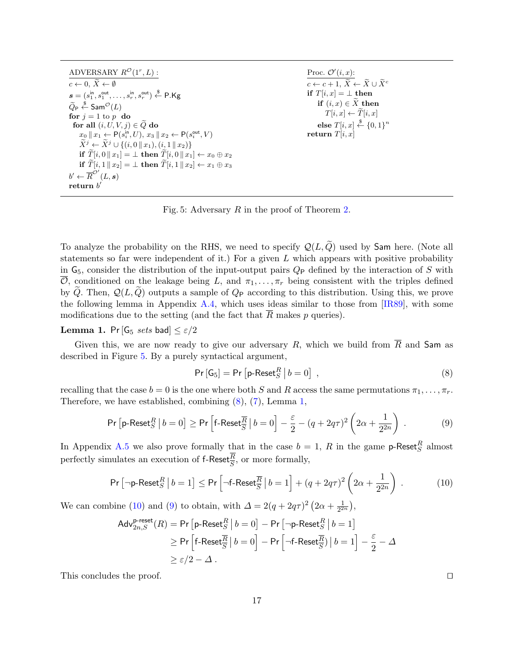<span id="page-16-0"></span>

| ADVERSARY $R^{\mathcal{O}}(1^r, L)$ :                                                                                      | Proc. $\mathcal{O}'(i,x)$ :                                                          |
|----------------------------------------------------------------------------------------------------------------------------|--------------------------------------------------------------------------------------|
| $c \leftarrow 0, \ \widetilde{X} \leftarrow \emptyset$                                                                     | $c \leftarrow c + 1, \, \widetilde{X} \leftarrow \widetilde{X} \cup \widetilde{X}^c$ |
| $\mathbf{s} = (s_1^{\text{in}}, s_1^{\text{out}}, \dots, s_r^{\text{in}}, s_r^{\text{out}}) \overset{\$}{\leftarrow} P.Kg$ | if $T[i, x] = \perp$ then                                                            |
| $\widetilde{Q}_P \overset{\$}{\leftarrow} \mathsf{Sam}^{\mathcal{O}}(L)$                                                   | if $(i, x) \in \widetilde{X}$ then                                                   |
| for $j = 1$ to p do                                                                                                        | $T[i, x] \leftarrow \widetilde{T}[i, x]$                                             |
| for all $(i, U, V, j) \in \tilde{Q}$ do                                                                                    | else $T[i, x] \stackrel{\$}{\leftarrow} \{0, 1\}^n$                                  |
| $x_0 \, \  \, x_1 \leftarrow P(s_i^{\text{in}}, U), \, x_3 \, \  \, x_2 \leftarrow P(s_i^{\text{out}}, V)$                 | return $T[i, x]$                                                                     |
| $\widetilde{X}^j \leftarrow \widetilde{X}^j \cup \{(i,0\,  \,x_1), (i,1\,  \,x_2)\}\$                                      |                                                                                      |
| if $\widetilde{T}[i,0\,\Vert\,x_1]=\bot$ then $\widetilde{T}[i,0\,\Vert\,x_1]\leftarrow x_0\oplus x_2$                     |                                                                                      |
| if $\widetilde{T}[i,1\,  \,x_2]=\bot$ then $\widetilde{T}[i,1\,  \,x_2]\leftarrow x_1\oplus x_3$                           |                                                                                      |
| $b' \leftarrow \overline{R}^{\mathcal{O}'}(L, s)$                                                                          |                                                                                      |
| return $b'$                                                                                                                |                                                                                      |

Fig. 5: Adversary  $R$  in the proof of Theorem [2.](#page-13-2)

To analyze the probability on the RHS, we need to specify  $\mathcal{Q}(L,\tilde{Q})$  used by Sam here. (Note all statements so far were independent of it.) For a given  $L$  which appears with positive probability in  $G_5$ , consider the distribution of the input-output pairs  $Q_P$  defined by the interaction of S with  $\overline{O}$ , conditioned on the leakage being L, and  $\pi_1, \ldots, \pi_r$  being consistent with the triples defined by Q. Then,  $\mathcal{Q}(L, Q)$  outputs a sample of  $Q_P$  according to this distribution. Using this, we prove the following lemma in Appendix [A.4,](#page-29-0) which uses ideas similar to those from [\[IR89\]](#page-26-13), with some modifications due to the setting (and the fact that  $\overline{R}$  makes p queries).

# **Lemma 1.** Pr  $[G_5 \text{ sets bad}] \leq \varepsilon/2$

Given this, we are now ready to give our adversary R, which we build from  $\overline{R}$  and Sam as described in Figure [5.](#page-16-0) By a purely syntactical argument,

<span id="page-16-2"></span><span id="page-16-1"></span>
$$
\Pr\left[\mathsf{G}_5\right] = \Pr\left[\mathsf{p}\text{-}\mathsf{Reset}_S^R \,|\, b = 0\right] \;, \tag{8}
$$

recalling that the case  $b = 0$  is the one where both S and R access the same permutations  $\pi_1, \ldots, \pi_r$ . Therefore, we have established, combining  $(8)$ ,  $(7)$ , Lemma [1,](#page-16-2)

<span id="page-16-4"></span>
$$
\Pr\left[\mathsf{p}\text{-}\mathsf{Reset}_{S}^{R} \,|\, b=0\right] \ge \Pr\left[\mathsf{f}\text{-}\mathsf{Reset}_{\overline{S}}^{\overline{R}} \,|\, b=0\right] - \frac{\varepsilon}{2} - (q+2q\tau)^{2} \left(2\alpha + \frac{1}{2^{2n}}\right) \,. \tag{9}
$$

In Appendix [A.5](#page-32-0) we also prove formally that in the case  $b = 1, R$  in the game p-Reset<sup>R</sup><sub>S</sub> almost perfectly simulates an execution of  $\mathsf{f}\text{-}\mathsf{Reset}^R_{\overline{S}}$ , or more formally,

<span id="page-16-3"></span>
$$
\Pr\left[\neg \mathsf{p}\text{-}\mathsf{Reset}_{S}^{R} \, \middle| \, b=1\right] \le \Pr\left[\neg \mathsf{f}\text{-}\mathsf{Reset}_{\overline{S}}^{\overline{R}} \, \middle| \, b=1\right] + (q+2q\tau)^{2} \left(2\alpha + \frac{1}{2^{2n}}\right) \,. \tag{10}
$$

We can combine [\(10\)](#page-16-3) and [\(9\)](#page-16-4) to obtain, with  $\Delta = 2(q + 2q\tau)^2 (2\alpha + \frac{1}{2^2})$  $\frac{1}{2^{2n}}\big),$ 

$$
\begin{aligned}\n\mathsf{Adv}_{2n,S}^{\mathsf{P}\text{-reset}}(R) &= \mathsf{Pr}\left[\mathsf{p}\text{-\mathsf{Reset}}_{S}^{R} \, \middle| \, b = 0\right] - \mathsf{Pr}\left[\neg \mathsf{p}\text{-\mathsf{Reset}}_{S}^{R} \, \middle| \, b = 1\right] \\
&\geq \mathsf{Pr}\left[\mathsf{f}\text{-\mathsf{Reset}}_{\overline{S}}^{\overline{R}} \, \middle| \, b = 0\right] - \mathsf{Pr}\left[\neg \mathsf{f}\text{-\mathsf{Reset}}_{\overline{S}}^{\overline{R}}\right] \, \middle| \, b = 1\right] - \frac{\varepsilon}{2} - \Delta \\
&\geq \varepsilon/2 - \Delta\,. \n\end{aligned}
$$

This concludes the proof.  $\Box$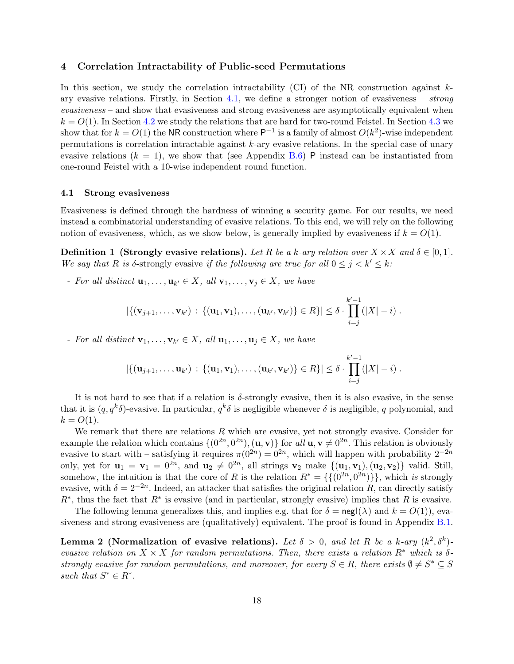# <span id="page-17-2"></span>4 Correlation Intractability of Public-seed Permutations

In this section, we study the correlation intractability (CI) of the NR construction against  $k$ -ary evasive relations. Firstly, in Section [4.1,](#page-17-0) we define a stronger notion of evasiveness – strong evasiveness – and show that evasiveness and strong evasiveness are asymptotically equivalent when  $k = O(1)$ . In Section [4.2](#page-18-0) we study the relations that are hard for two-round Feistel. In Section [4.3](#page-19-0) we show that for  $k = O(1)$  the NR construction where  $P^{-1}$  is a family of almost  $O(k^2)$ -wise independent permutations is correlation intractable against k-ary evasive relations. In the special case of unary evasive relations  $(k = 1)$ , we show that (see Appendix [B.6\)](#page-41-0) P instead can be instantiated from one-round Feistel with a 10-wise independent round function.

#### <span id="page-17-0"></span>4.1 Strong evasiveness

Evasiveness is defined through the hardness of winning a security game. For our results, we need instead a combinatorial understanding of evasive relations. To this end, we will rely on the following notion of evasiveness, which, as we show below, is generally implied by evasiveness if  $k = O(1)$ .

**Definition 1 (Strongly evasive relations).** Let R be a k-ary relation over  $X \times X$  and  $\delta \in [0,1]$ . We say that R is  $\delta$ -strongly evasive if the following are true for all  $0 \leq j \leq k' \leq k$ :

- For all distinct  $\mathbf{u}_1, \ldots, \mathbf{u}_{k'} \in X$ , all  $\mathbf{v}_1, \ldots, \mathbf{v}_j \in X$ , we have

$$
|\{(\mathbf{v}_{j+1},\ldots,\mathbf{v}_{k'})\,:\,\{(\mathbf{u}_1,\mathbf{v}_1),\ldots,(\mathbf{u}_{k'},\mathbf{v}_{k'})\}\in R\}|\leq \delta\cdot\prod_{i=j}^{k'-1}(|X|-i)\ .
$$

- For all distinct  $\mathbf{v}_1, \ldots, \mathbf{v}_{k'} \in X$ , all  $\mathbf{u}_1, \ldots, \mathbf{u}_j \in X$ , we have

$$
|\{(\mathbf{u}_{j+1},\ldots,\mathbf{u}_{k'})\,:\,\{(\mathbf{u}_1,\mathbf{v}_1),\ldots,(\mathbf{u}_{k'},\mathbf{v}_{k'})\}\in R\}|\leq \delta\cdot\prod_{i=j}^{k'-1}(|X|-i)\ .
$$

It is not hard to see that if a relation is  $\delta$ -strongly evasive, then it is also evasive, in the sense that it is  $(q, q^k\delta)$ -evasive. In particular,  $q^k\delta$  is negligible whenever  $\delta$  is negligible, q polynomial, and  $k = O(1)$ .

We remark that there are relations  $R$  which are evasive, yet not strongly evasive. Consider for example the relation which contains  $\{(0^{2n}, 0^{2n}), (\mathbf{u}, \mathbf{v})\}$  for all  $\mathbf{u}, \mathbf{v} \neq 0^{2n}$ . This relation is obviously evasive to start with – satisfying it requires  $\pi(0^{2n}) = 0^{2n}$ , which will happen with probability  $2^{-2n}$ only, yet for  $\mathbf{u}_1 = \mathbf{v}_1 = 0^{2n}$ , and  $\mathbf{u}_2 \neq 0^{2n}$ , all strings  $\mathbf{v}_2$  make  $\{(\mathbf{u}_1, \mathbf{v}_1), (\mathbf{u}_2, \mathbf{v}_2)\}\$  valid. Still, somehow, the intuition is that the core of R is the relation  $R^* = \{\{(0^{2n}, 0^{2n})\}\}\,$ , which is strongly evasive, with  $\delta = 2^{-2n}$ . Indeed, an attacker that satisfies the original relation R, can directly satisfy  $R^*$ , thus the fact that  $R^*$  is evasive (and in particular, strongly evasive) implies that R is evasive.

The following lemma generalizes this, and implies e.g. that for  $\delta = \text{negl}(\lambda)$  and  $k = O(1)$ , evasiveness and strong evasiveness are (qualitatively) equivalent. The proof is found in Appendix [B.1.](#page-32-1)

<span id="page-17-1"></span>Lemma 2 (Normalization of evasive relations). Let  $\delta > 0$ , and let R be a k-ary  $(k^2, \delta^k)$ evasive relation on  $X \times X$  for random permutations. Then, there exists a relation  $R^*$  which is  $\delta$ strongly evasive for random permutations, and moreover, for every  $S \in R$ , there exists  $\emptyset \neq S^* \subseteq S$ such that  $S^* \in R^*$ .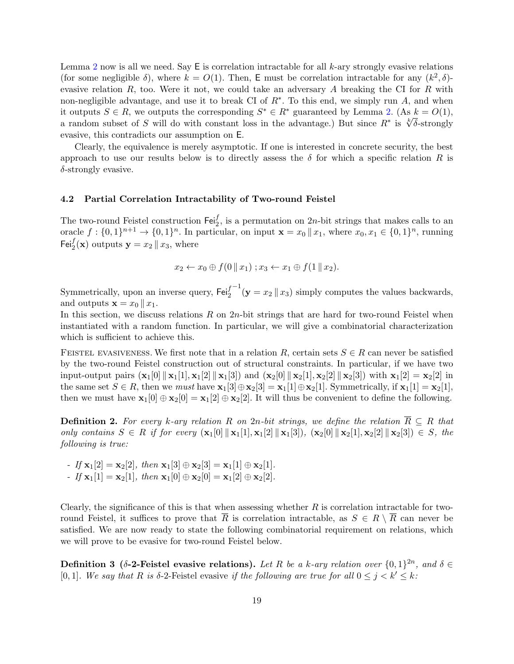Lemma [2](#page-17-1) now is all we need. Say  $E$  is correlation intractable for all  $k$ -ary strongly evasive relations (for some negligible  $\delta$ ), where  $k = O(1)$ . Then, E must be correlation intractable for any  $(k^2, \delta)$ evasive relation  $R$ , too. Were it not, we could take an adversary  $A$  breaking the CI for  $R$  with non-negligible advantage, and use it to break CI of  $R^*$ . To this end, we simply run A, and when it outputs  $S \in R$ , we outputs the corresponding  $S^* \in R^*$  guaranteed by Lemma [2.](#page-17-1) (As  $k = O(1)$ , it outputs  $S \in R$ , we outputs the corresponding  $S \in R^1$  guaranteed by Lemma 2. (As  $k = O(1)$ , a random subset of S will do with constant loss in the advantage.) But since  $R^*$  is  $\sqrt[k]{\delta}$ -strongly evasive, this contradicts our assumption on E.

Clearly, the equivalence is merely asymptotic. If one is interested in concrete security, the best approach to use our results below is to directly assess the  $\delta$  for which a specific relation R is  $\delta$ -strongly evasive.

## <span id="page-18-0"></span>4.2 Partial Correlation Intractability of Two-round Feistel

The two-round Feistel construction  $\text{Fei}_2^f$ , is a permutation on 2n-bit strings that makes calls to an oracle  $f: \{0,1\}^{n+1} \to \{0,1\}^n$ . In particular, on input  $\mathbf{x} = x_0 \parallel x_1$ , where  $x_0, x_1 \in \{0,1\}^n$ , running Fei $_2^f(\mathbf{x})$  outputs  $\mathbf{y} = x_2 \parallel x_3$ , where

$$
x_2 \leftarrow x_0 \oplus f(0 \, \| \, x_1) \, ; x_3 \leftarrow x_1 \oplus f(1 \, \| \, x_2).
$$

Symmetrically, upon an inverse query,  $\mathsf{Fe}_{2}^{if}$  $^{-1}$ (y = x<sub>2</sub> || x<sub>3</sub>) simply computes the values backwards, and outputs  $\mathbf{x} = x_0 || x_1$ .

In this section, we discuss relations  $R$  on  $2n$ -bit strings that are hard for two-round Feistel when instantiated with a random function. In particular, we will give a combinatorial characterization which is sufficient to achieve this.

FEISTEL EVASIVENESS. We first note that in a relation R, certain sets  $S \in R$  can never be satisfied by the two-round Feistel construction out of structural constraints. In particular, if we have two input-output pairs  $(\mathbf{x}_1[0] \|\mathbf{x}_1[1], \mathbf{x}_1[2] \|\mathbf{x}_1[3])$  and  $(\mathbf{x}_2[0] \|\mathbf{x}_2[1], \mathbf{x}_2[2] \|\mathbf{x}_2[3])$  with  $\mathbf{x}_1[2] = \mathbf{x}_2[2]$  in the same set  $S \in R$ , then we *must* have  $\mathbf{x}_1[3] \oplus \mathbf{x}_2[3] = \mathbf{x}_1[1] \oplus \mathbf{x}_2[1]$ . Symmetrically, if  $\mathbf{x}_1[1] = \mathbf{x}_2[1]$ , then we must have  $\mathbf{x}_1[0] \oplus \mathbf{x}_2[0] = \mathbf{x}_1[2] \oplus \mathbf{x}_2[2]$ . It will thus be convenient to define the following.

**Definition 2.** For every k-ary relation R on 2n-bit strings, we define the relation  $\overline{R} \subseteq R$  that only contains  $S \in R$  if for every  $(\mathbf{x}_1[0] \|\mathbf{x}_1[1], \mathbf{x}_1[2] \|\mathbf{x}_1[3])$ ,  $(\mathbf{x}_2[0] \|\mathbf{x}_2[1], \mathbf{x}_2[2] \|\mathbf{x}_2[3]) \in S$ , the following is true:

- If  $\mathbf{x}_1[2] = \mathbf{x}_2[2]$ , then  $\mathbf{x}_1[3] \oplus \mathbf{x}_2[3] = \mathbf{x}_1[1] \oplus \mathbf{x}_2[1]$ .
- If  $\mathbf{x}_1[1] = \mathbf{x}_2[1]$ , then  $\mathbf{x}_1[0] \oplus \mathbf{x}_2[0] = \mathbf{x}_1[2] \oplus \mathbf{x}_2[2]$ .

Clearly, the significance of this is that when assessing whether  $R$  is correlation intractable for tworound Feistel, it suffices to prove that  $\overline{R}$  is correlation intractable, as  $S \in R \setminus \overline{R}$  can never be satisfied. We are now ready to state the following combinatorial requirement on relations, which we will prove to be evasive for two-round Feistel below.

<span id="page-18-1"></span>Definition 3 (δ-2-Feistel evasive relations). Let R be a k-ary relation over  $\{0,1\}^{2n}$ , and  $\delta \in$ [0, 1]. We say that R is  $\delta$ -2-Feistel evasive if the following are true for all  $0 \le j \le k' \le k$ :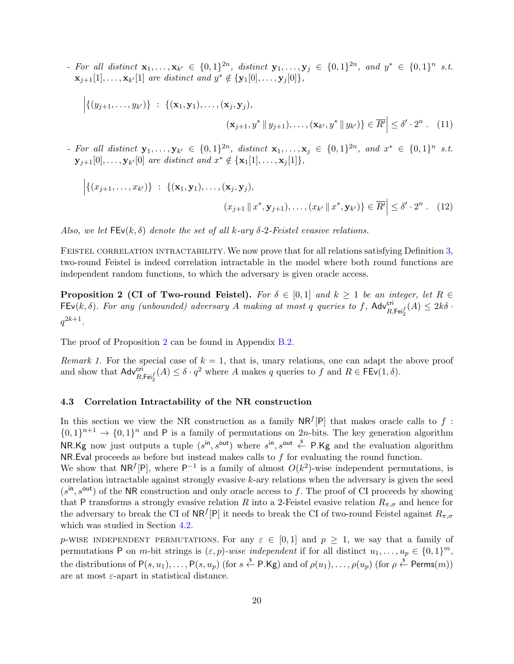- For all distinct  $\mathbf{x}_1, ..., \mathbf{x}_{k'} \in \{0,1\}^{2n}$ , distinct  $\mathbf{y}_1, ..., \mathbf{y}_j \in \{0,1\}^{2n}$ , and  $y^* \in \{0,1\}^{n}$  s.t.  $\mathbf{x}_{j+1}[1], \ldots, \mathbf{x}_{k'}[1]$  are distinct and  $y^* \notin {\mathbf{y}_1[0], \ldots, \mathbf{y}_j[0]}$ ,

<span id="page-19-2"></span>
$$
\left| \{ (y_{j+1}, \ldots, y_{k'}) \} : \{ (\mathbf{x}_1, \mathbf{y}_1), \ldots, (\mathbf{x}_j, \mathbf{y}_j), \\ (\mathbf{x}_{j+1}, y^* \parallel y_{j+1}), \ldots, (\mathbf{x}_{k'}, y^* \parallel y_{k'}) \} \in \overline{R'} \right| \le \delta' \cdot 2^n \ . \tag{11}
$$

- For all distinct  $\mathbf{y}_1, \ldots, \mathbf{y}_{k'} \in \{0,1\}^{2n}$ , distinct  $\mathbf{x}_1, \ldots, \mathbf{x}_j \in \{0,1\}^{2n}$ , and  $x^* \in \{0,1\}^n$  s.t.  $\mathbf{y}_{j+1}[0], \ldots, \mathbf{y}_{k'}[0]$  are distinct and  $x^* \notin {\mathbf{x}_1[1], \ldots, \mathbf{x}_j[1]}$ ,

<span id="page-19-3"></span>
$$
\left| \{ (x_{j+1}, \ldots, x_{k'}) \} : \{ (\mathbf{x}_1, \mathbf{y}_1), \ldots, (\mathbf{x}_j, \mathbf{y}_j), (x_{j+1} \parallel x^*, \mathbf{y}_{j+1}), \ldots, (x_{k'} \parallel x^*, \mathbf{y}_{k'}) \} \in \overline{R'} \right| \le \delta' \cdot 2^n . \tag{12}
$$

Also, we let  $FEv(k, \delta)$  denote the set of all k-ary  $\delta$ -2-Feistel evasive relations.

FEISTEL CORRELATION INTRACTABILITY. We now prove that for all relations satisfying Definition [3,](#page-18-1) two-round Feistel is indeed correlation intractable in the model where both round functions are independent random functions, to which the adversary is given oracle access.

<span id="page-19-1"></span>**Proposition 2 (CI of Two-round Feistel).** For  $\delta \in [0,1]$  and  $k \geq 1$  be an integer, let  $R \in$  $\mathsf{FEv}(k, \delta)$ . For any (unbounded) adversary A making at most q queries to f,  $\mathsf{Adv}_{R, \mathsf{Fei}_2^f}^{\mathsf{cri}}(A) \leq 2k\delta$ .  $q^{2k+1}$ .

<span id="page-19-4"></span>The proof of Proposition [2](#page-19-1) can be found in Appendix [B.2.](#page-35-0)

*Remark 1.* For the special case of  $k = 1$ , that is, unary relations, one can adapt the above proof and show that  $\mathsf{Adv}_{R,\mathsf{Fei}_2}^{\mathsf{cri}}(A) \leq \delta \cdot q^2$  where A makes q queries to f and  $R \in \mathsf{FEv}(1,\delta)$ .

# <span id="page-19-0"></span>4.3 Correlation Intractability of the NR construction

In this section we view the NR construction as a family  $NR^{f}[P]$  that makes oracle calls to f:  $\{0,1\}^{n+1} \to \{0,1\}^n$  and P is a family of permutations on 2n-bits. The key generation algorithm NR.Kg now just outputs a tuple  $(s^{in}, s^{out})$  where  $s^{in}, s^{out} \stackrel{\$}{\leftarrow} P.Kg$  and the evaluation algorithm NR. Eval proceeds as before but instead makes calls to  $f$  for evaluating the round function.

We show that  $NR^{f}[P]$ , where  $P^{-1}$  is a family of almost  $O(k^{2})$ -wise independent permutations, is correlation intractable against strongly evasive  $k$ -ary relations when the adversary is given the seed  $(s<sup>in</sup>, s<sup>out</sup>)$  of the NR construction and only oracle access to f. The proof of CI proceeds by showing that P transforms a strongly evasive relation R into a 2-Feistel evasive relation  $R_{\pi,\sigma}$  and hence for the adversary to break the CI of  $NR^{f}[P]$  it needs to break the CI of two-round Feistel against  $R_{\pi,\sigma}$ which was studied in Section [4.2.](#page-18-0)

p-WISE INDEPENDENT PERMUTATIONS. For any  $\varepsilon \in [0,1]$  and  $p \geq 1$ , we say that a family of permutations P on m-bit strings is  $(\varepsilon, p)$ -wise independent if for all distinct  $u_1, \ldots, u_p \in \{0, 1\}^m$ , the distributions of  $P(s, u_1), \ldots, P(s, u_p)$  (for  $s \stackrel{\$}{\leftarrow} P.Kg$ ) and of  $\rho(u_1), \ldots, \rho(u_p)$  (for  $\rho \stackrel{\$}{\leftarrow} Perms(m)$ ) are at most  $\varepsilon$ -apart in statistical distance.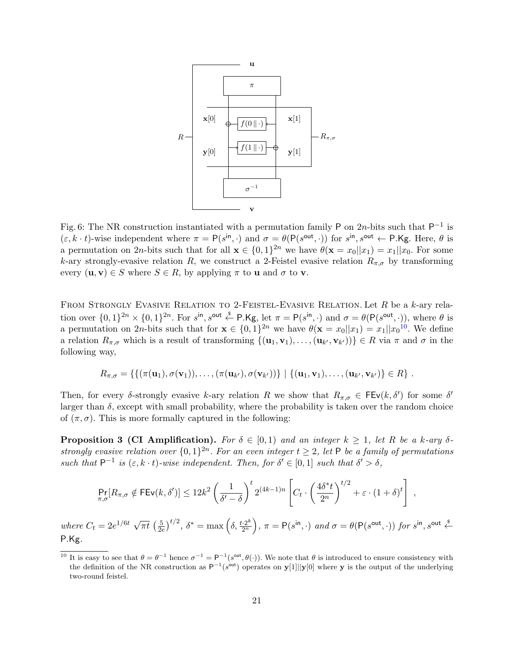

Fig. 6: The NR construction instantiated with a permutation family P on 2n-bits such that  $P^{-1}$  is  $(\varepsilon, k \cdot t)$ -wise independent where  $\pi = P(s^{in}, \cdot)$  and  $\sigma = \theta(P(s^{out}, \cdot))$  for  $s^{in}, s^{out} \leftarrow P$ .Kg. Here,  $\theta$  is a permutation on 2n-bits such that for all  $\mathbf{x} \in \{0,1\}^{2n}$  we have  $\theta(\mathbf{x} = x_0||x_1) = x_1||x_0$ . For some k-ary strongly-evasive relation R, we construct a 2-Feistel evasive relation  $R_{\pi,\sigma}$  by transforming every  $(\mathbf{u}, \mathbf{v}) \in S$  where  $S \in R$ , by applying  $\pi$  to **u** and  $\sigma$  to **v**.

FROM STRONGLY EVASIVE RELATION TO 2-FEISTEL-EVASIVE RELATION. Let  $R$  be a  $k$ -ary relation over  $\{0,1\}^{2n} \times \{0,1\}^{2n}$ . For  $s^{\text{in}}$ ,  $s^{\text{out}} \overset{\$}{\leftarrow} P.Kg$ , let  $\pi = P(s^{\text{in}},\cdot)$  and  $\sigma = \theta(P(s^{\text{out}},\cdot))$ , where  $\theta$  is a permutation on 2*n*-bits such that for  $\mathbf{x} \in \{0,1\}^{2n}$  we have  $\theta(\mathbf{x} = x_0||x_1) = x_1||x_0^{10}$  $\theta(\mathbf{x} = x_0||x_1) = x_1||x_0^{10}$  $\theta(\mathbf{x} = x_0||x_1) = x_1||x_0^{10}$ . We define a relation  $R_{\pi,\sigma}$  which is a result of transforming  $\{(\mathbf{u}_1, \mathbf{v}_1), \ldots, (\mathbf{u}_{k'}, \mathbf{v}_{k'})\}\in R$  via  $\pi$  and  $\sigma$  in the following way,

$$
R_{\pi,\sigma} = \{ \{ (\pi(\mathbf{u}_1), \sigma(\mathbf{v}_1)), \ldots, (\pi(\mathbf{u}_{k'}), \sigma(\mathbf{v}_{k'})) \} \mid \{ (\mathbf{u}_1, \mathbf{v}_1), \ldots, (\mathbf{u}_{k'}, \mathbf{v}_{k'}) \} \in R \} .
$$

Then, for every  $\delta$ -strongly evasive k-ary relation R we show that  $R_{\pi,\sigma} \in \text{FEv}(k,\delta')$  for some  $\delta'$ larger than  $\delta$ , except with small probability, where the probability is taken over the random choice of  $(\pi, \sigma)$ . This is more formally captured in the following:

<span id="page-20-1"></span>**Proposition 3 (CI Amplification).** For  $\delta \in [0,1)$  and an integer  $k \geq 1$ , let R be a k-ary  $\delta$ strongly evasive relation over  $\{0,1\}^{2n}$ . For an even integer  $t \geq 2$ , let P be a family of permutations such that  $P^{-1}$  is  $(\varepsilon, k \cdot t)$ -wise independent. Then, for  $\delta' \in [0,1]$  such that  $\delta' > \delta$ ,

$$
\Pr_{\pi,\sigma}[R_{\pi,\sigma} \notin \text{FEv}(k,\delta')] \le 12k^2 \left(\frac{1}{\delta'-\delta}\right)^t 2^{(4k-1)n} \left[C_t \cdot \left(\frac{4\delta^* t}{2^n}\right)^{t/2} + \varepsilon \cdot (1+\delta)^t\right],
$$
  
where  $C_t = 2e^{1/6t} \sqrt{\pi t} \left(\frac{5}{2e}\right)^{t/2}, \delta^* = \max\left(\delta, \frac{t \cdot 2^k}{2^n}\right), \pi = \mathsf{P}(s^{\text{in}}, \cdot)$  and  $\sigma = \theta(\mathsf{P}(s^{\text{out}}, \cdot))$  for  $s^{\text{in}}, s^{\text{out}} \stackrel{\$}{\leftarrow} \mathsf{P}.\mathsf{Kg}.$ 

<span id="page-20-0"></span><sup>&</sup>lt;sup>10</sup> It is easy to see that  $\theta = \theta^{-1}$  hence  $\sigma^{-1} = P^{-1}(s^{\text{out}}, \theta(\cdot))$ . We note that  $\theta$  is introduced to ensure consistency with the definition of the NR construction as  $P^{-1}(s^{\text{out}})$  operates on  $y[1] |y[0]$  where y is the output of the underlying two-round feistel.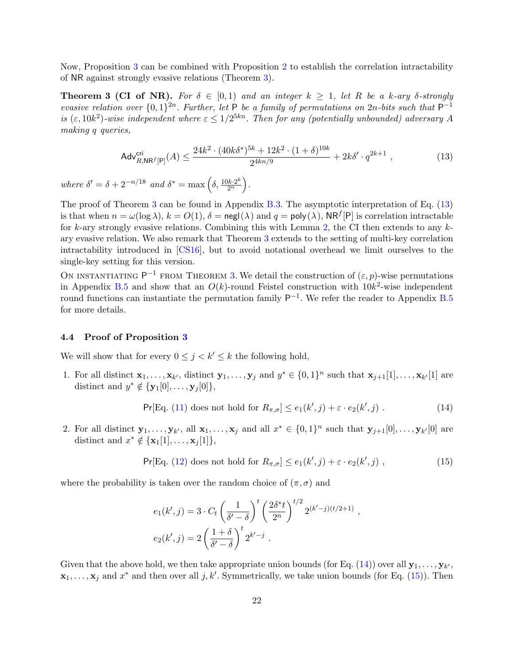Now, Proposition [3](#page-20-1) can be combined with Proposition [2](#page-19-1) to establish the correlation intractability of NR against strongly evasive relations (Theorem [3\)](#page-21-0).

**Theorem 3 (CI of NR).** For  $\delta \in [0,1)$  and an integer  $k \geq 1$ , let R be a k-ary  $\delta$ -strongly evasive relation over  $\{0,1\}^{2n}$ . Further, let P be a family of permutations on  $2n$ -bits such that  $P^{-1}$ is  $(\varepsilon, 10k^2)$ -wise independent where  $\varepsilon \leq 1/2^{5kn}$ . Then for any (potentially unbounded) adversary A making q queries,

<span id="page-21-0"></span>
$$
\mathsf{Adv}_{R,\mathsf{NR}^f[\mathsf{P}]}^{\mathsf{cri}}(A) \le \frac{24k^2 \cdot (40k\delta^*)^{5k} + 12k^2 \cdot (1+\delta)^{10k}}{2^{4kn/9}} + 2k\delta' \cdot q^{2k+1} ,\tag{13}
$$

where  $\delta' = \delta + 2^{-n/18}$  and  $\delta^* = \max\left(\delta, \frac{10k \cdot 2^k}{2^n}\right)$  $\frac{2k\cdot2^k}{2^n}$ .

The proof of Theorem [3](#page-21-0) can be found in Appendix [B.3.](#page-37-0) The asymptotic interpretation of Eq. [\(13\)](#page-21-0) is that when  $n = \omega(\log \lambda)$ ,  $k = O(1)$ ,  $\delta = \text{negl}(\lambda)$  and  $q = \text{poly}(\lambda)$ , NR<sup>f</sup> [P] is correlation intractable for k-ary strongly evasive relations. Combining this with Lemma [2,](#page-17-1) the CI then extends to any  $k$ ary evasive relation. We also remark that Theorem [3](#page-21-0) extends to the setting of multi-key correlation intractability introduced in [\[CS16\]](#page-25-14), but to avoid notational overhead we limit ourselves to the single-key setting for this version.

ON INSTANTIATING  $P^{-1}$  from Theorem [3.](#page-21-0) We detail the construction of  $(\varepsilon, p)$ -wise permutations in Appendix [B.5](#page-40-0) and show that an  $O(k)$ -round Feistel construction with  $10k^2$ -wise independent round functions can instantiate the permutation family  $P^{-1}$ . We refer the reader to Appendix [B.5](#page-40-0) for more details.

## 4.4 Proof of Proposition [3](#page-20-1)

We will show that for every  $0 \leq j < k' \leq k$  the following hold,

1. For all distinct  $\mathbf{x}_1, \ldots, \mathbf{x}_{k'}$ , distinct  $\mathbf{y}_1, \ldots, \mathbf{y}_j$  and  $y^* \in \{0, 1\}^n$  such that  $\mathbf{x}_{j+1}[1], \ldots, \mathbf{x}_{k'}[1]$  are distinct and  $y^* \notin {\mathbf{y}_1[0], \ldots, \mathbf{y}_j[0]}$ ,

<span id="page-21-1"></span>
$$
\Pr[\text{Eq. (11) does not hold for } R_{\pi,\sigma}] \le e_1(k',j) + \varepsilon \cdot e_2(k',j) \tag{14}
$$

2. For all distinct  $\mathbf{y}_1, \ldots, \mathbf{y}_{k'}$ , all  $\mathbf{x}_1, \ldots, \mathbf{x}_j$  and all  $x^* \in \{0,1\}^n$  such that  $\mathbf{y}_{j+1}[0], \ldots, \mathbf{y}_{k'}[0]$  are distinct and  $x^* \notin {\mathbf{x}_1[1], \ldots, \mathbf{x}_j[1]},$ 

<span id="page-21-2"></span>
$$
\Pr[\text{Eq. (12) does not hold for } R_{\pi,\sigma}] \le e_1(k',j) + \varepsilon \cdot e_2(k',j) ,\tag{15}
$$

where the probability is taken over the random choice of  $(\pi, \sigma)$  and

$$
e_1(k',j) = 3 \cdot C_t \left(\frac{1}{\delta'-\delta}\right)^t \left(\frac{2\delta^*t}{2^n}\right)^{t/2} 2^{(k'-j)(t/2+1)},
$$
  

$$
e_2(k',j) = 2 \left(\frac{1+\delta}{\delta'-\delta}\right)^t 2^{k'-j}.
$$

Given that the above hold, we then take appropriate union bounds (for Eq. [\(14\)](#page-21-1)) over all  $\mathbf{y}_1, \ldots, \mathbf{y}_{k'}$ ,  $\mathbf{x}_1, \ldots, \mathbf{x}_j$  and  $x^*$  and then over all j, k'. Symmetrically, we take union bounds (for Eq. [\(15\)](#page-21-2)). Then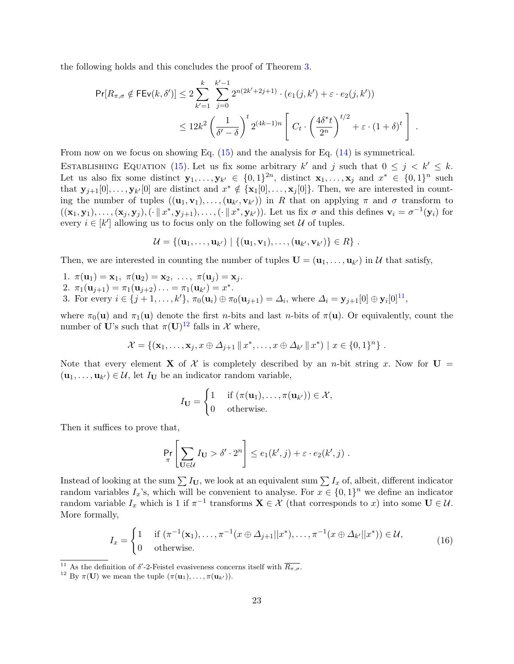the following holds and this concludes the proof of Theorem [3.](#page-20-1)

$$
\Pr[R_{\pi,\sigma} \notin \text{FEv}(k,\delta')] \le 2 \sum_{k'=1}^{k} \sum_{j=0}^{k'-1} 2^{n(2k'+2j+1)} \cdot (e_1(j,k') + \varepsilon \cdot e_2(j,k'))
$$
  

$$
\le 12k^2 \left(\frac{1}{\delta'-\delta}\right)^t 2^{(4k-1)n} \left[ C_t \cdot \left(\frac{4\delta^* t}{2^n}\right)^{t/2} + \varepsilon \cdot (1+\delta)^t \right].
$$

From now on we focus on showing Eq. [\(15\)](#page-21-2) and the analysis for Eq. [\(14\)](#page-21-1) is symmetrical. ESTABLISHING EQUATION [\(15\)](#page-21-2). Let us fix some arbitrary k' and j such that  $0 \le j \le k' \le k$ . Let us also fix some distinct  $\mathbf{y}_1, \ldots, \mathbf{y}_{k'} \in \{0,1\}^{2n}$ , distinct  $\mathbf{x}_1, \ldots, \mathbf{x}_j$  and  $x^* \in \{0,1\}^n$  such that  $\mathbf{y}_{j+1}[0], \ldots, \mathbf{y}_{k'}[0]$  are distinct and  $x^* \notin {\mathbf{x}_1[0], \ldots, \mathbf{x}_j[0]}$ . Then, we are interested in counting the number of tuples  $((\mathbf{u}_1, \mathbf{v}_1), \ldots, (\mathbf{u}_{k'}, \mathbf{v}_{k'})$  in R that on applying  $\pi$  and  $\sigma$  transform to  $((\mathbf{x}_1, \mathbf{y}_1), \ldots, (\mathbf{x}_j, \mathbf{y}_j), (\cdot \parallel x^*, \mathbf{y}_{j+1}), \ldots, (\cdot \parallel x^*, \mathbf{y}_{k'})).$  Let us fix  $\sigma$  and this defines  $\mathbf{v}_i = \sigma^{-1}(\mathbf{y}_i)$  for every  $i \in [k']$  allowing us to focus only on the following set  $\mathcal U$  of tuples.

$$
\mathcal{U} = \{(\mathbf{u}_1, \ldots, \mathbf{u}_{k'}) \mid \{(\mathbf{u}_1, \mathbf{v}_1), \ldots, (\mathbf{u}_{k'}, \mathbf{v}_{k'})\} \in R\}.
$$

Then, we are interested in counting the number of tuples  $\mathbf{U} = (\mathbf{u}_1, \dots, \mathbf{u}_{k'})$  in U that satisfy,

1.  $\pi(\mathbf{u}_1) = \mathbf{x}_1, \ \pi(\mathbf{u}_2) = \mathbf{x}_2, \ \ldots, \ \pi(\mathbf{u}_i) = \mathbf{x}_i.$ 2.  $\pi_1(\mathbf{u}_{j+1}) = \pi_1(\mathbf{u}_{j+2}) \ldots = \pi_1(\mathbf{u}_{k'}) = x^*.$ 3. For every  $i \in \{j+1,\ldots,k'\}, \pi_0(\mathbf{u}_i) \oplus \pi_0(\mathbf{u}_{j+1}) = \Delta_i$ , where  $\Delta_i = \mathbf{y}_{j+1}[0] \oplus \mathbf{y}_i[0]^{11}$  $\Delta_i = \mathbf{y}_{j+1}[0] \oplus \mathbf{y}_i[0]^{11}$  $\Delta_i = \mathbf{y}_{j+1}[0] \oplus \mathbf{y}_i[0]^{11}$ ,

where  $\pi_0(\mathbf{u})$  and  $\pi_1(\mathbf{u})$  denote the first *n*-bits and last *n*-bits of  $\pi(\mathbf{u})$ . Or equivalently, count the number of U's such that  $\pi(U)^{12}$  $\pi(U)^{12}$  $\pi(U)^{12}$  falls in X where,

$$
\mathcal{X} = \{ (\mathbf{x}_1, \ldots, \mathbf{x}_j, x \oplus \Delta_{j+1} || x^*, \ldots, x \oplus \Delta_{k'} || x^*) | x \in \{0,1\}^n \} .
$$

Note that every element **X** of  $\mathcal{X}$  is completely described by an *n*-bit string x. Now for **U** =  $(\mathbf{u}_1, \ldots, \mathbf{u}_{k'}) \in \mathcal{U}$ , let  $I_U$  be an indicator random variable,

$$
I_{\mathbf{U}} = \begin{cases} 1 & \text{if } (\pi(\mathbf{u}_1), \dots, \pi(\mathbf{u}_{k'})) \in \mathcal{X}, \\ 0 & \text{otherwise.} \end{cases}
$$

Then it suffices to prove that,

$$
\Pr_{\pi} \left[ \sum_{\mathbf{U} \in \mathcal{U}} I_{\mathbf{U}} > \delta' \cdot 2^{n} \right] \le e_1(k', j) + \varepsilon \cdot e_2(k', j) .
$$

Instead of looking at the sum  $\sum I_{\text{U}}$ , we look at an equivalent sum  $\sum I_x$  of, albeit, different indicator random variables  $I_x$ 's, which will be convenient to analyse. For  $x \in \{0,1\}^n$  we define an indicator random variable  $I_x$  which is 1 if  $\pi^{-1}$  transforms  $\mathbf{X} \in \mathcal{X}$  (that corresponds to x) into some  $\mathbf{U} \in \mathcal{U}$ . More formally,

<span id="page-22-2"></span>
$$
I_x = \begin{cases} 1 & \text{if } (\pi^{-1}(\mathbf{x}_1), \dots, \pi^{-1}(x \oplus \Delta_{j+1}||x^*), \dots, \pi^{-1}(x \oplus \Delta_{k'}||x^*)) \in \mathcal{U}, \\ 0 & \text{otherwise.} \end{cases} \tag{16}
$$

<span id="page-22-0"></span><sup>&</sup>lt;sup>11</sup> As the definition of  $\delta'$ -2-Feistel evasiveness concerns itself with  $\overline{R_{\pi,\sigma}}$ .

<span id="page-22-1"></span><sup>&</sup>lt;sup>12</sup> By  $\pi(\mathbf{U})$  we mean the tuple  $(\pi(\mathbf{u}_1), \ldots, \pi(\mathbf{u}_{k'})).$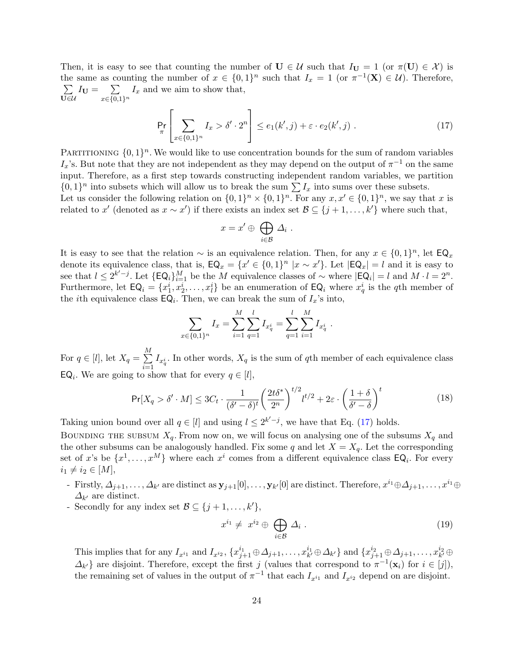Then, it is easy to see that counting the number of  $U \in \mathcal{U}$  such that  $I_U = 1$  (or  $\pi(U) \in \mathcal{X}$ ) is the same as counting the number of  $x \in \{0,1\}^n$  such that  $I_x = 1$  (or  $\pi^{-1}(\mathbf{X}) \in \mathcal{U}$ ). Therefore,  $\sum$ U∈U  $I_{\mathbf{U}} = -\sum$  $x \in \{0,1\}^n$  $I_x$  and we aim to show that,

<span id="page-23-0"></span>
$$
\Pr_{\pi} \left[ \sum_{x \in \{0,1\}^n} I_x > \delta' \cdot 2^n \right] \le e_1(k',j) + \varepsilon \cdot e_2(k',j) \tag{17}
$$

PARTITIONING  $\{0,1\}^n$ . We would like to use concentration bounds for the sum of random variables  $I_x$ 's. But note that they are not independent as they may depend on the output of  $\pi^{-1}$  on the same input. Therefore, as a first step towards constructing independent random variables, we partition  $\{0,1\}^n$  into subsets which will allow us to break the sum  $\sum I_x$  into sums over these subsets.

Let us consider the following relation on  $\{0,1\}^n \times \{0,1\}^n$ . For any  $x, x' \in \{0,1\}^n$ , we say that x is related to x' (denoted as  $x \sim x'$ ) if there exists an index set  $\mathcal{B} \subseteq \{j+1,\ldots,k'\}$  where such that,

$$
x = x' \oplus \bigoplus_{i \in \mathcal{B}} \Delta_i.
$$

It is easy to see that the relation  $\sim$  is an equivalence relation. Then, for any  $x \in \{0,1\}^n$ , let  $\mathsf{EQ}_x$ denote its equivalence class, that is,  $\mathsf{EQ}_x = \{x' \in \{0,1\}^n | x \sim x'\}.$  Let  $|\mathsf{EQ}_x| = l$  and it is easy to see that  $l \leq 2^{k'-j}$ . Let  $\{\textsf{EQ}_i\}_{i=1}^M$  be the M equivalence classes of  $\sim$  where  $|\textsf{EQ}_i| = l$  and  $M \cdot l = 2^n$ . Furthermore, let  $\mathsf{EQ}_i = \{x_1^i, x_2^i, \ldots, x_l^i\}$  be an enumeration of  $\mathsf{EQ}_i$  where  $x_q^i$  is the qth member of the *i*th equivalence class  $\mathsf{EQ}_i$ . Then, we can break the sum of  $I_x$ 's into,

$$
\sum_{x \in \{0,1\}^n} I_x = \sum_{i=1}^M \sum_{q=1}^l I_{x_q^i} = \sum_{q=1}^l \sum_{i=1}^M I_{x_q^i}.
$$

For  $q \in [l]$ , let  $X_q = \sum_{ }^{M}$  $\sum_{i=1} I_{x_q^i}$ . In other words,  $X_q$  is the sum of qth member of each equivalence class  $\mathsf{EQ}_i$ . We are going to show that for every  $q \in [l],$ 

$$
\Pr[X_q > \delta' \cdot M] \le 3C_t \cdot \frac{1}{(\delta' - \delta)^t} \left(\frac{2t\delta^*}{2^n}\right)^{t/2} l^{t/2} + 2\varepsilon \cdot \left(\frac{1+\delta}{\delta' - \delta}\right)^t \tag{18}
$$

<span id="page-23-1"></span>Taking union bound over all  $q \in [l]$  and using  $l \leq 2^{k'-j}$ , we have that Eq. [\(17\)](#page-23-0) holds.

BOUNDING THE SUBSUM  $X_q$ . From now on, we will focus on analysing one of the subsums  $X_q$  and the other subsums can be analogously handled. Fix some q and let  $X = X_q$ . Let the corresponding set of x's be  $\{x^1, \ldots, x^M\}$  where each  $x^i$  comes from a different equivalence class  $\mathsf{EQ}_i$ . For every  $i_1 \neq i_2 \in [M],$ 

- Firstly,  $\Delta_{j+1},\ldots,\Delta_{k'}$  are distinct as  $\mathbf{y}_{j+1}[0],\ldots,\mathbf{y}_{k'}[0]$  are distinct. Therefore,  $x^{i_1}\oplus \Delta_{j+1},\ldots,x^{i_1}\oplus$  $\Delta_{k'}$  are distinct.
- Secondly for any index set  $\mathcal{B} \subseteq \{j+1,\ldots,k'\},\$

$$
x^{i_1} \neq x^{i_2} \oplus \bigoplus_{i \in \mathcal{B}} \Delta_i . \tag{19}
$$

This implies that for any  $I_{x^{i_1}}$  and  $I_{x^{i_2}}$ ,  $\{x_{j+1}^{i_1} \oplus \Delta_{j+1}, \ldots, x_{k'}^{i_1} \oplus \Delta_{k'}\}$  and  $\{x_{j+1}^{i_2} \oplus \Delta_{j+1}, \ldots, x_{k'}^{i_2} \oplus \Delta_{k'}\}$  $\Delta_{k'}$  are disjoint. Therefore, except the first j (values that correspond to  $\pi^{-1}(\mathbf{x}_i)$  for  $i \in [j]$ ), the remaining set of values in the output of  $\pi^{-1}$  that each  $I_{x^{i_1}}$  and  $I_{x^{i_2}}$  depend on are disjoint.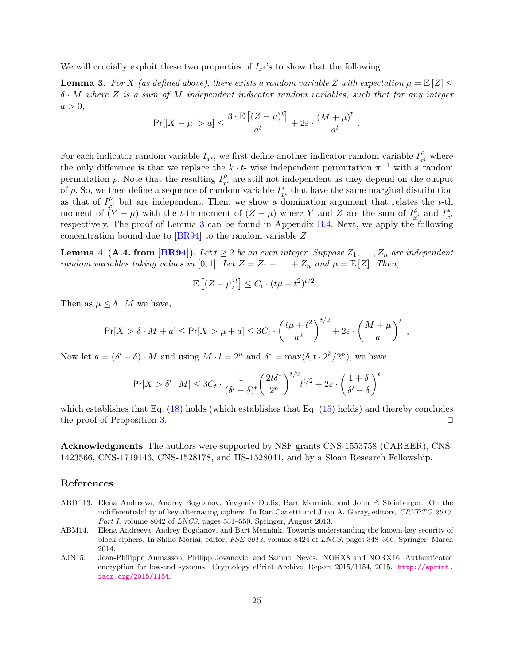We will crucially exploit these two properties of  $I_{x_i}$ 's to show that the following:

**Lemma 3.** For X (as defined above), there exists a random variable Z with expectation  $\mu = \mathbb{E}[Z] \leq$  $\delta \cdot M$  where Z is a sum of M independent indicator random variables, such that for any integer  $a > 0$ ,

<span id="page-24-3"></span>
$$
\Pr[|X - \mu| > a] \le \frac{3 \cdot \mathbb{E}\left[ (Z - \mu)^t \right]}{a^t} + 2\varepsilon \cdot \frac{(M + \mu)^t}{a^t}.
$$

For each indicator random variable  $I_{x_i}$ , we first define another indicator random variable  $I_{x_i}^{\rho}$  where the only difference is that we replace the  $k \cdot t$ - wise independent permutation  $\pi^{-1}$  with a random permutation  $\rho$ . Note that the resulting  $I_{x_i}^{\rho}$  are still not independent as they depend on the output of  $\rho$ . So, we then define a sequence of random variable  $I^*_{x^i}$  that have the same marginal distribution as that of  $I_{x^i}^{\rho}$  but are independent. Then, we show a domination argument that relates the t-th moment of  $(Y - \mu)$  with the t-th moment of  $(Z - \mu)$  where Y and Z are the sum of  $I_{x_i}^{\rho}$  and  $I_{x_i}^*$ respectively. The proof of Lemma [3](#page-24-3) can be found in Appendix [B.4.](#page-37-1) Next, we apply the following concentration bound due to [\[BR94\]](#page-25-17) to the random variable Z.

**Lemma 4 (A.4. from [\[BR94\]](#page-25-17)).** Let  $t \geq 2$  be an even integer. Suppose  $Z_1, \ldots, Z_n$  are independent random variables taking values in [0,1]. Let  $Z = Z_1 + \ldots + Z_n$  and  $\mu = \mathbb{E}[Z]$ . Then,

$$
\mathbb{E}\left[ (Z-\mu)^t \right] \leq C_t \cdot (t\mu + t^2)^{t/2} .
$$

Then as  $\mu \leq \delta \cdot M$  we have,

$$
\Pr[X > \delta \cdot M + a] \le \Pr[X > \mu + a] \le 3C_t \cdot \left(\frac{t\mu + t^2}{a^2}\right)^{t/2} + 2\varepsilon \cdot \left(\frac{M + \mu}{a}\right)^t,
$$

Now let  $a = (\delta' - \delta) \cdot M$  and using  $M \cdot l = 2^n$  and  $\delta^* = \max(\delta, t \cdot 2^k / 2^n)$ , we have

$$
\Pr[X > \delta' \cdot M] \le 3C_t \cdot \frac{1}{(\delta' - \delta)^t} \left(\frac{2t\delta^*}{2^n}\right)^{t/2} l^{t/2} + 2\varepsilon \cdot \left(\frac{1+\delta}{\delta' - \delta}\right)^t
$$

which establishes that Eq.  $(18)$  holds (which establishes that Eq.  $(15)$  holds) and thereby concludes the proof of Proposition [3.](#page-20-1)  $\Box$ 

Acknowledgments The authors were supported by NSF grants CNS-1553758 (CAREER), CNS-1423566, CNS-1719146, CNS-1528178, and IIS-1528041, and by a Sloan Research Fellowship.

# References

- <span id="page-24-1"></span>ABD<sup>+</sup>13. Elena Andreeva, Andrey Bogdanov, Yevgeniy Dodis, Bart Mennink, and John P. Steinberger. On the indifferentiability of key-alternating ciphers. In Ran Canetti and Juan A. Garay, editors, CRYPTO 2013, Part I, volume 8042 of LNCS, pages 531–550. Springer, August 2013.
- <span id="page-24-2"></span>ABM14. Elena Andreeva, Andrey Bogdanov, and Bart Mennink. Towards understanding the known-key security of block ciphers. In Shiho Moriai, editor, FSE 2013, volume 8424 of LNCS, pages 348–366. Springer, March 2014.
- <span id="page-24-0"></span>AJN15. Jean-Philippe Aumasson, Philipp Jovanovic, and Samuel Neves. NORX8 and NORX16: Authenticated encryption for low-end systems. Cryptology ePrint Archive, Report 2015/1154, 2015. [http://eprint.](http://eprint.iacr.org/2015/1154) [iacr.org/2015/1154](http://eprint.iacr.org/2015/1154).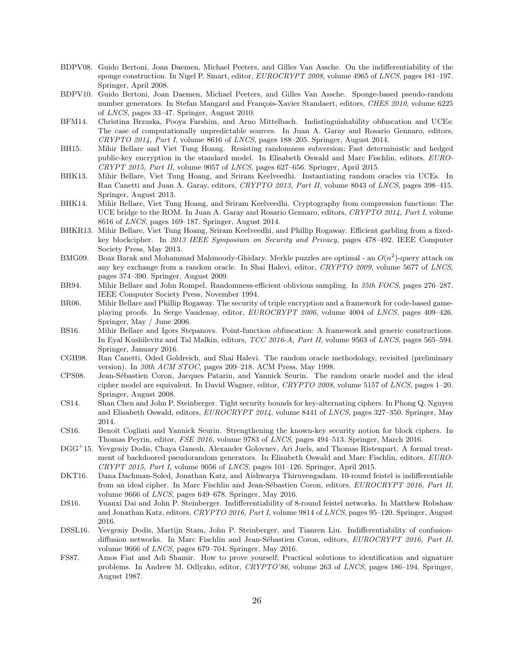- <span id="page-25-0"></span>BDPV08. Guido Bertoni, Joan Daemen, Michael Peeters, and Gilles Van Assche. On the indifferentiability of the sponge construction. In Nigel P. Smart, editor,  $EUROCRYPT 2008$ , volume 4965 of LNCS, pages 181-197. Springer, April 2008.
- <span id="page-25-1"></span>BDPV10. Guido Bertoni, Joan Daemen, Michael Peeters, and Gilles Van Assche. Sponge-based pseudo-random number generators. In Stefan Mangard and François-Xavier Standaert, editors, CHES 2010, volume 6225 of LNCS, pages 33–47. Springer, August 2010.
- <span id="page-25-11"></span>BFM14. Christina Brzuska, Pooya Farshim, and Arno Mittelbach. Indistinguishability obfuscation and UCEs: The case of computationally unpredictable sources. In Juan A. Garay and Rosario Gennaro, editors, CRYPTO 2014, Part I, volume 8616 of LNCS, pages 188–205. Springer, August 2014.
- <span id="page-25-9"></span>BH15. Mihir Bellare and Viet Tung Hoang. Resisting randomness subversion: Fast deterministic and hedged public-key encryption in the standard model. In Elisabeth Oswald and Marc Fischlin, editors, EURO-CRYPT 2015, Part II, volume 9057 of LNCS, pages 627–656. Springer, April 2015.
- <span id="page-25-7"></span>BHK13. Mihir Bellare, Viet Tung Hoang, and Sriram Keelveedhi. Instantiating random oracles via UCEs. In Ran Canetti and Juan A. Garay, editors, CRYPTO 2013, Part II, volume 8043 of LNCS, pages 398–415. Springer, August 2013.
- <span id="page-25-15"></span>BHK14. Mihir Bellare, Viet Tung Hoang, and Sriram Keelveedhi. Cryptography from compression functions: The UCE bridge to the ROM. In Juan A. Garay and Rosario Gennaro, editors, CRYPTO 2014, Part I, volume 8616 of LNCS, pages 169–187. Springer, August 2014.
- <span id="page-25-2"></span>BHKR13. Mihir Bellare, Viet Tung Hoang, Sriram Keelveedhi, and Phillip Rogaway. Efficient garbling from a fixedkey blockcipher. In 2013 IEEE Symposium on Security and Privacy, pages 478–492. IEEE Computer Society Press, May 2013.
- <span id="page-25-16"></span>BMG09. Boaz Barak and Mohammad Mahmoody-Ghidary. Merkle puzzles are optimal - an  $O(n^2)$ -query attack on any key exchange from a random oracle. In Shai Halevi, editor, CRYPTO 2009, volume 5677 of LNCS, pages 374–390. Springer, August 2009.
- <span id="page-25-17"></span>BR94. Mihir Bellare and John Rompel. Randomness-efficient oblivious sampling. In 35th FOCS, pages 276–287. IEEE Computer Society Press, November 1994.
- <span id="page-25-18"></span>BR06. Mihir Bellare and Phillip Rogaway. The security of triple encryption and a framework for code-based gameplaying proofs. In Serge Vaudenay, editor, EUROCRYPT 2006, volume 4004 of LNCS, pages 409–426. Springer, May / June 2006.
- <span id="page-25-10"></span>BS16. Mihir Bellare and Igors Stepanovs. Point-function obfuscation: A framework and generic constructions. In Eyal Kushilevitz and Tal Malkin, editors, TCC 2016-A, Part II, volume 9563 of LNCS, pages 565–594. Springer, January 2016.
- <span id="page-25-12"></span>CGH98. Ran Canetti, Oded Goldreich, and Shai Halevi. The random oracle methodology, revisited (preliminary version). In 30th ACM STOC, pages 209–218. ACM Press, May 1998.
- <span id="page-25-3"></span>CPS08. Jean-S´ebastien Coron, Jacques Patarin, and Yannick Seurin. The random oracle model and the ideal cipher model are equivalent. In David Wagner, editor, CRYPTO 2008, volume 5157 of LNCS, pages 1–20. Springer, August 2008.
- <span id="page-25-19"></span>CS14. Shan Chen and John P. Steinberger. Tight security bounds for key-alternating ciphers. In Phong Q. Nguyen and Elisabeth Oswald, editors, EUROCRYPT 2014, volume 8441 of LNCS, pages 327–350. Springer, May 2014.
- <span id="page-25-14"></span>CS16. Benoît Cogliati and Yannick Seurin. Strengthening the known-key security notion for block ciphers. In Thomas Peyrin, editor, FSE 2016, volume 9783 of LNCS, pages 494–513. Springer, March 2016.
- <span id="page-25-8"></span>DGG<sup>+</sup>15. Yevgeniy Dodis, Chaya Ganesh, Alexander Golovnev, Ari Juels, and Thomas Ristenpart. A formal treatment of backdoored pseudorandom generators. In Elisabeth Oswald and Marc Fischlin, editors, EURO-CRYPT 2015, Part I, volume 9056 of LNCS, pages 101–126. Springer, April 2015.
- <span id="page-25-5"></span>DKT16. Dana Dachman-Soled, Jonathan Katz, and Aishwarya Thiruvengadam. 10-round feistel is indifferentiable from an ideal cipher. In Marc Fischlin and Jean-Sébastien Coron, editors, EUROCRYPT 2016, Part II, volume 9666 of LNCS, pages 649–678. Springer, May 2016.
- <span id="page-25-6"></span>DS16. Yuanxi Dai and John P. Steinberger. Indifferentiability of 8-round feistel networks. In Matthew Robshaw and Jonathan Katz, editors, CRYPTO 2016, Part I, volume 9814 of LNCS, pages 95–120. Springer, August 2016.
- <span id="page-25-4"></span>DSSL16. Yevgeniy Dodis, Martijn Stam, John P. Steinberger, and Tianren Liu. Indifferentiability of confusiondiffusion networks. In Marc Fischlin and Jean-Sébastien Coron, editors, EUROCRYPT 2016, Part II, volume 9666 of LNCS, pages 679–704. Springer, May 2016.
- <span id="page-25-13"></span>FS87. Amos Fiat and Adi Shamir. How to prove yourself: Practical solutions to identification and signature problems. In Andrew M. Odlyzko, editor, CRYPTO'86, volume 263 of LNCS, pages 186–194. Springer, August 1987.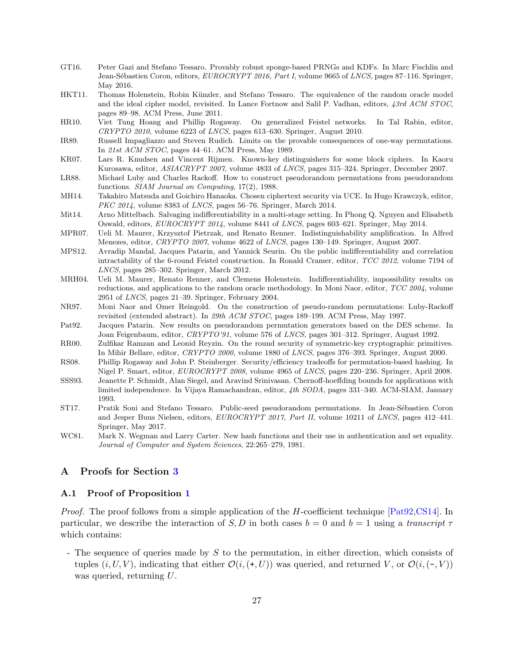- <span id="page-26-4"></span>GT16. Peter Gazi and Stefano Tessaro. Provably robust sponge-based PRNGs and KDFs. In Marc Fischlin and Jean-Sébastien Coron, editors, EUROCRYPT 2016, Part I, volume 9665 of LNCS, pages 87–116. Springer, May 2016.
- <span id="page-26-5"></span>HKT11. Thomas Holenstein, Robin Künzler, and Stefano Tessaro. The equivalence of the random oracle model and the ideal cipher model, revisited. In Lance Fortnow and Salil P. Vadhan, editors, 43rd ACM STOC, pages 89–98. ACM Press, June 2011.
- <span id="page-26-2"></span>HR10. Viet Tung Hoang and Phillip Rogaway. On generalized Feistel networks. In Tal Rabin, editor, CRYPTO 2010, volume 6223 of LNCS, pages 613–630. Springer, August 2010.
- <span id="page-26-13"></span>IR89. Russell Impagliazzo and Steven Rudich. Limits on the provable consequences of one-way permutations. In 21st ACM STOC, pages 44–61. ACM Press, May 1989.
- <span id="page-26-8"></span>KR07. Lars R. Knudsen and Vincent Rijmen. Known-key distinguishers for some block ciphers. In Kaoru Kurosawa, editor, ASIACRYPT 2007, volume 4833 of LNCS, pages 315–324. Springer, December 2007.
- <span id="page-26-0"></span>LR88. Michael Luby and Charles Rackoff. How to construct pseudorandom permutations from pseudorandom functions. SIAM Journal on Computing, 17(2), 1988.
- <span id="page-26-10"></span>MH14. Takahiro Matsuda and Goichiro Hanaoka. Chosen ciphertext security via UCE. In Hugo Krawczyk, editor, PKC 2014, volume 8383 of LNCS, pages 56–76. Springer, March 2014.
- <span id="page-26-11"></span>Mit14. Arno Mittelbach. Salvaging indifferentiability in a multi-stage setting. In Phong Q. Nguyen and Elisabeth Oswald, editors, EUROCRYPT 2014, volume 8441 of LNCS, pages 603–621. Springer, May 2014.
- <span id="page-26-18"></span>MPR07. Ueli M. Maurer, Krzysztof Pietrzak, and Renato Renner. Indistinguishability amplification. In Alfred Menezes, editor, CRYPTO 2007, volume 4622 of LNCS, pages 130–149. Springer, August 2007.
- <span id="page-26-9"></span>MPS12. Avradip Mandal, Jacques Patarin, and Yannick Seurin. On the public indifferentiability and correlation intractability of the 6-round Feistel construction. In Ronald Cramer, editor, TCC 2012, volume 7194 of LNCS, pages 285–302. Springer, March 2012.
- <span id="page-26-6"></span>MRH04. Ueli M. Maurer, Renato Renner, and Clemens Holenstein. Indifferentiability, impossibility results on reductions, and applications to the random oracle methodology. In Moni Naor, editor, TCC 2004, volume 2951 of LNCS, pages 21–39. Springer, February 2004.
- <span id="page-26-1"></span>NR97. Moni Naor and Omer Reingold. On the construction of pseudo-random permutations: Luby-Rackoff revisited (extended abstract). In 29th ACM STOC, pages 189–199. ACM Press, May 1997.
- <span id="page-26-16"></span>Pat92. Jacques Patarin. New results on pseudorandom permutation generators based on the DES scheme. In Joan Feigenbaum, editor, CRYPTO'91, volume 576 of LNCS, pages 301–312. Springer, August 1992.
- <span id="page-26-12"></span>RR00. Zulfikar Ramzan and Leonid Reyzin. On the round security of symmetric-key cryptographic primitives. In Mihir Bellare, editor, CRYPTO 2000, volume 1880 of LNCS, pages 376–393. Springer, August 2000.
- <span id="page-26-3"></span>RS08. Phillip Rogaway and John P. Steinberger. Security/efficiency tradeoffs for permutation-based hashing. In Nigel P. Smart, editor, EUROCRYPT 2008, volume 4965 of LNCS, pages 220–236. Springer, April 2008.
- <span id="page-26-14"></span>SSS93. Jeanette P. Schmidt, Alan Siegel, and Aravind Srinivasan. Chernoff-hoeffding bounds for applications with limited independence. In Vijaya Ramachandran, editor, 4th SODA, pages 331–340. ACM-SIAM, January 1993.
- <span id="page-26-7"></span>ST17. Pratik Soni and Stefano Tessaro. Public-seed pseudorandom permutations. In Jean-Sébastien Coron and Jesper Buus Nielsen, editors, EUROCRYPT 2017, Part II, volume 10211 of LNCS, pages 412–441. Springer, May 2017.
- <span id="page-26-17"></span>WC81. Mark N. Wegman and Larry Carter. New hash functions and their use in authentication and set equality. Journal of Computer and System Sciences, 22:265–279, 1981.

# A Proofs for Section [3](#page-11-4)

# <span id="page-26-15"></span>A.1 Proof of Proposition [1](#page-11-2)

Proof. The proof follows from a simple application of the H-coefficient technique [\[Pat92,](#page-26-16)[CS14\]](#page-25-19). In particular, we describe the interaction of S, D in both cases  $b = 0$  and  $b = 1$  using a transcript  $\tau$ which contains:

- The sequence of queries made by S to the permutation, in either direction, which consists of tuples  $(i, U, V)$ , indicating that either  $\mathcal{O}(i, (+, U))$  was queried, and returned V, or  $\mathcal{O}(i, (-, V))$ was queried, returning U.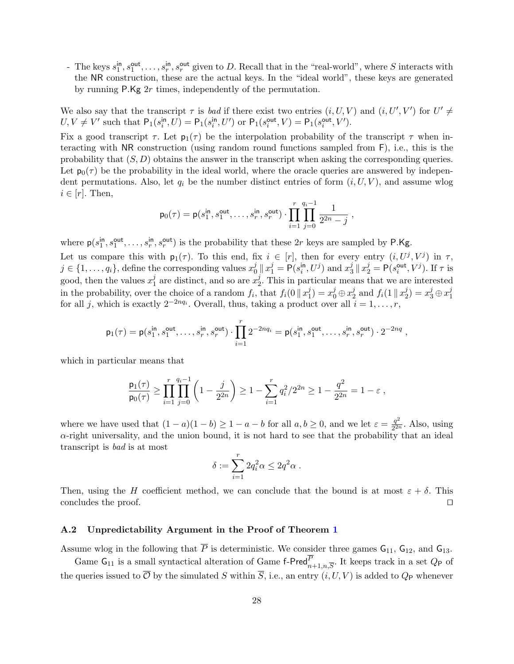- The keys  $s_1^{\text{in}}, s_2^{\text{out}}, \ldots, s_r^{\text{in}}, s_r^{\text{out}}$  given to D. Recall that in the "real-world", where S interacts with the NR construction, these are the actual keys. In the "ideal world", these keys are generated by running P.Kg 2r times, independently of the permutation.

We also say that the transcript  $\tau$  is bad if there exist two entries  $(i, U, V)$  and  $(i, U', V')$  for  $U' \neq$  $U, V \neq V'$  such that  $P_1(s_i^{\text{in}}, U) = P_1(s_i^{\text{in}}, U')$  or  $P_1(s_i^{\text{out}}, V) = P_1(s_i^{\text{out}}, V')$ .

Fix a good transcript  $\tau$ . Let  $p_1(\tau)$  be the interpolation probability of the transcript  $\tau$  when interacting with NR construction (using random round functions sampled from F), i.e., this is the probability that  $(S, D)$  obtains the answer in the transcript when asking the corresponding queries. Let  $p_0(\tau)$  be the probability in the ideal world, where the oracle queries are answered by independent permutations. Also, let  $q_i$  be the number distinct entries of form  $(i, U, V)$ , and assume wlog  $i \in [r]$ . Then,

$$
\mathsf{p}_0(\tau) = \mathsf{p}(s_1^{\mathsf{in}}, s_1^{\mathsf{out}}, \dots, s_r^{\mathsf{in}}, s_r^{\mathsf{out}}) \cdot \prod_{i=1}^r \prod_{j=0}^{q_i - 1} \frac{1}{2^{2n} - j}
$$

,

where  $p(s_1^{in}, s_1^{out}, \ldots, s_r^{in}, s_r^{out})$  is the probability that these  $2r$  keys are sampled by P.Kg.

Let us compare this with  $p_1(\tau)$ . To this end, fix  $i \in [r]$ , then for every entry  $(i, U^j, V^j)$  in  $\tau$ ,  $j \in \{1, \ldots, q_i\}$ , define the corresponding values  $x_0^j$  $\frac{j}{0} \|x_1^j = \mathsf{P}(s_i^{\sf in}, U^j)$  and  $x_3^j$  $\frac{j}{3}$  ||  $x_2^j = \mathsf{P}(s_i^{\text{out}}, V^j)$ . If  $\tau$  is good, then the values  $x_1^j$  $j_1$  are distinct, and so are  $x_2^j$  $2<sup>0</sup>$ . This in particular means that we are interested in the probability, over the choice of a random  $f_i$ , that  $f_i(0 \parallel x_1^j)$  $j_1^j$  =  $x_0^j \oplus x_2^j$  $\frac{j}{2}$  and  $f_i(1 \parallel x_2^j)$  $x_2^j$  =  $x_3^j \oplus x_1^j$ In the probability, over the choice of a random  $j_i$ , that  $j_i(\sigma||x_1) - x_0 \oplus x_2$  and  $j_i(1||x_2) - x_3 \oplus x_1$  for all j, which is exactly  $2^{-2nq_i}$ . Overall, thus, taking a product over all  $i = 1, ..., r$ ,

$$
\mathsf{p}_1(\tau) = \mathsf{p}(s_1^{\mathsf{in}}, s_1^{\mathsf{out}}, \dots, s_r^{\mathsf{in}}, s_r^{\mathsf{out}}) \cdot \prod_{i=1}^r 2^{-2nq_i} = \mathsf{p}(s_1^{\mathsf{in}}, s_1^{\mathsf{out}}, \dots, s_r^{\mathsf{in}}, s_r^{\mathsf{out}}) \cdot 2^{-2nq},
$$

which in particular means that

$$
\frac{\mathsf{p}_1(\tau)}{\mathsf{p}_0(\tau)} \ge \prod_{i=1}^r \prod_{j=0}^{q_i-1} \left(1 - \frac{j}{2^{2n}}\right) \ge 1 - \sum_{i=1}^r q_i^2/2^{2n} \ge 1 - \frac{q^2}{2^{2n}} = 1 - \varepsilon,
$$

where we have used that  $(1-a)(1-b) \geq 1-a-b$  for all  $a, b \geq 0$ , and we let  $\varepsilon = \frac{q^2}{2^{2n}}$  $\frac{q^2}{2^{2n}}$ . Also, using  $\alpha$ -right universality, and the union bound, it is not hard to see that the probability that an ideal transcript is bad is at most

$$
\delta := \sum_{i=1}^r 2q_i^2 \alpha \le 2q^2 \alpha \; .
$$

Then, using the H coefficient method, we can conclude that the bound is at most  $\varepsilon + \delta$ . This concludes the proof.  $\Box$ 

# <span id="page-27-0"></span>A.2 Unpredictability Argument in the Proof of Theorem [1](#page-11-3)

Assume wlog in the following that  $\overline{P}$  is deterministic. We consider three games  $G_{11}$ ,  $G_{12}$ , and  $G_{13}$ .

Game  $G_{11}$  is a small syntactical alteration of Game f-Pred $_{n+1,n,\overline{S}}^P$ . It keeps track in a set  $Q_P$  of the queries issued to  $\overline{\mathcal{O}}$  by the simulated S within  $\overline{S}$ , i.e., an entry  $(i, U, V)$  is added to  $Q_P$  whenever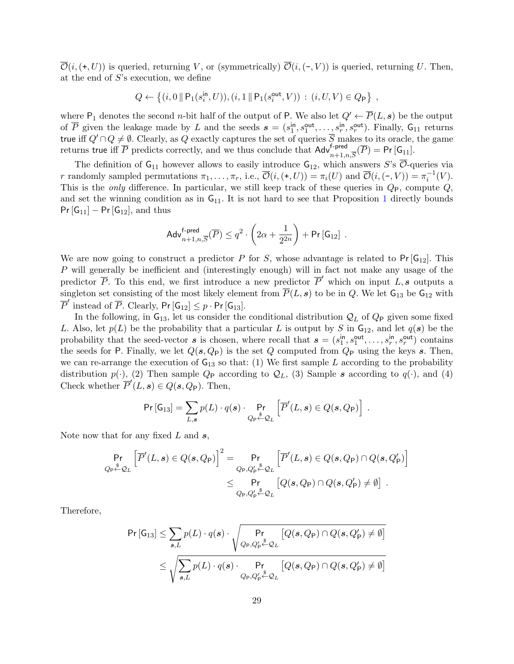$\overline{\mathcal{O}}(i,(+, U))$  is queried, returning V, or (symmetrically)  $\overline{\mathcal{O}}(i, (-, V))$  is queried, returning U. Then, at the end of  $S$ 's execution, we define

$$
Q \leftarrow \left\{(i,0 \,\|\, \mathsf{P}_1(s_i^\mathsf{in},U)), (i,1 \,\|\, \mathsf{P}_1(s_i^\mathsf{out},V)) \,:\, (i,U,V) \in Q_\mathsf{P}\right\} \;,
$$

where P<sub>1</sub> denotes the second *n*-bit half of the output of P. We also let  $Q' \leftarrow \overline{P}(L, s)$  be the output of  $\overline{P}$  given the leakage made by L and the seeds  $s = (s_1^{\text{in}}, s_1^{\text{out}}, \ldots, s_r^{\text{in}}, s_r^{\text{out}})$ . Finally,  $\mathsf{G}_{11}$  returns true iff  $Q' \cap Q \neq \emptyset$ . Clearly, as Q exactly captures the set of queries  $\overline{S}$  makes to its oracle, the game returns true iff  $\overline{P}$  predicts correctly, and we thus conclude that  $\mathsf{Adv}_{n+1,n,\overline{S}}^{\mathsf{f-pred}}(\overline{P}) = \mathsf{Pr}[\mathsf{G}_{11}].$ 

The definition of  $G_{11}$  however allows to easily introduce  $G_{12}$ , which answers S's  $\overline{\mathcal{O}}$ -queries via r randomly sampled permutations  $\pi_1, \ldots, \pi_r$ , i.e.,  $\overline{\mathcal{O}}(i, (+, U)) = \pi_i(U)$  and  $\overline{\mathcal{O}}(i, (-, V)) = \pi_i^{-1}(V)$ . This is the *only* difference. In particular, we still keep track of these queries in  $Q_P$ , compute  $Q$ , and set the winning condition as in  $G_{11}$  $G_{11}$  $G_{11}$ . It is not hard to see that Proposition 1 directly bounds  $Pr[G_{11}] - Pr[G_{12}]$ , and thus

$$
\mathsf{Adv}_{n+1,n,\overline{S}}^{\mathsf{f-pred}}(\overline{P}) \leq q^2 \cdot \left(2\alpha + \frac{1}{2^{2n}}\right) + \mathsf{Pr}\left[\mathsf{G}_{12}\right] \; .
$$

We are now going to construct a predictor P for S, whose advantage is related to  $Pr[G_{12}]$ . This P will generally be inefficient and (interestingly enough) will in fact not make any usage of the predictor  $\overline{P}$ . To this end, we first introduce a new predictor  $\overline{P}'$  which on input L, s outputs a singleton set consisting of the most likely element from  $\overline{P}(L, s)$  to be in Q. We let  $G_{13}$  be  $G_{12}$  with  $\overline{P}'$  instead of  $\overline{P}$ . Clearly, Pr [G<sub>12</sub>]  $\leq p \cdot \Pr[G_{13}]$ .

In the following, in  $G_{13}$ , let us consider the conditional distribution  $\mathcal{Q}_L$  of  $Q_P$  given some fixed L. Also, let  $p(L)$  be the probability that a particular L is output by S in  $G_{12}$ , and let  $q(s)$  be the probability that the seed-vector s is chosen, where recall that  $s = (s_1^{\text{in}}, s_1^{\text{out}}, \ldots, s_r^{\text{in}}, s_r^{\text{out}})$  contains the seeds for P. Finally, we let  $Q(s, Q_P)$  is the set Q computed from  $Q_P$  using the keys s. Then, we can re-arrange the execution of  $G_{13}$  so that: (1) We first sample L according to the probability distribution  $p(\cdot)$ , (2) Then sample  $Q_P$  according to  $Q_L$ , (3) Sample s according to  $q(\cdot)$ , and (4) Check whether  $\overline{P}'(L, s) \in Q(s, Q_P)$ . Then,

$$
\Pr\left[\mathsf{G}_{13}\right] = \sum_{L,\mathbf{s}} p(L) \cdot q(\mathbf{s}) \cdot \Pr_{Q_{\mathsf{P}}} \left[\overline{P}'(L,\mathbf{s}) \in Q(\mathbf{s}, Q_{\mathsf{P}})\right] .
$$

Note now that for any fixed  $L$  and  $s$ ,

$$
\Pr_{Q_{\mathsf{P}} \stackrel{\$}}{\leftarrow} \left[ \overline{P}'(L, s) \in Q(s, Q_{\mathsf{P}}) \right]^2 = \Pr_{Q_{\mathsf{P}}, Q_{\mathsf{P}}' \stackrel{\$}}{\leftarrow} \left[ \overline{P}'(L, s) \in Q(s, Q_{\mathsf{P}}) \cap Q(s, Q_{\mathsf{P}}') \right] \newline \leq \Pr_{Q_{\mathsf{P}}, Q_{\mathsf{P}}' \stackrel{\$}}{\leftarrow} Q_L \left[ Q(s, Q_{\mathsf{P}}) \cap Q(s, Q_{\mathsf{P}}') \neq \emptyset \right] .
$$

Therefore,

$$
\Pr\left[G_{13}\right] \leq \sum_{\mathbf{s},L} p(L) \cdot q(\mathbf{s}) \cdot \sqrt{\Pr_{Q_{\mathsf{P}}, Q_{\mathsf{P}}' \stackrel{\$}{\leftarrow} Q_L} \left[Q(\mathbf{s}, Q_{\mathsf{P}}) \cap Q(\mathbf{s}, Q_{\mathsf{P}}') \neq \emptyset\right]}
$$

$$
\leq \sqrt{\sum_{\mathbf{s},L} p(L) \cdot q(\mathbf{s})} \cdot \Pr_{Q_{\mathsf{P}}, Q_{\mathsf{P}}' \stackrel{\$}{\leftarrow} Q_L} \left[Q(\mathbf{s}, Q_{\mathsf{P}}) \cap Q(\mathbf{s}, Q_{\mathsf{P}}') \neq \emptyset\right]
$$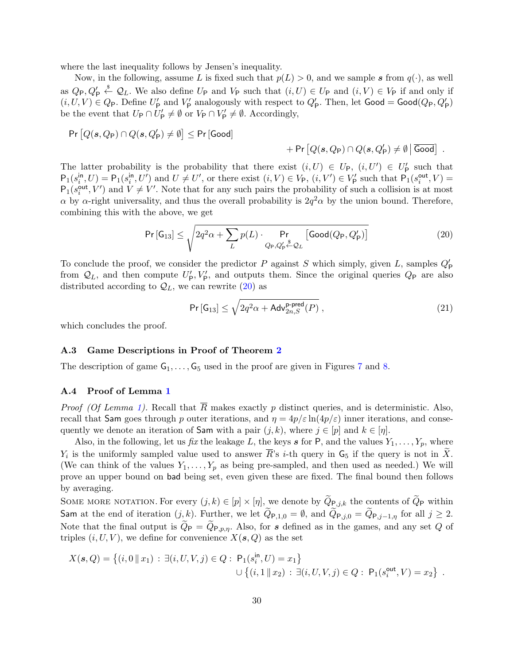where the last inequality follows by Jensen's inequality.

Now, in the following, assume L is fixed such that  $p(L) > 0$ , and we sample s from  $q(\cdot)$ , as well as  $Q_P, Q'_P \stackrel{\$}{\leftarrow} Q_L$ . We also define  $U_P$  and  $V_P$  such that  $(i, U) \in U_P$  and  $(i, V) \in V_P$  if and only if  $(i, U, V) \in Q_P$ . Define  $U_P'$  and  $V_P'$  analogously with respect to  $Q_P'$ . Then, let  $\text{Good} = \text{Good}(Q_P, Q_P')$ be the event that  $U_P \cap U_P' \neq \emptyset$  or  $V_P \cap V_P' \neq \emptyset$ . Accordingly,

$$
\Pr\big[Q(\boldsymbol{s}, Q_\mathsf{P}) \cap Q(\boldsymbol{s}, Q'_\mathsf{P}) \neq \emptyset\big] \leq \Pr\left[\mathsf{Good}\right]
$$

$$
+ \Pr \left[Q(\boldsymbol{s}, Q_{\mathsf{P}}) \cap Q(\boldsymbol{s}, Q_{\mathsf{P}}') \neq \emptyset \, \middle| \, \overline{\textsf{Good}} \right] \ .
$$

The latter probability is the probability that there exist  $(i, U) \in U_{\mathsf{P}}$ ,  $(i, U') \in U_{\mathsf{P}}'$  such that  $P_1(s_i^{\text{in}}, U) = P_1(s_i^{\text{in}}, U')$  and  $U \neq U'$ , or there exist  $(i, V) \in V_P$ ,  $(i, V') \in V_P'$  such that  $P_1(s_i^{\text{out}}, V) =$  $P_1(s_i^{\text{out}}, V')$  and  $V \neq V'$ . Note that for any such pairs the probability of such a collision is at most  $\alpha$  by  $\alpha$ -right universality, and thus the overall probability is  $2q^2\alpha$  by the union bound. Therefore, combining this with the above, we get

<span id="page-29-1"></span>
$$
\Pr\left[G_{13}\right] \leq \sqrt{2q^2\alpha + \sum_{L} p(L) \cdot \Pr_{Q_{\mathsf{P}}, Q_{\mathsf{P}}^{'}} \mathbb{E}_{\mathcal{Q}_{L}}\left[\text{Good}(Q_{\mathsf{P}}, Q_{\mathsf{P}}^{'})\right]}\tag{20}
$$

To conclude the proof, we consider the predictor P against S which simply, given L, samples  $Q'_{\rm P}$ from  $\mathcal{Q}_L$ , and then compute  $U'_{\mathsf{P}}, V'_{\mathsf{P}}$ , and outputs them. Since the original queries  $Q_{\mathsf{P}}$  are also distributed according to  $\mathcal{Q}_L$ , we can rewrite [\(20\)](#page-29-1) as

$$
\Pr\left[\mathsf{G}_{13}\right] \le \sqrt{2q^2\alpha + \mathsf{Adv}_{2n,S}^{\mathsf{p-pred}}(P)}\,,\tag{21}
$$

which concludes the proof.

# A.3 Game Descriptions in Proof of Theorem [2](#page-13-2)

The description of game  $G_1, \ldots, G_5$  used in the proof are given in Figures [7](#page-30-0) and [8.](#page-31-0)

#### <span id="page-29-0"></span>A.4 Proof of Lemma [1](#page-16-2)

*Proof (Of Lemma [1\)](#page-16-2).* Recall that  $\overline{R}$  makes exactly p distinct queries, and is deterministic. Also, recall that Sam goes through p outer iterations, and  $\eta = 4p/\varepsilon \ln(4p/\varepsilon)$  inner iterations, and consequently we denote an iteration of Sam with a pair  $(j, k)$ , where  $j \in [p]$  and  $k \in [n]$ .

Also, in the following, let us fix the leakage L, the keys s for P, and the values  $Y_1, \ldots, Y_p$ , where  $Y_i$  is the uniformly sampled value used to answer  $\overline{R}$ 's *i*-th query in  $\mathsf{G}_5$  if the query is not in X. (We can think of the values  $Y_1, \ldots, Y_p$  as being pre-sampled, and then used as needed.) We will prove an upper bound on bad being set, even given these are fixed. The final bound then follows by averaging.

SOME MORE NOTATION. For every  $(j, k) \in [p] \times [\eta]$ , we denote by  $\widetilde{Q}_{P,j,k}$  the contents of  $\widetilde{Q}_P$  within Sam at the end of iteration  $(j, k)$ . Further, we let  $\widetilde{Q}_{P,1,0} = \emptyset$ , and  $\widetilde{Q}_{P,j,0} = \widetilde{Q}_{P,j-1,\eta}$  for all  $j \geq 2$ . Note that the final output is  $\tilde{Q}_P = \tilde{Q}_{P,p,\eta}$ . Also, for s defined as in the games, and any set Q of triples  $(i, U, V)$ , we define for convenience  $X(\mathbf{s}, Q)$  as the set

$$
X(s, Q) = \{(i, 0 \mid x_1) : \exists (i, U, V, j) \in Q : P_1(s_i^{\text{in}}, U) = x_1\}
$$
  

$$
\cup \{(i, 1 \mid x_2) : \exists (i, U, V, j) \in Q : P_1(s_i^{\text{out}}, V) = x_2\}.
$$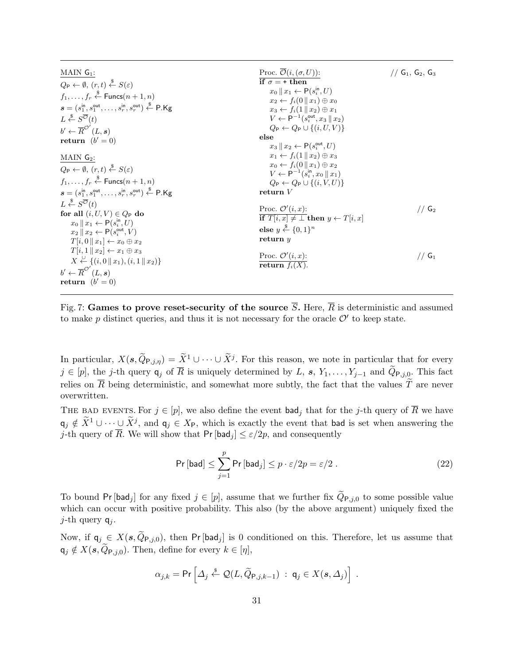<span id="page-30-0"></span>

| $MAIN G_1$ :                                                                                                                                                                                                                                                                                                                                                                                                           | Proc. $\overline{\mathcal{O}}(i, (\sigma, U))$ :                                                                                                                                                                                                                                                                                                                     | // $G_1, G_2, G_3$ |
|------------------------------------------------------------------------------------------------------------------------------------------------------------------------------------------------------------------------------------------------------------------------------------------------------------------------------------------------------------------------------------------------------------------------|----------------------------------------------------------------------------------------------------------------------------------------------------------------------------------------------------------------------------------------------------------------------------------------------------------------------------------------------------------------------|--------------------|
| $Q_P \leftarrow \emptyset$ , $(r, t) \stackrel{\$}{\leftarrow} S(\varepsilon)$<br>$f_1, \ldots, f_r \stackrel{\$}{\leftarrow}$ Funcs $(n+1, n)$<br>$\mathbf{s} = (s_1^{\text{in}}, s_1^{\text{out}}, \dots, s_r^{\text{in}}, s_r^{\text{out}}) \overset{\$}{\leftarrow} P.Kg$<br>$L \stackrel{\$}{\leftarrow} S^{\overline{\mathcal{O}}}(t)$<br>$b' \leftarrow \overline{R}^{\mathcal{O}'}(L, s)$<br>return $(b' = 0)$ | if $\sigma$ = + then<br>$x_0 \parallel x_1 \leftarrow P(s_i^{\text{in}}, U)$<br>$x_2 \leftarrow f_i(0 \parallel x_1) \oplus x_0$<br>$x_3 \leftarrow f_i(1 \parallel x_2) \oplus x_1$<br>$V \leftarrow \mathsf{P}^{-1}(s_i^{\text{out}}, x_3 \,  \, x_2)$<br>$Q_P \leftarrow Q_P \cup \{(i, U, V)\}$<br>else<br>$x_3 \parallel x_2 \leftarrow P(s_i^{\text{out}}, U)$ |                    |
| $MAIN G_2$ :<br>$Q_P \leftarrow \emptyset$ , $(r, t) \stackrel{\$}{\leftarrow} S(\varepsilon)$                                                                                                                                                                                                                                                                                                                         | $x_1 \leftarrow f_i(1 \mid x_2) \oplus x_3$<br>$x_0 \leftarrow f_i(0 \parallel x_1) \oplus x_2$<br>$V \leftarrow \mathsf{P}^{-1}(s_i^{\text{in}}, x_0 \, \  \, x_1)$                                                                                                                                                                                                 |                    |
| $f_1, \ldots, f_r \stackrel{\$}{\leftarrow}$ Funcs $(n+1, n)$<br>$\mathbf{s} = (s_1^{\text{in}}, s_1^{\text{out}}, \dots, s_r^{\text{in}}, s_r^{\text{out}}) \overset{\$}{\leftarrow} P.K\mathbf{g}$                                                                                                                                                                                                                   | $Q_P \leftarrow Q_P \cup \{(i, V, U)\}\$<br>return V                                                                                                                                                                                                                                                                                                                 |                    |
| $L \stackrel{\$}{\leftarrow} S^{\overline{\mathcal{O}}}(t)$<br>for all $(i, U, V) \in Q_P$ do<br>$x_0 \parallel x_1 \leftarrow P(s_i^{\text{in}}, U)$<br>$x_2 \parallel x_2 \leftarrow P(s_i^{\text{out}}, V)$<br>$T[i,0\,\vert\,\vert x_1]\leftarrow x_0\oplus x_2$                                                                                                                                                   | Proc. $\mathcal{O}'(i,x)$ :<br>if $T[i, x] \neq \bot$ then $y \leftarrow T[i, x]$<br>else $y \stackrel{\$}{\leftarrow} \{0,1\}^n$<br>return $y$                                                                                                                                                                                                                      | // $\mathsf{G}_2$  |
| $T[i, 1 \mid x_2] \leftarrow x_1 \oplus x_3$<br>$X \stackrel{\cup}{\leftarrow} \{(i,0\,\ \,x_1), (i,1\,\ \,x_2)\}\$<br>$b' \leftarrow \overline{R}^{\mathcal{O}'}(L, s)$<br>return $(b' = 0)$                                                                                                                                                                                                                          | Proc. $\mathcal{O}'(i,x)$ :<br>return $f_i(X)$ .                                                                                                                                                                                                                                                                                                                     | // $G_1$           |

Fig. 7: Games to prove reset-security of the source  $\overline{S}$ . Here,  $\overline{R}$  is deterministic and assumed to make  $p$  distinct queries, and thus it is not necessary for the oracle  $\mathcal{O}'$  to keep state.

In particular,  $X(s, \widetilde{Q}_{\mathsf{P},j,\eta}) = \widetilde{X}^1 \cup \cdots \cup \widetilde{X}^j$ . For this reason, we note in particular that for every  $j \in [p]$ , the j-th query  $q_j$  of  $\overline{R}$  is uniquely determined by L, s,  $Y_1, \ldots, Y_{j-1}$  and  $\widetilde{Q}_{\mathsf{P},j,0}$ . This fact relies on  $\overline{R}$  being deterministic, and somewhat more subtly, the fact that the values  $\overline{T}$  are never overwritten.

THE BAD EVENTS. For  $j \in [p]$ , we also define the event bad<sub>j</sub> that for the j-th query of  $\overline{R}$  we have  $q_j \notin \tilde{X}^1 \cup \cdots \cup \tilde{X}^j$ , and  $q_j \in X_P$ , which is exactly the event that **bad** is set when answering the j-th query of  $\overline{R}$ . We will show that Pr [bad<sub>j</sub>]  $\leq \varepsilon/2p$ , and consequently

$$
\Pr\left[\text{bad}\right] \le \sum_{j=1}^{p} \Pr\left[\text{bad}_{j}\right] \le p \cdot \varepsilon / 2p = \varepsilon / 2 \,. \tag{22}
$$

To bound Pr [bad<sub>j</sub>] for any fixed  $j \in [p]$ , assume that we further fix  $\widetilde{Q}_{P,j,0}$  to some possible value which can occur with positive probability. This also (by the above argument) uniquely fixed the j-th query  $q_i$ .

Now, if  $q_j \in X(s, \widetilde{Q}_{P,j,0})$ , then Pr [bad<sub>j</sub>] is 0 conditioned on this. Therefore, let us assume that  $q_i \notin X(s, \widetilde{Q}_{\mathsf{P},j,0})$ . Then, define for every  $k \in [\eta],$ 

$$
\alpha_{j,k} = \Pr\left[\Delta_j \stackrel{\$}{\leftarrow} \mathcal{Q}(L,\widetilde{Q}_{\mathsf{P},j,k-1}) \; : \; \mathsf{q}_j \in X(\mathbf{s},\Delta_j)\right] \; .
$$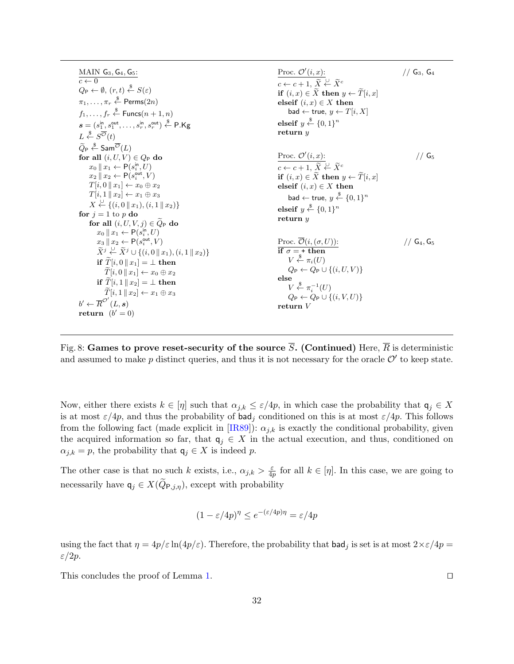<span id="page-31-0"></span>

| MAIN $G_3, G_4, G_5$ :<br>$c \leftarrow 0$<br>$Q_P \leftarrow \emptyset$ , $(r, t) \stackrel{\$}{\leftarrow} S(\varepsilon)$<br>$\pi_1, \ldots, \pi_r \stackrel{\$}{\leftarrow}$ Perms $(2n)$<br>$f_1, \ldots, f_r \stackrel{\$}{\leftarrow}$ Funcs $(n+1, n)$<br>$\mathbf{s} = (s_1^{\text{in}}, s_1^{\text{out}}, \dots, s_r^{\text{in}}, s_r^{\text{out}}) \overset{\$}{\leftarrow} P.Kg$<br>$L \stackrel{\$}{\leftarrow} S^{\overline{\mathcal{O}}}(t)$                                                                                       | Proc. $\mathcal{O}'(i,x)$ :<br>$c \leftarrow c + 1, \ \widetilde{X} \stackrel{\cup}{\leftarrow} \widetilde{X}^c$<br>if $(i, x) \in \overline{X}$ then $y \leftarrow \overline{T}[i, x]$<br>elseif $(i, x) \in X$ then<br>bad $\leftarrow$ true, $y \leftarrow T[i, X]$<br>elseif $y \stackrel{\$}{\leftarrow} \{0,1\}^n$<br>return $y$                    | // $G_3, G_4$     |
|---------------------------------------------------------------------------------------------------------------------------------------------------------------------------------------------------------------------------------------------------------------------------------------------------------------------------------------------------------------------------------------------------------------------------------------------------------------------------------------------------------------------------------------------------|-----------------------------------------------------------------------------------------------------------------------------------------------------------------------------------------------------------------------------------------------------------------------------------------------------------------------------------------------------------|-------------------|
| $\widetilde{Q}_P \overset{\$}{\leftarrow} \mathsf{Sam}^{\overline{\mathcal{O}}}(L)$<br>for all $(i, U, V) \in Q_P$ do<br>$x_0 \parallel x_1 \leftarrow P(s_i^{\mathsf{in}}, U)$<br>$x_2 \parallel x_2 \leftarrow P(s_i^{\text{out}}, V)$<br>$T[i,0\,\vert\,\vert x_1]\leftarrow x_0\oplus x_2$<br>$T[i, 1 \mid x_2] \leftarrow x_1 \oplus x_3$<br>$X \stackrel{\cup}{\leftarrow} \{(i,0\,\ \,x_1), (i,1\,\ \,x_2)\}\$<br>for $j = 1$ to p do<br>for all $(i, U, V, j) \in \tilde{Q}_P$ do<br>$x_0 \parallel x_1 \leftarrow P(s_i^{\text{in}}, U)$ | Proc. $\mathcal{O}'(i,x)$ :<br>$c \leftarrow c + 1, \ \widetilde{X} \stackrel{\cup}{\leftarrow} \widetilde{X}^c$<br>if $(i, x) \in \widetilde{X}$ then $y \leftarrow \widetilde{T}[i, x]$<br>elseif $(i, x) \in X$ then<br>bad $\leftarrow$ true, $y \stackrel{\$}{\leftarrow} \{0,1\}^n$<br>elseif $y \stackrel{\$}{\leftarrow} \{0,1\}^n$<br>return $y$ | // $\mathsf{G}_5$ |
| $x_3 \parallel x_2 \leftarrow P(s_i^{\text{out}}, V)$<br>$\widetilde{X}^j \stackrel{\cup}{\leftarrow} \widetilde{X}^j \cup \{(i,0\,\ \,x_1), (i,1\,\ \,x_2)\}\$<br>if $\widetilde{T}[i,0\,\Vert\,x_1]=\bot$ then<br>$T[i,0\,\Vert\, x_1]\leftarrow x_0\oplus x_2$<br>if $T[i, 1 \mid x_2] = \perp$ then<br>$T[i, 1 \mid x_2] \leftarrow x_1 \oplus x_3$<br>$b' \leftarrow \overline{R}^{\mathcal{O}'}(L,s)$<br>return $(b' = 0)$                                                                                                                  | Proc. $\overline{\mathcal{O}}(i, (\sigma, U))$ :<br><b>if</b> $\sigma = +$ <b>then</b><br>$V \stackrel{\$}{\leftarrow} \pi_i(U)$<br>$Q_P \leftarrow Q_P \cup \{(i, U, V)\}\$<br>else<br>$V \stackrel{\$}{\leftarrow} \pi_i^{-1}(U)$<br>$Q_P \leftarrow Q_P \cup \{(i, V, U)\}\$<br>return V                                                               | $// G_4, G_5$     |

Fig. 8: Games to prove reset-security of the source  $\overline{S}$ . (Continued) Here,  $\overline{R}$  is deterministic and assumed to make  $p$  distinct queries, and thus it is not necessary for the oracle  $\mathcal{O}'$  to keep state.

Now, either there exists  $k \in [\eta]$  such that  $\alpha_{j,k} \leq \varepsilon/4p$ , in which case the probability that  $\mathsf{q}_j \in X$ is at most  $\varepsilon/4p$ , and thus the probability of bad<sub>j</sub> conditioned on this is at most  $\varepsilon/4p$ . This follows from the following fact (made explicit in [\[IR89\]](#page-26-13)):  $\alpha_{j,k}$  is exactly the conditional probability, given the acquired information so far, that  $q_i \in X$  in the actual execution, and thus, conditioned on  $\alpha_{j,k} = p$ , the probability that  $q_j \in X$  is indeed p.

The other case is that no such k exists, i.e.,  $\alpha_{j,k} > \frac{\varepsilon}{4n}$  $\frac{\varepsilon}{4p}$  for all  $k \in [\eta]$ . In this case, we are going to necessarily have  $q_j \in X(\widetilde{Q}_{\mathsf{P},j,\eta})$ , except with probability

$$
(1 - \varepsilon/4p)^{\eta} \le e^{-(\varepsilon/4p)\eta} = \varepsilon/4p
$$

using the fact that  $\eta = 4p/\varepsilon \ln(4p/\varepsilon)$ . Therefore, the probability that  $\mathsf{bad}_j$  is set is at most  $2 \times \varepsilon/4p =$ ε/2p.

This concludes the proof of Lemma [1.](#page-16-2)  $\Box$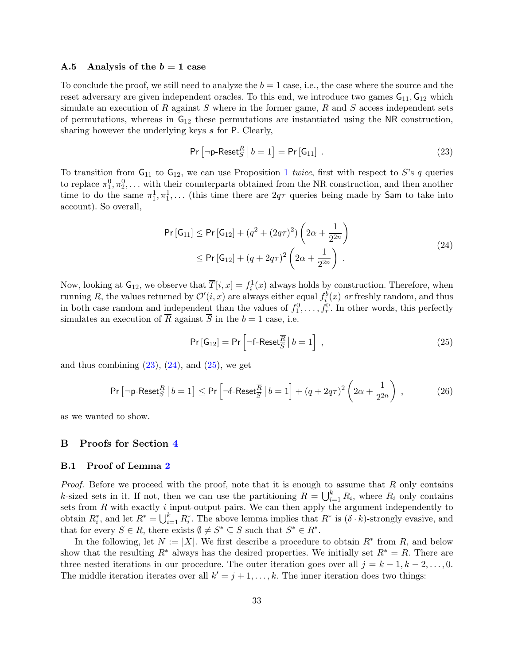#### <span id="page-32-0"></span>A.5 Analysis of the  $b = 1$  case

To conclude the proof, we still need to analyze the  $b = 1$  case, i.e., the case where the source and the reset adversary are given independent oracles. To this end, we introduce two games  $G_{11}, G_{12}$  which simulate an execution of R against  $S$  where in the former game,  $R$  and  $S$  access independent sets of permutations, whereas in  $G_{12}$  these permutations are instantiated using the NR construction, sharing however the underlying keys s for P. Clearly,

<span id="page-32-2"></span>
$$
\Pr\left[\neg \mathsf{p}\text{-}\mathsf{Reset}_{S}^{R} \,|\, b=1\right] = \Pr\left[\mathsf{G}_{11}\right] \,. \tag{23}
$$

To transition from  $G_{11}$  $G_{11}$  $G_{11}$  to  $G_{12}$ , we can use Proposition 1 twice, first with respect to S's q queries to replace  $\pi_1^0, \pi_2^0, \ldots$  with their counterparts obtained from the NR construction, and then another time to do the same  $\pi_1^1, \pi_1^1, \ldots$  (this time there are  $2q\tau$  queries being made by Sam to take into account). So overall,

$$
\begin{aligned} \Pr\left[G_{11}\right] &\leq \Pr\left[G_{12}\right] + (q^2 + (2q\tau)^2) \left(2\alpha + \frac{1}{2^{2n}}\right) \\ &\leq \Pr\left[G_{12}\right] + (q + 2q\tau)^2 \left(2\alpha + \frac{1}{2^{2n}}\right) \,. \end{aligned} \tag{24}
$$

<span id="page-32-3"></span>Now, looking at  $G_{12}$ , we observe that  $\overline{T}[i, x] = f_i^1(x)$  always holds by construction. Therefore, when running  $\overline{R}$ , the values returned by  $\mathcal{O}'(i,x)$  are always either equal  $f_i^b(x)$  or freshly random, and thus in both case random and independent than the values of  $f_1^0, \ldots, f_r^0$ . In other words, this perfectly simulates an execution of  $\overline{R}$  against  $\overline{S}$  in the  $b = 1$  case, i.e.

<span id="page-32-4"></span>
$$
\Pr\left[G_{12}\right] = \Pr\left[\neg \mathsf{f}\text{-Reset}_{\overline{S}}^{\overline{R}} \middle| b = 1\right] \,,\tag{25}
$$

and thus combining  $(23)$ ,  $(24)$ , and  $(25)$ , we get

$$
\Pr\left[\neg \mathsf{p}\text{-}\mathsf{Reset}_{S}^{R} \, \middle| \, b=1\right] \le \Pr\left[\neg \mathsf{f}\text{-}\mathsf{Reset}_{\overline{S}}^{\overline{R}} \, \middle| \, b=1\right] + (q+2q\tau)^{2} \left(2\alpha + \frac{1}{2^{2n}}\right) \,,\tag{26}
$$

as we wanted to show.

# B Proofs for Section [4](#page-17-2)

#### <span id="page-32-1"></span>B.1 Proof of Lemma [2](#page-17-1)

*Proof.* Before we proceed with the proof, note that it is enough to assume that  $R$  only contains k-sized sets in it. If not, then we can use the partitioning  $R = \bigcup_{i=1}^{k} R_i$ , where  $R_i$  only contains sets from  $R$  with exactly  $i$  input-output pairs. We can then apply the argument independently to obtain  $R_i^*$ , and let  $R^* = \bigcup_{i=1}^k R_i^*$ . The above lemma implies that  $R^*$  is  $(\delta \cdot k)$ -strongly evasive, and that for every  $S \in R$ , there exists  $\emptyset \neq S^* \subseteq S$  such that  $S^* \in R^*$ .

In the following, let  $N := |X|$ . We first describe a procedure to obtain  $R^*$  from R, and below show that the resulting R<sup>∗</sup> always has the desired properties. We initially set  $R^* = R$ . There are three nested iterations in our procedure. The outer iteration goes over all  $j = k - 1, k - 2, \ldots, 0$ . The middle iteration iterates over all  $k' = j + 1, \ldots, k$ . The inner iteration does two things: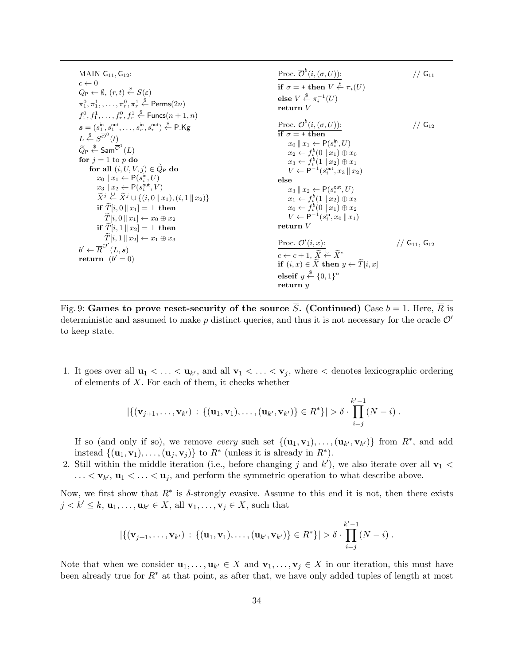| MAIN $G_{11}$ , $G_{12}$ :                                                                                                 | Proc. $\overline{\mathcal{O}}^b(i, (\sigma, U))$ :                                                           | // $\mathsf{G}_{11}$ |
|----------------------------------------------------------------------------------------------------------------------------|--------------------------------------------------------------------------------------------------------------|----------------------|
| $c \leftarrow 0$<br>$Q_P \leftarrow \emptyset$ , $(r, t) \stackrel{\$}{\leftarrow} S(\varepsilon)$                         | if $\sigma$ = + then $V \stackrel{\$}{\leftarrow} \pi_i(U)$                                                  |                      |
| $\pi_1^0, \pi_1^1, \ldots, \pi_r^0, \pi_r^1 \overset{\$}{\leftarrow}$ Perms $(2n)$                                         | else $V \stackrel{\$}{\leftarrow} \pi_i^{-1}(U)$                                                             |                      |
| $f_1^0, f_1^1, \ldots, f_r^0, f_r^1 \stackrel{\$}{\leftarrow}$ Funcs $(n+1, n)$                                            | return $V$                                                                                                   |                      |
| $\mathbf{s} = (s_1^{\text{in}}, s_1^{\text{out}}, \dots, s_r^{\text{in}}, s_r^{\text{out}}) \overset{\$}{\leftarrow} P.Kg$ | Proc. $\overline{\mathcal{O}}^b(i, (\sigma, U))$ :                                                           | $G_{12}$             |
| $L \stackrel{\$}{\leftarrow} S^{\overline{\mathcal{O}}^0}(t)$                                                              | if $\sigma = +$ then                                                                                         |                      |
| $\widetilde{O}_P \overset{\$}{\leftarrow} \mathsf{Sam}^{\overline{\mathcal{O}}^1}(L)$                                      | $x_0 \parallel x_1 \leftarrow P(s_i^{\text{in}}, U)$<br>$x_2 \leftarrow f_i^b(0 \, \Vert \, x_1) \oplus x_0$ |                      |
| for $j = 1$ to p do                                                                                                        | $x_3 \leftarrow f_i^b(1 \, \, x_2) \oplus x_1$                                                               |                      |
| for all $(i, U, V, j) \in Q_P$ do                                                                                          | $V \leftarrow P^{-1}(s_i^{\text{out}}, x_3 \,  \, x_2)$                                                      |                      |
| $x_0 \parallel x_1 \leftarrow P(s_i^{\text{in}}, U)$                                                                       | else                                                                                                         |                      |
| $x_3 \parallel x_2 \leftarrow P(s_i^{\text{out}}, V)$                                                                      | $x_3 \parallel x_2 \leftarrow P(s_i^{\text{out}}, U)$                                                        |                      |
| $\widetilde{X}^j \stackrel{\cup}{\leftarrow} \widetilde{X}^j \cup \{(i,0\,\ \,x_1), (i,1\,\ \,x_2)\}\$                     | $x_1 \leftarrow f_i^b(1 \, \, x_2) \oplus x_3$                                                               |                      |
| if $\widetilde{T}[i,0\,\Vert\,x_1]=\bot$ then                                                                              | $x_0 \leftarrow f_i^b(0 \, \  \, x_1) \oplus x_2$                                                            |                      |
| $T[i,0\,\Vert\, x_1]\leftarrow x_0\oplus x_2$                                                                              | $V \leftarrow \mathsf{P}^{-1}(s_i^{\text{in}}, x_0 \,  \, x_1)$                                              |                      |
| if $\tilde{T}[i,1\ x_2]=\perp$ then                                                                                        | return V                                                                                                     |                      |
| $T[i, 1 \mid x_2] \leftarrow x_1 \oplus x_3$                                                                               | Proc. $\mathcal{O}'(i,x)$ :                                                                                  | $// G_{11}, G_{12}$  |
| $b' \leftarrow \overline{R}^{\mathcal{O}'}(L, s)$                                                                          | $c \leftarrow c + 1, \ \widetilde{X} \stackrel{\cup}{\leftarrow} \widetilde{X}^c$                            |                      |
| return $(b' = 0)$                                                                                                          | if $(i, x) \in \widetilde{X}$ then $y \leftarrow \widetilde{T}[i, x]$                                        |                      |
|                                                                                                                            | elseif $y \stackrel{\$}{\leftarrow} \{0,1\}^n$                                                               |                      |
|                                                                                                                            | return $y$                                                                                                   |                      |

Fig. 9: Games to prove reset-security of the source  $\overline{S}$ . (Continued) Case  $b = 1$ . Here,  $\overline{R}$  is deterministic and assumed to make p distinct queries, and thus it is not necessary for the oracle  $\mathcal{O}'$ to keep state.

1. It goes over all  $\mathbf{u}_1 < \ldots < \mathbf{u}_{k'}$ , and all  $\mathbf{v}_1 < \ldots < \mathbf{v}_j$ , where  $\lt$  denotes lexicographic ordering of elements of  $X$ . For each of them, it checks whether

$$
|\{(\mathbf{v}_{j+1},\ldots,\mathbf{v}_{k'})\,:\,\{(\mathbf{u}_1,\mathbf{v}_1),\ldots,(\mathbf{u}_{k'},\mathbf{v}_{k'})\}\in R^*\}|>\delta\cdot\prod_{i=j}^{k'-1}(N-i).
$$

If so (and only if so), we remove every such set  $\{(\mathbf{u}_1, \mathbf{v}_1), \ldots, (\mathbf{u}_{k'}, \mathbf{v}_{k'})\}$  from  $R^*$ , and add instead  $\{(\mathbf{u}_1, \mathbf{v}_1), \dots, (\mathbf{u}_j, \mathbf{v}_j)\}\$ to  $R^*$  (unless it is already in  $R^*$ ).

2. Still within the middle iteration (i.e., before changing j and  $k'$ ), we also iterate over all  $\mathbf{v}_1$  <  $\ldots < \mathbf{v}_{k'}$ ,  $\mathbf{u}_1 < \ldots < \mathbf{u}_j$ , and perform the symmetric operation to what describe above.

Now, we first show that  $R^*$  is  $\delta$ -strongly evasive. Assume to this end it is not, then there exists  $j < k' \leq k, \mathbf{u}_1, \dots, \mathbf{u}_{k'} \in X$ , all  $\mathbf{v}_1, \dots, \mathbf{v}_j \in X$ , such that

$$
|\{(\mathbf{v}_{j+1},\ldots,\mathbf{v}_{k'})\,:\,\{(\mathbf{u}_1,\mathbf{v}_1),\ldots,(\mathbf{u}_{k'},\mathbf{v}_{k'})\}\in R^*\}|>\delta\cdot\prod_{i=j}^{k'-1}(N-i).
$$

Note that when we consider  $\mathbf{u}_1, \ldots, \mathbf{u}_{k'} \in X$  and  $\mathbf{v}_1, \ldots, \mathbf{v}_j \in X$  in our iteration, this must have been already true for  $R^*$  at that point, as after that, we have only added tuples of length at most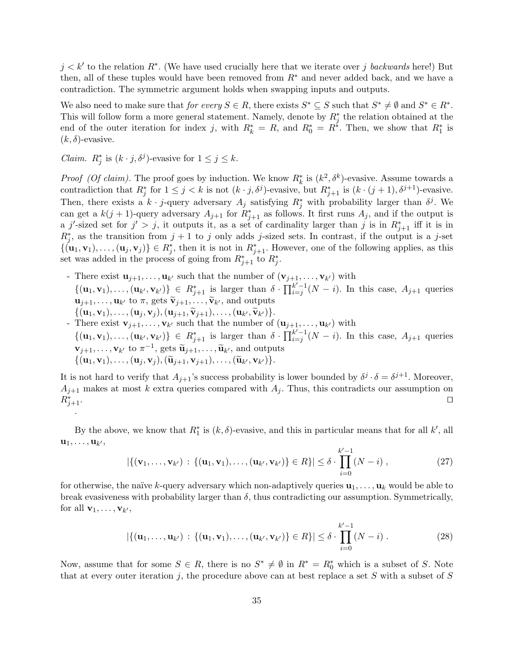$j < k'$  to the relation  $R^*$ . (We have used crucially here that we iterate over j backwards here!) But then, all of these tuples would have been removed from  $R^*$  and never added back, and we have a contradiction. The symmetric argument holds when swapping inputs and outputs.

We also need to make sure that for every  $S \in R$ , there exists  $S^* \subseteq S$  such that  $S^* \neq \emptyset$  and  $S^* \in R^*$ . This will follow form a more general statement. Namely, denote by  $R_j^*$  the relation obtained at the end of the outer iteration for index j, with  $R_k^* = R$ , and  $R_0^* = R^*$ . Then, we show that  $R_1^*$  is  $(k, \delta)$ -evasive.

*Claim.*  $R_j^*$  is  $(k \cdot j, \delta^j)$ -evasive for  $1 \leq j \leq k$ .

*Proof (Of claim)*. The proof goes by induction. We know  $R_k^*$  is  $(k^2, \delta^k)$ -evasive. Assume towards a contradiction that  $R_j^*$  for  $1 \leq j < k$  is not  $(k \cdot j, \delta^j)$ -evasive, but  $R_{j+1}^*$  is  $(k \cdot (j+1), \delta^{j+1})$ -evasive. Then, there exists a  $k \cdot j$ -query adversary  $A_j$  satisfying  $R_j^*$  with probability larger than  $\delta^j$ . We can get a  $k(j + 1)$ -query adversary  $A_{j+1}$  for  $R_{j+1}^*$  as follows. It first runs  $A_j$ , and if the output is a j'-sized set for  $j' > j$ , it outputs it, as a set of cardinality larger than j is in  $R_{j+1}^*$  iff it is in  $R_j^*$ , as the transition from  $j + 1$  to j only adds j-sized sets. In contrast, if the output is a j-set  $\{(\mathbf{u}_1, \mathbf{v}_1), \ldots, (\mathbf{u}_j, \mathbf{v}_j)\} \in R_j^*$ , then it is not in  $R_{j+1}^*$ . However, one of the following applies, as this set was added in the process of going from  $R_{j+1}^*$  to  $R_j^*$ .

- There exist  $\mathbf{u}_{j+1}, \ldots, \mathbf{u}_{k'}$  such that the number of  $(\mathbf{v}_{j+1}, \ldots, \mathbf{v}_{k'})$  with  $\{(\mathbf{u}_1, \mathbf{v}_1), \ldots, (\mathbf{u}_{k'}, \mathbf{v}_{k'})\} \in R_{j+1}^*$  is larger than  $\delta \cdot \prod_{i=j}^{k'-1}$  $i=j^{k'-1}(N-i)$ . In this case,  $A_{j+1}$  queries  $\mathbf{u}_{j+1}, \ldots, \mathbf{u}_{k'}$  to  $\pi$ , gets  $\widetilde{\mathbf{v}}_{j+1}, \ldots, \widetilde{\mathbf{v}}_{k'}$ , and outputs  $\{(\mathbf{u}_1, \mathbf{v}_1), \dots, (\mathbf{u}_j, \mathbf{v}_j),(\mathbf{u}_{j+1}, \widetilde{\mathbf{v}}_{j+1}), \dots, (\mathbf{u}_{k'}, \widetilde{\mathbf{v}}_{k'})\}.$ <br>There exist  $\mathbf{v}_k$ , we such that the number of
- There exist  $\mathbf{v}_{j+1}, \ldots, \mathbf{v}_{k'}$  such that the number of  $(\mathbf{u}_{j+1}, \ldots, \mathbf{u}_{k'})$  with  $\{(\mathbf{u}_1, \mathbf{v}_1), \ldots, (\mathbf{u}_{k'}, \mathbf{v}_{k'})\} \in R_{j+1}^*$  is larger than  $\delta \cdot \prod_{i=j}^{k'-1}$  $\binom{k'-1}{i=j}(N-i)$ . In this case,  $A_{j+1}$  queries  $\mathbf{v}_{j+1}, \ldots, \mathbf{v}_{k'}$  to  $\pi^{-1}$ , gets  $\widetilde{\mathbf{u}}_{j+1}, \ldots, \widetilde{\mathbf{u}}_{k'}$ , and outputs  $\{(\mathbf{u}_1, \mathbf{v}_1), \ldots, (\mathbf{u}_j, \mathbf{v}_j),(\widetilde{\mathbf{u}}_{j+1}, \mathbf{v}_{j+1}), \ldots, (\widetilde{\mathbf{u}}_{k'}, \mathbf{v}_{k'})\}.$

It is not hard to verify that  $A_{j+1}$ 's success probability is lower bounded by  $\delta^j \cdot \delta = \delta^{j+1}$ . Moreover,  $A_{j+1}$  makes at most k extra queries compared with  $A_j$ . Thus, this contradicts our assumption on  $R_{i+1}^*$ .  $j+1$ . .

By the above, we know that  $R_1^*$  is  $(k, \delta)$ -evasive, and this in particular means that for all k', all  $\mathbf{u}_1, \ldots, \mathbf{u}_{k'},$ 

<span id="page-34-0"></span>
$$
|\{(\mathbf{v}_1,\ldots,\mathbf{v}_{k'})\,:\,\{(\mathbf{u}_1,\mathbf{v}_1),\ldots,(\mathbf{u}_{k'},\mathbf{v}_{k'})\}\in R\}| \leq \delta \cdot \prod_{i=0}^{k'-1} (N-i) ,
$$
 (27)

for otherwise, the naïve k-query adversary which non-adaptively queries  $\mathbf{u}_1, \ldots, \mathbf{u}_k$  would be able to break evasiveness with probability larger than  $\delta$ , thus contradicting our assumption. Symmetrically, for all  $\mathbf{v}_1,\ldots,\mathbf{v}_{k'}$ ,

<span id="page-34-1"></span>
$$
|\{(\mathbf{u}_1,\ldots,\mathbf{u}_{k'})\,:\,\{(\mathbf{u}_1,\mathbf{v}_1),\ldots,(\mathbf{u}_{k'},\mathbf{v}_{k'})\}\in R\}| \leq \delta \cdot \prod_{i=0}^{k'-1} (N-i) \ . \tag{28}
$$

Now, assume that for some  $S \in R$ , there is no  $S^* \neq \emptyset$  in  $R^* = R_0^*$  which is a subset of S. Note that at every outer iteration j, the procedure above can at best replace a set  $S$  with a subset of  $S$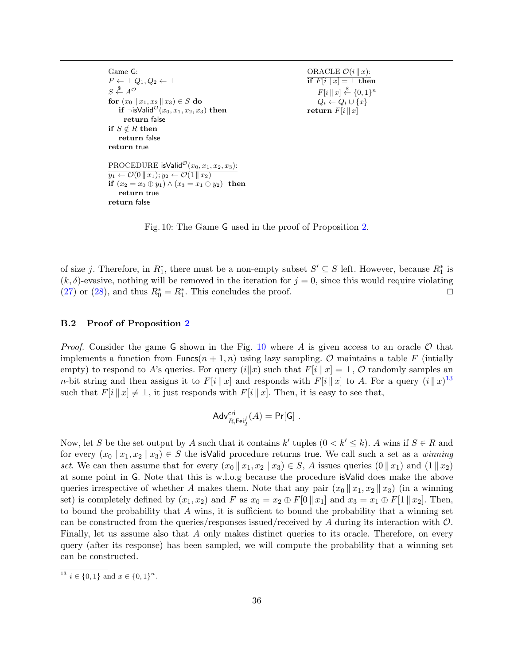<span id="page-35-1"></span>

| Game G:                                                                                                                                                                                                                                      | ORACLE $\mathcal{O}(i \parallel x)$ :           |
|----------------------------------------------------------------------------------------------------------------------------------------------------------------------------------------------------------------------------------------------|-------------------------------------------------|
| $F \leftarrow \perp Q_1, Q_2 \leftarrow \perp$                                                                                                                                                                                               | if $F[i    x] = \perp$ then                     |
| $S \stackrel{\$}{=} A^{\mathcal{O}}$                                                                                                                                                                                                         | $F[i    x] \stackrel{\$}{\leftarrow} \{0,1\}^n$ |
| for $(x_0    x_1, x_2    x_3) \in S$ do                                                                                                                                                                                                      | $Q_i \leftarrow Q_i \cup \{x\}$                 |
| if $\neg$ isValid $^{\mathcal{O}}(x_0, x_1, x_2, x_3)$ then                                                                                                                                                                                  | return $F[i  x]$                                |
| return false                                                                                                                                                                                                                                 |                                                 |
| if $S \notin R$ then                                                                                                                                                                                                                         |                                                 |
| return false                                                                                                                                                                                                                                 |                                                 |
| return true                                                                                                                                                                                                                                  |                                                 |
| PROCEDURE is Valid $^{\mathcal{O}}(x_0, x_1, x_2, x_3)$ :<br>$y_1 \leftarrow \mathcal{O}(0 \, \Vert \, x_1); y_2 \leftarrow \mathcal{O}(1 \, \Vert \, x_2)$<br>if $(x_2 = x_0 \oplus y_1) \wedge (x_3 = x_1 \oplus y_2)$ then<br>return true |                                                 |
| return false                                                                                                                                                                                                                                 |                                                 |

Fig. 10: The Game G used in the proof of Proposition [2.](#page-19-1)

of size j. Therefore, in  $R_1^*$ , there must be a non-empty subset  $S' \subseteq S$  left. However, because  $R_1^*$  is  $(k, \delta)$ -evasive, nothing will be removed in the iteration for  $j = 0$ , since this would require violating [\(27\)](#page-34-0) or [\(28\)](#page-34-1), and thus  $R_0^* = R_1^*$ . This concludes the proof.  $\square$ 

# <span id="page-35-0"></span>B.2 Proof of Proposition [2](#page-19-1)

*Proof.* Consider the game G shown in the Fig. [10](#page-35-1) where A is given access to an oracle  $\mathcal O$  that implements a function from Funcs $(n + 1, n)$  using lazy sampling. O maintains a table F (intially empty) to respond to A's queries. For query  $(i||x)$  such that  $F[i || x] = \perp$ , O randomly samples an *n*-bit string and then assigns it to  $F[i || x]$  and responds with  $F[i || x]$  to A. For a query  $(i || x)^{13}$  $(i || x)^{13}$  $(i || x)^{13}$ such that  $F[i || x] \neq \perp$ , it just responds with  $F[i || x]$ . Then, it is easy to see that,

$$
\mathsf{Adv}_{R,\mathsf{Fei}_2^f}^{\mathsf{cri}}(A) = \mathsf{Pr}[\mathsf{G}] \ .
$$

Now, let S be the set output by A such that it contains k' tuples  $(0 < k' \le k)$ . A wins if  $S \in R$  and for every  $(x_0 \mid x_1, x_2 \mid x_3) \in S$  the isValid procedure returns true. We call such a set as a winning set. We can then assume that for every  $(x_0 \| x_1, x_2 \| x_3) \in S$ , A issues queries  $(0 \| x_1)$  and  $(1 \| x_2)$ at some point in G. Note that this is w.l.o.g because the procedure isValid does make the above queries irrespective of whether A makes them. Note that any pair  $(x_0 \| x_1, x_2 \| x_3)$  (in a winning set) is completely defined by  $(x_1, x_2)$  and F as  $x_0 = x_2 \oplus F[0 \mid x_1]$  and  $x_3 = x_1 \oplus F[1 \mid x_2]$ . Then, to bound the probability that  $A$  wins, it is sufficient to bound the probability that a winning set can be constructed from the queries/responses issued/received by A during its interaction with  $\mathcal{O}$ . Finally, let us assume also that A only makes distinct queries to its oracle. Therefore, on every query (after its response) has been sampled, we will compute the probability that a winning set can be constructed.

<span id="page-35-2"></span><sup>&</sup>lt;sup>13</sup>  $i \in \{0, 1\}$  and  $x \in \{0, 1\}^n$ .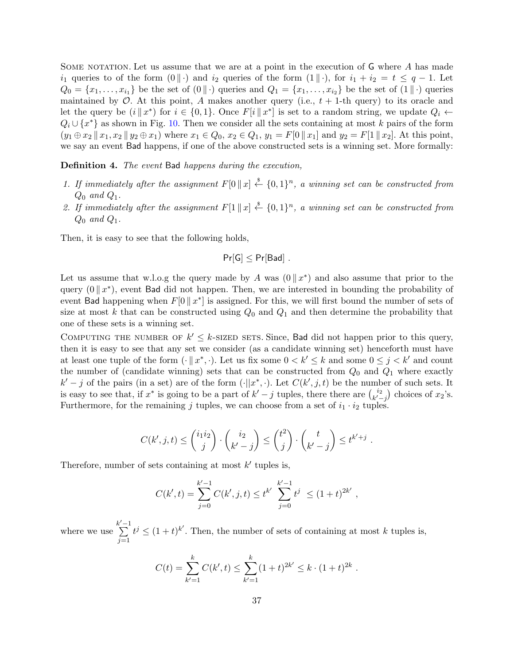SOME NOTATION. Let us assume that we are at a point in the execution of G where A has made  $i_1$  queries to of the form  $(0 \|\cdot)$  and  $i_2$  queries of the form  $(1 \|\cdot)$ , for  $i_1 + i_2 = t \leq q - 1$ . Let  $Q_0 = \{x_1, \ldots, x_{i_1}\}\$ be the set of  $(0 \|\cdot)$  queries and  $Q_1 = \{x_1, \ldots, x_{i_2}\}\$ be the set of  $(1 \|\cdot)$  queries maintained by  $\mathcal{O}$ . At this point, A makes another query (i.e.,  $t + 1$ -th query) to its oracle and let the query be  $(i \mid x^*)$  for  $i \in \{0,1\}$ . Once  $F[i \mid x^*]$  is set to a random string, we update  $Q_i \leftarrow$  $Q_i \cup \{x^*\}$  as shown in Fig. [10.](#page-35-1) Then we consider all the sets containing at most k pairs of the form  $(y_1 \oplus x_2 \parallel x_1, x_2 \parallel y_2 \oplus x_1)$  where  $x_1 \in Q_0$ ,  $x_2 \in Q_1$ ,  $y_1 = F[0 \parallel x_1]$  and  $y_2 = F[1 \parallel x_2]$ . At this point, we say an event Bad happens, if one of the above constructed sets is a winning set. More formally:

Definition 4. The event Bad happens during the execution,

- 1. If immediately after the assignment  $F[0||x] \stackrel{\$}{\leftarrow} \{0,1\}^n$ , a winning set can be constructed from  $Q_0$  and  $Q_1$ .
- 2. If immediately after the assignment  $F[1||x] \stackrel{s}{\leftarrow} \{0,1\}^n$ , a winning set can be constructed from  $Q_0$  and  $Q_1$ .

Then, it is easy to see that the following holds,

$$
Pr[G] \leq Pr[Bad].
$$

Let us assume that w.l.o.g the query made by A was  $(0 \parallel x^*)$  and also assume that prior to the query  $(0 \parallel x^*)$ , event Bad did not happen. Then, we are interested in bounding the probability of event Bad happening when  $F[0 \mid x^*]$  is assigned. For this, we will first bound the number of sets of size at most k that can be constructed using  $Q_0$  and  $Q_1$  and then determine the probability that one of these sets is a winning set.

COMPUTING THE NUMBER OF  $k' \leq k$ -SIZED SETS. Since, Bad did not happen prior to this query, then it is easy to see that any set we consider (as a candidate winning set) henceforth must have at least one tuple of the form  $(\cdot \parallel x^*, \cdot)$ . Let us fix some  $0 < k' \leq k$  and some  $0 \leq j < k'$  and count the number of (candidate winning) sets that can be constructed from  $Q_0$  and  $Q_1$  where exactly  $k'-j$  of the pairs (in a set) are of the form  $(\cdot||x^*,\cdot)$ . Let  $C(k',j,t)$  be the number of such sets. It is easy to see that, if  $x^*$  is going to be a part of  $k'-j$  tuples, there there are  $\binom{i_2}{k'-j}$  choices of  $x_2$ 's. Furthermore, for the remaining j tuples, we can choose from a set of  $i_1 \cdot i_2$  tuples.

$$
C(k',j,t) \leq \binom{i_1 i_2}{j} \cdot \binom{i_2}{k'-j} \leq \binom{t^2}{j} \cdot \binom{t}{k'-j} \leq t^{k'+j}.
$$

Therefore, number of sets containing at most  $k'$  tuples is,

$$
C(k',t) = \sum_{j=0}^{k'-1} C(k',j,t) \le t^{k'} \sum_{j=0}^{k'-1} t^j \le (1+t)^{2k'},
$$

where we use  $\sum_{n=1}^{k'-1}$  $j=1$  $t^{j} \leq (1+t)^{k'}$ . Then, the number of sets of containing at most k tuples is,

$$
C(t) = \sum_{k'=1}^{k} C(k',t) \leq \sum_{k'=1}^{k} (1+t)^{2k'} \leq k \cdot (1+t)^{2k}.
$$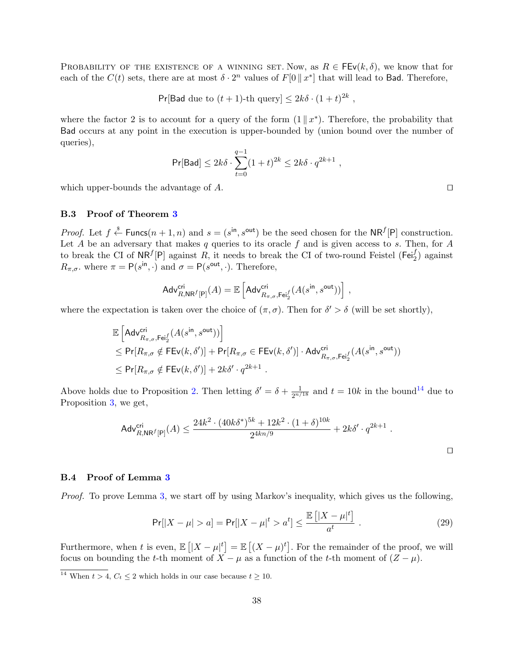PROBABILITY OF THE EXISTENCE OF A WINNING SET. Now, as  $R \in \text{FEv}(k, \delta)$ , we know that for each of the  $C(t)$  sets, there are at most  $\delta \cdot 2^n$  values of  $F[0 \mid x^*]$  that will lead to Bad. Therefore,

$$
Pr[Bad due to (t + 1)-th query] \le 2k\delta \cdot (1 + t)^{2k}
$$

,

where the factor 2 is to account for a query of the form  $(1 \mid x^*)$ . Therefore, the probability that Bad occurs at any point in the execution is upper-bounded by (union bound over the number of queries),

$$
\Pr[\mathsf{Bad}] \le 2k\delta \cdot \sum_{t=0}^{q-1} (1+t)^{2k} \le 2k\delta \cdot q^{2k+1} ,
$$

which upper-bounds the advantage of  $A$ .

## <span id="page-37-0"></span>B.3 Proof of Theorem [3](#page-21-0)

*Proof.* Let  $f \stackrel{\$}{\leftarrow}$  Funcs $(n+1, n)$  and  $s = (s^{\text{in}}, s^{\text{out}})$  be the seed chosen for the NR<sup>f</sup> [P] construction. Let  $A$  be an adversary that makes  $q$  queries to its oracle  $f$  and is given access to  $s$ . Then, for  $A$ to break the CI of  $NR^{f}[P]$  against R, it needs to break the CI of two-round Feistel ( $Fei_{2}^{f}$ ) against  $R_{\pi,\sigma}$ , where  $\pi = \mathsf{P}(s^{\text{in}},\cdot)$  and  $\sigma = \mathsf{P}(s^{\text{out}},\cdot)$ . Therefore,

$$
\mathsf{Adv}_{R,\mathsf{NR}^f[\mathsf{P}]}^{\mathsf{cri}}(A) = \mathbb{E}\left[\mathsf{Adv}_{R_{\pi,\sigma},\mathsf{Fei}_2^f}^{\mathsf{cri}}(A(s^{\mathsf{in}},s^{\mathsf{out}}))\right],
$$

where the expectation is taken over the choice of  $(\pi, \sigma)$ . Then for  $\delta' > \delta$  (will be set shortly),

$$
\mathbb{E}\left[\mathsf{Adv}_{R_{\pi,\sigma},\mathsf{Fei}_{2}^{f}}^{\text{cri}}(A(s^{\text{in}},s^{\text{out}}))\right]
$$
\n
$$
\leq \Pr[R_{\pi,\sigma} \notin \mathsf{FEv}(k,\delta')] + \Pr[R_{\pi,\sigma} \in \mathsf{FEv}(k,\delta')] \cdot \mathsf{Adv}_{R_{\pi,\sigma},\mathsf{Fei}_{2}^{f}}^{\text{cri}}(A(s^{\text{in}},s^{\text{out}}))
$$
\n
$$
\leq \Pr[R_{\pi,\sigma} \notin \mathsf{FEv}(k,\delta')] + 2k\delta' \cdot q^{2k+1} .
$$

Above holds due to Proposition [2.](#page-19-1) Then letting  $\delta' = \delta + \frac{1}{2n\delta}$  $\frac{1}{2^{n/18}}$  and  $t = 10k$  in the bound<sup>[14](#page-37-2)</sup> due to Proposition [3,](#page-20-1) we get,

$$
\mathsf{Adv}_{R,\mathsf{NR}^f[\mathsf{P}]}^{\mathsf{cri}}(A) \leq \frac{24k^2 \cdot (40k\delta^*)^{5k} + 12k^2 \cdot (1+\delta)^{10k}}{2^{4kn/9}} + 2k\delta' \cdot q^{2k+1} \; .
$$

## <span id="page-37-1"></span>B.4 Proof of Lemma [3](#page-24-3)

Proof. To prove Lemma [3,](#page-24-3) we start off by using Markov's inequality, which gives us the following,

<span id="page-37-3"></span>
$$
\Pr[|X - \mu| > a] = \Pr[|X - \mu|^t > a^t] \le \frac{\mathbb{E}\left[|X - \mu|^t\right]}{a^t} \ . \tag{29}
$$

Furthermore, when t is even,  $\mathbb{E} \left[ |X - \mu|^t \right] = \mathbb{E} \left[ (X - \mu)^t \right]$ . For the remainder of the proof, we will focus on bounding the t-th moment of  $X - \mu$  as a function of the t-th moment of  $(Z - \mu)$ .

<span id="page-37-2"></span><sup>&</sup>lt;sup>14</sup> When  $t > 4$ ,  $C_t \leq 2$  which holds in our case because  $t \geq 10$ .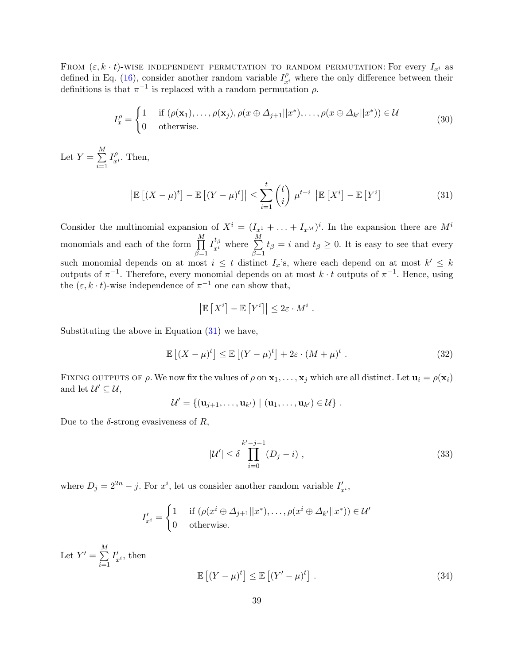FROM  $(\varepsilon, k \cdot t)$ -WISE INDEPENDENT PERMUTATION TO RANDOM PERMUTATION: For every  $I_{x^i}$  as defined in Eq. [\(16\)](#page-22-2), consider another random variable  $I_{x_i}^{\rho}$  where the only difference between their definitions is that  $\pi^{-1}$  is replaced with a random permutation  $\rho$ .

$$
I_x^{\rho} = \begin{cases} 1 & \text{if } (\rho(\mathbf{x}_1), \dots, \rho(\mathbf{x}_j), \rho(x \oplus \Delta_{j+1} || x^*), \dots, \rho(x \oplus \Delta_{k'} || x^*)) \in \mathcal{U} \\ 0 & \text{otherwise.} \end{cases}
$$
(30)

Let  $Y = \sum_{i=1}^{M}$  $i=1$  $I_{\infty}^{\rho}$  $\int_{x^i}^{\rho}$ . Then,

<span id="page-38-0"></span>
$$
\left|\mathbb{E}\left[(X-\mu)^{t}\right]-\mathbb{E}\left[(Y-\mu)^{t}\right]\right|\leq \sum_{i=1}^{t} {t \choose i} \mu^{t-i} \left|\mathbb{E}\left[X^{i}\right]-\mathbb{E}\left[Y^{i}\right]\right|
$$
\n(31)

Consider the multinomial expansion of  $X^i = (I_{x^1} + \ldots + I_{x^M})^i$ . In the expansion there are  $M^i$ monomials and each of the form  $\prod^M$  $\beta=1$  $I_{x^i}^{t_\beta}$  where  $\sum_{i=1}^M$  $\beta=1$  $t_{\beta} = i$  and  $t_{\beta} \geq 0$ . It is easy to see that every such monomial depends on at most  $i \leq t$  distinct  $I_x$ 's, where each depend on at most  $k' \leq k$ outputs of  $\pi^{-1}$ . Therefore, every monomial depends on at most  $k \cdot t$  outputs of  $\pi^{-1}$ . Hence, using the  $(\varepsilon, k \cdot t)$ -wise independence of  $\pi^{-1}$  one can show that,

$$
\left|\mathbb{E}\left[X^{i}\right]-\mathbb{E}\left[Y^{i}\right]\right|\leq 2\varepsilon\cdot M^{i}.
$$

Substituting the above in Equation  $(31)$  we have,

<span id="page-38-2"></span>
$$
\mathbb{E}\left[ (X - \mu)^t \right] \le \mathbb{E}\left[ (Y - \mu)^t \right] + 2\varepsilon \cdot (M + \mu)^t. \tag{32}
$$

FIXING OUTPUTS OF  $\rho$ . We now fix the values of  $\rho$  on  $\mathbf{x}_1, \ldots, \mathbf{x}_i$  which are all distinct. Let  $\mathbf{u}_i = \rho(\mathbf{x}_i)$ and let  $\mathcal{U}' \subseteq \mathcal{U}$ ,

$$
\mathcal{U}'=\{(\mathbf{u}_{j+1},\ldots,\mathbf{u}_{k'})\ |\ (\mathbf{u}_1,\ldots,\mathbf{u}_{k'})\in\mathcal{U}\}\ .
$$

Due to the  $\delta$ -strong evasiveness of R,

<span id="page-38-1"></span>
$$
|\mathcal{U}'| \le \delta \prod_{i=0}^{k'-j-1} (D_j - i) , \qquad (33)
$$

where  $D_j = 2^{2n} - j$ . For  $x^i$ , let us consider another random variable  $I'_{x^i}$ ,

$$
I'_{x^i} = \begin{cases} 1 & \text{if } (\rho(x^i \oplus \Delta_{j+1} || x^*), \dots, \rho(x^i \oplus \Delta_{k'} || x^*)) \in \mathcal{U}' \\ 0 & \text{otherwise.} \end{cases}
$$

Let  $Y' = \sum^{M}$  $i=1$  $I'_{x^i}$ , then

<span id="page-38-3"></span>
$$
\mathbb{E}\left[ (Y - \mu)^t \right] \le \mathbb{E}\left[ (Y' - \mu)^t \right]. \tag{34}
$$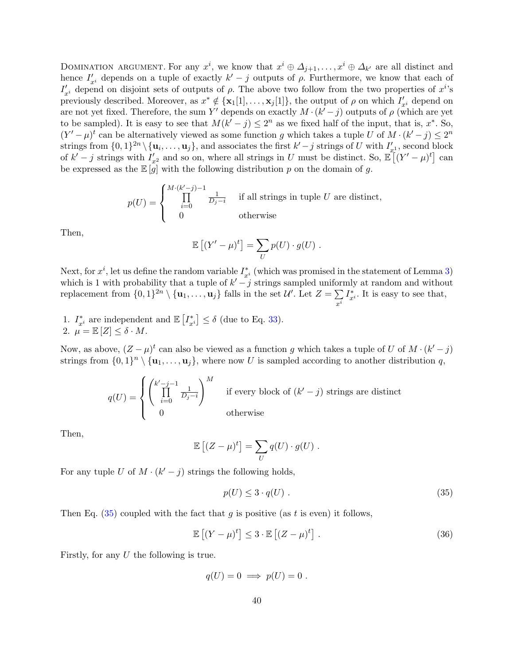DOMINATION ARGUMENT. For any  $x^i$ , we know that  $x^i \oplus \Delta_{j+1}, \ldots, x^i \oplus \Delta_{k'}$  are all distinct and hence  $I'_{x^i}$  depends on a tuple of exactly  $k'-j$  outputs of  $\rho$ . Furthermore, we know that each of  $I'_{x^i}$  depend on disjoint sets of outputs of  $\rho$ . The above two follow from the two properties of  $x^i$ 's previously described. Moreover, as  $x^* \notin {\mathbf{x}_1[1], \ldots, \mathbf{x}_j[1]}$ , the output of  $\rho$  on which  $I'_{x^i}$  depend on are not yet fixed. Therefore, the sum Y' depends on exactly  $M \cdot (k'-j)$  outputs of  $\rho$  (which are yet to be sampled). It is easy to see that  $M(k'-j) \leq 2^n$  as we fixed half of the input, that is,  $x^*$ . So,  $(Y'-\mu)^t$  can be alternatively viewed as some function g which takes a tuple U of  $M \cdot (k'-j) \leq 2^n$ strings from  $\{0,1\}^{2n} \setminus \{\mathbf{u}_i,\ldots,\mathbf{u}_j\}$ , and associates the first  $k'-j$  strings of U with  $I'_{x^1}$ , second block of  $k' - j$  strings with  $I'_{x^2}$  and so on, where all strings in U must be distinct. So,  $\mathbb{E}[(Y' - \mu)^t]$  can be expressed as the  $\mathbb{E}[g]$  with the following distribution p on the domain of g.

> $p(U) =$  $\sqrt{ }$  $\int$  $\overline{\mathcal{L}}$  $M·(k)$  $\prod$  $(-j)-1$  $i=0$  $\frac{1}{D_j - i}$  if all strings in tuple U are distinct, 0 otherwise

Then,

$$
\mathbb{E}\left[(Y'-\mu)^t\right] = \sum_U p(U) \cdot g(U) .
$$

Next, for  $x^i$ , let us define the random variable  $I_{x^i}^*$  (which was promised in the statement of Lemma [3\)](#page-24-3) which is 1 with probability that a tuple of  $k' - j$  strings sampled uniformly at random and without replacement from  $\{0,1\}^{2n} \setminus {\mathbf{u}_1, \ldots, \mathbf{u}_j}$  falls in the set  $\mathcal{U}'$ . Let  $Z = \sum$  $x^i$  $I_{x^i}^*$ . It is easy to see that,

1.  $I_{x^i}^*$  are independent and  $\mathbb{E}\left[I_{x^i}^*\right] \leq \delta$  (due to Eq. [33\)](#page-38-1). 2.  $\mu = \mathbb{E}[Z] \leq \delta \cdot M$ .

Now, as above,  $(Z - \mu)^t$  can also be viewed as a function g which takes a tuple of U of  $M \cdot (k' - j)$ strings from  $\{0,1\}^n \setminus {\mathbf{u}_1, \ldots, \mathbf{u}_j\}$ , where now U is sampled according to another distribution q,

$$
q(U) = \begin{cases} \left(\prod_{i=0}^{k'-j-1} \frac{1}{D_j - i}\right)^M & \text{if every block of } (k'-j) \text{ strings are distinct} \\ 0 & \text{otherwise} \end{cases}
$$

Then,

$$
\mathbb{E}\left[ (Z-\mu)^t \right] = \sum_U q(U) \cdot g(U) .
$$

For any tuple U of  $M \cdot (k' - j)$  strings the following holds,

<span id="page-39-0"></span>
$$
p(U) \le 3 \cdot q(U) \tag{35}
$$

Then Eq. [\(35\)](#page-39-0) coupled with the fact that q is positive (as t is even) it follows,

<span id="page-39-1"></span>
$$
\mathbb{E}\left[ (Y - \mu)^t \right] \le 3 \cdot \mathbb{E}\left[ (Z - \mu)^t \right]. \tag{36}
$$

Firstly, for any  $U$  the following is true.

$$
q(U) = 0 \implies p(U) = 0.
$$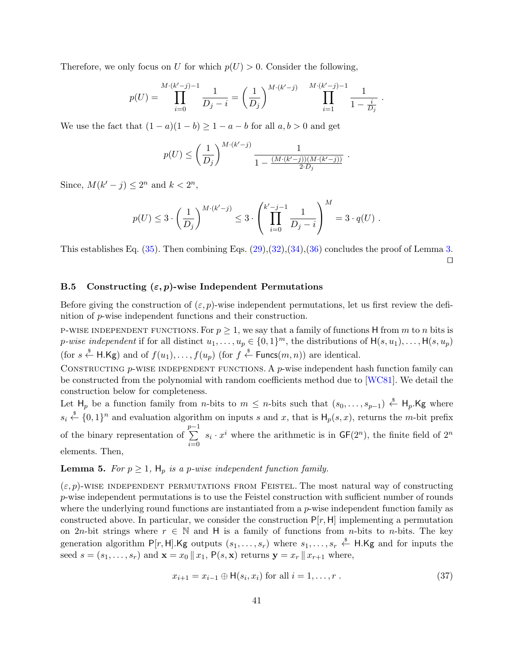Therefore, we only focus on U for which  $p(U) > 0$ . Consider the following,

$$
p(U) = \prod_{i=0}^{M \cdot (k'-j)-1} \frac{1}{D_j - i} = \left(\frac{1}{D_j}\right)^{M \cdot (k'-j)} \prod_{i=1}^{M \cdot (k'-j)-1} \frac{1}{1 - \frac{i}{D_j}}.
$$

We use the fact that  $(1 - a)(1 - b) \ge 1 - a - b$  for all  $a, b > 0$  and get

$$
p(U) \le \left(\frac{1}{D_j}\right)^{M\cdot (k'-j)} \frac{1}{1 - \frac{(M\cdot (k'-j))(M\cdot (k'-j))}{2\cdot D_j}}.
$$

Since,  $M(k'-j) \leq 2^n$  and  $k < 2^n$ ,

$$
p(U)\leq 3\cdot \left(\frac{1}{D_j}\right)^{M\cdot (k'-j)}\leq 3\cdot \left(\prod_{i=0}^{k'-j-1}\frac{1}{D_j-i}\right)^M=3\cdot q(U)\ .
$$

This establishes Eq.  $(35)$ . Then combining Eqs.  $(29),(32),(34),(36)$  $(29),(32),(34),(36)$  $(29),(32),(34),(36)$  $(29),(32),(34),(36)$  $(29),(32),(34),(36)$  $(29),(32),(34),(36)$  $(29),(32),(34),(36)$  concludes the proof of Lemma [3.](#page-24-3)  $\Box$ 

## <span id="page-40-0"></span>B.5 Constructing  $(\varepsilon, p)$ -wise Independent Permutations

Before giving the construction of  $(\varepsilon, p)$ -wise independent permutations, let us first review the definition of p-wise independent functions and their construction.

P-WISE INDEPENDENT FUNCTIONS. For  $p \geq 1$ , we say that a family of functions H from m to n bits is p-wise independent if for all distinct  $u_1, \ldots, u_p \in \{0,1\}^m$ , the distributions of  $\mathsf{H}(s, u_1), \ldots, \mathsf{H}(s, u_p)$ (for  $s \stackrel{\$}{\leftarrow}$  H.Kg) and of  $f(u_1), \ldots, f(u_p)$  (for  $f \stackrel{\$}{\leftarrow}$  Funcs $(m, n)$ ) are identical.

CONSTRUCTING p-WISE INDEPENDENT FUNCTIONS. A p-wise independent hash function family can be constructed from the polynomial with random coefficients method due to [\[WC81\]](#page-26-17). We detail the construction below for completeness.

Let  $H_p$  be a function family from *n*-bits to  $m \leq n$ -bits such that  $(s_0, \ldots, s_{p-1}) \stackrel{\hspace{0.1em}\mathsf{\scriptscriptstyle\$}}{\leftarrow} H_p$ . Kg where  $s_i \stackrel{\$}{\leftarrow} \{0,1\}^n$  and evaluation algorithm on inputs s and x, that is  $H_p(s,x)$ , returns the m-bit prefix of the binary representation of  $\sum_{ }^{p-1}$  $i=0$  $s_i \cdot x^i$  where the arithmetic is in  $GF(2^n)$ , the finite field of  $2^n$ elements. Then,

**Lemma 5.** For  $p \geq 1$ ,  $H_p$  is a p-wise independent function family.

 $(\varepsilon, p)$ -WISE INDEPENDENT PERMUTATIONS FROM FEISTEL. The most natural way of constructing  $p$ -wise independent permutations is to use the Feistel construction with sufficient number of rounds where the underlying round functions are instantiated from a  $p$ -wise independent function family as constructed above. In particular, we consider the construction  $P[r, H]$  implementing a permutation on 2n-bit strings where  $r \in \mathbb{N}$  and H is a family of functions from n-bits to n-bits. The key generation algorithm  $P[r, H]$ . Kg outputs  $(s_1, \ldots, s_r)$  where  $s_1, \ldots, s_r \stackrel{\$}{\leftarrow} H$ . Kg and for inputs the seed  $s = (s_1, \ldots, s_r)$  and  $\mathbf{x} = x_0 \parallel x_1$ ,  $P(s, \mathbf{x})$  returns  $\mathbf{y} = x_r \parallel x_{r+1}$  where,

$$
x_{i+1} = x_{i-1} \oplus \mathsf{H}(s_i, x_i) \text{ for all } i = 1, \dots, r . \tag{37}
$$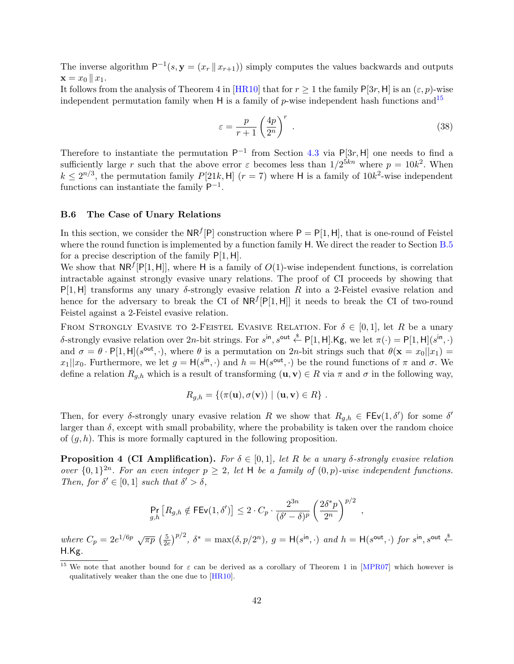The inverse algorithm  $P^{-1}(s, y = (x_r || x_{r+1}))$  simply computes the values backwards and outputs  $\mathbf{x} = x_0 || x_1.$ 

It follows from the analysis of Theorem 4 in [\[HR10\]](#page-26-2) that for  $r \geq 1$  the family  $P[3r, H]$  is an  $(\varepsilon, p)$ -wise independent permutation family when H is a family of p-wise independent hash functions and  $15$ 

$$
\varepsilon = \frac{p}{r+1} \left(\frac{4p}{2^n}\right)^r \tag{38}
$$

,

Therefore to instantiate the permutation  $P^{-1}$  from Section [4.3](#page-19-0) via P[3r, H] one needs to find a sufficiently large r such that the above error  $\varepsilon$  becomes less than  $1/2^{5kn}$  where  $p = 10k^2$ . When  $k \leq 2^{n/3}$ , the permutation family  $P[21k, H]$  ( $r = 7$ ) where H is a family of 10k<sup>2</sup>-wise independent functions can instantiate the family  $P^{-1}$ .

#### <span id="page-41-0"></span>B.6 The Case of Unary Relations

In this section, we consider the  $NR^{f}[P]$  construction where  $P = P[1, H]$ , that is one-round of Feistel where the round function is implemented by a function family H. We direct the reader to Section [B.5](#page-40-0) for a precise description of the family  $P[1, H]$ .

We show that  $NR^{f}[P[1, H]]$ , where H is a family of  $O(1)$ -wise independent functions, is correlation intractable against strongly evasive unary relations. The proof of CI proceeds by showing that P[1, H] transforms any unary  $\delta$ -strongly evasive relation R into a 2-Feistel evasive relation and hence for the adversary to break the CI of  $NR^{f}[P[1, H]]$  it needs to break the CI of two-round Feistel against a 2-Feistel evasive relation.

FROM STRONGLY EVASIVE TO 2-FEISTEL EVASIVE RELATION. For  $\delta \in [0,1]$ , let R be a unary δ-strongly evasive relation over 2n-bit strings. For  $s^{\text{in}}$ ,  $s^{\text{out}} \overset{\$}{\leftarrow} P[1, H]$ . Kg, we let  $\pi(\cdot) = P[1, H](s^{\text{in}}, \cdot)$ and  $\sigma = \theta \cdot P[1, H](s^{\text{out}}, \cdot)$ , where  $\theta$  is a permutation on 2*n*-bit strings such that  $\theta(\mathbf{x} = x_0||x_1)$  $x_1||x_0$ . Furthermore, we let  $g = H(s^{in}, \cdot)$  and  $h = H(s^{out}, \cdot)$  be the round functions of  $\pi$  and  $\sigma$ . We define a relation  $R_{a,h}$  which is a result of transforming  $(\mathbf{u}, \mathbf{v}) \in R$  via  $\pi$  and  $\sigma$  in the following way,

$$
R_{g,h} = \{ (\pi(\mathbf{u}), \sigma(\mathbf{v})) \mid (\mathbf{u}, \mathbf{v}) \in R \} .
$$

Then, for every  $\delta$ -strongly unary evasive relation R we show that  $R_{g,h} \in \mathsf{FEv}(1,\delta')$  for some  $\delta'$ larger than  $\delta$ , except with small probability, where the probability is taken over the random choice of  $(q, h)$ . This is more formally captured in the following proposition.

<span id="page-41-2"></span>**Proposition 4 (CI Amplification).** For  $\delta \in [0,1]$ , let R be a unary  $\delta$ -strongly evasive relation over  $\{0,1\}^{2n}$ . For an even integer  $p \geq 2$ , let H be a family of  $(0,p)$ -wise independent functions. Then, for  $\delta' \in [0,1]$  such that  $\delta' > \delta$ ,

$$
\Pr_{g,h}\left[R_{g,h} \notin \mathsf{FEv}(1,\delta')\right] \leq 2 \cdot C_p \cdot \frac{2^{3n}}{(\delta'-\delta)^p} \left(\frac{2\delta^*p}{2^n}\right)^{p/2}
$$

where  $C_p = 2e^{1/6p} \sqrt{\pi p} \left(\frac{5}{2e}\right)$  $\frac{5}{2e}$ )<sup>p/2</sup>,  $\delta^* = \max(\delta, p/2^n)$ ,  $g = H(s^{\text{in}}, \cdot)$  and  $h = H(s^{\text{out}}, \cdot)$  for  $s^{\text{in}}, s^{\text{out}} \overset{\$}{\leftarrow}$ H.Kg.

<span id="page-41-1"></span><sup>&</sup>lt;sup>15</sup> We note that another bound for  $\varepsilon$  can be derived as a corollary of Theorem 1 in [\[MPR07\]](#page-26-18) which however is qualitatively weaker than the one due to [\[HR10\]](#page-26-2).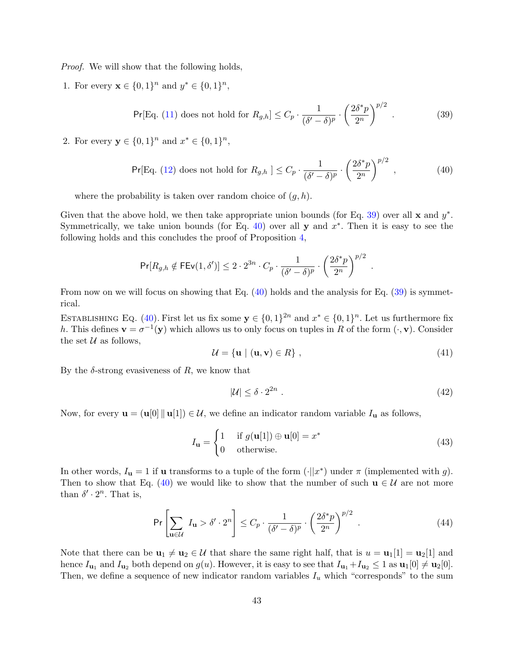Proof. We will show that the following holds,

1. For every  $\mathbf{x} \in \{0,1\}^n$  and  $y^* \in \{0,1\}^n$ ,

<span id="page-42-0"></span>
$$
\Pr[\text{Eq. (11) does not hold for } R_{g,h}] \le C_p \cdot \frac{1}{(\delta' - \delta)^p} \cdot \left(\frac{2\delta^* p}{2^n}\right)^{p/2} \,. \tag{39}
$$

2. For every  $y \in \{0,1\}^n$  and  $x^* \in \{0,1\}^n$ ,

<span id="page-42-1"></span>
$$
\Pr[\text{Eq. (12) does not hold for } R_{g,h} \le C_p \cdot \frac{1}{(\delta' - \delta)^p} \cdot \left(\frac{2\delta^* p}{2^n}\right)^{p/2},\tag{40}
$$

where the probability is taken over random choice of  $(g, h)$ .

Given that the above hold, we then take appropriate union bounds (for Eq. [39\)](#page-42-0) over all  $\bf{x}$  and  $y^*$ . Symmetrically, we take union bounds (for Eq. [40\)](#page-42-1) over all **y** and  $x^*$ . Then it is easy to see the following holds and this concludes the proof of Proposition [4,](#page-41-2)

$$
\Pr[R_{g,h} \notin \mathsf{FEv}(1,\delta')] \leq 2 \cdot 2^{3n} \cdot C_p \cdot \frac{1}{(\delta'-\delta)^p} \cdot \left(\frac{2\delta^* p}{2^n}\right)^{p/2}.
$$

From now on we will focus on showing that Eq.  $(40)$  holds and the analysis for Eq.  $(39)$  is symmetrical.

ESTABLISHING EQ. [\(40\)](#page-42-1). First let us fix some  $y \in \{0,1\}^{2n}$  and  $x^* \in \{0,1\}^n$ . Let us furthermore fix h. This defines  $\mathbf{v} = \sigma^{-1}(\mathbf{y})$  which allows us to only focus on tuples in R of the form  $(\cdot, \mathbf{v})$ . Consider the set  $U$  as follows,

$$
\mathcal{U} = \{ \mathbf{u} \mid (\mathbf{u}, \mathbf{v}) \in R \},\tag{41}
$$

By the  $\delta$ -strong evasiveness of R, we know that

$$
|\mathcal{U}| \le \delta \cdot 2^{2n} \tag{42}
$$

Now, for every  $\mathbf{u} = (\mathbf{u}[0] \|\mathbf{u}[1]) \in \mathcal{U}$ , we define an indicator random variable  $I_{\mathbf{u}}$  as follows,

$$
I_{\mathbf{u}} = \begin{cases} 1 & \text{if } g(\mathbf{u}[1]) \oplus \mathbf{u}[0] = x^* \\ 0 & \text{otherwise.} \end{cases}
$$
(43)

In other words,  $I_{\mathbf{u}} = 1$  if  $\mathbf{u}$  transforms to a tuple of the form  $(\cdot || x^*)$  under  $\pi$  (implemented with g). Then to show that Eq. [\(40\)](#page-42-1) we would like to show that the number of such  $u \in U$  are not more than  $\delta' \cdot 2^n$ . That is,

<span id="page-42-2"></span>
$$
\Pr\left[\sum_{\mathbf{u}\in\mathcal{U}}I_{\mathbf{u}} > \delta' \cdot 2^{n}\right] \leq C_{p} \cdot \frac{1}{(\delta' - \delta)^{p}} \cdot \left(\frac{2\delta^{*}p}{2^{n}}\right)^{p/2} . \tag{44}
$$

Note that there can be  $\mathbf{u}_1 \neq \mathbf{u}_2 \in \mathcal{U}$  that share the same right half, that is  $u = \mathbf{u}_1[1] = \mathbf{u}_2[1]$  and hence  $I_{\mathbf{u}_1}$  and  $I_{\mathbf{u}_2}$  both depend on  $g(u)$ . However, it is easy to see that  $I_{\mathbf{u}_1} + I_{\mathbf{u}_2} \leq 1$  as  $\mathbf{u}_1[0] \neq \mathbf{u}_2[0]$ . Then, we define a sequence of new indicator random variables  $I_u$  which "corresponds" to the sum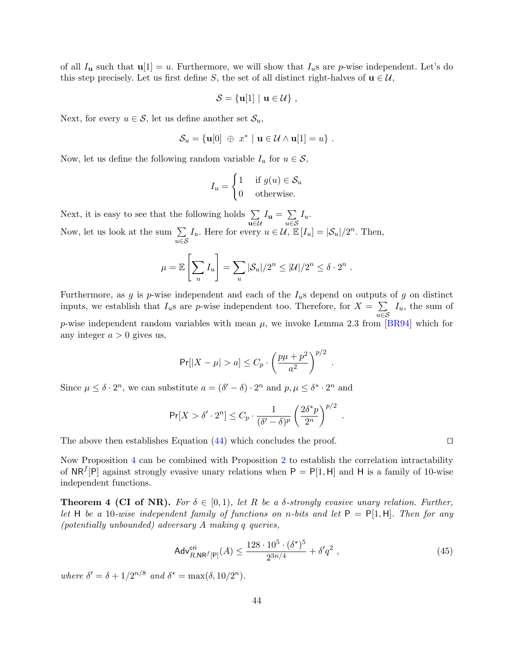of all  $I_{\mathbf{u}}$  such that  $\mathbf{u}[1] = u$ . Furthermore, we will show that  $I_{u}$ s are p-wise independent. Let's do this step precisely. Let us first define S, the set of all distinct right-halves of  $u \in \mathcal{U}$ ,

$$
\mathcal{S} = {\mathbf{u}[1] \mid \mathbf{u} \in \mathcal{U}} \},
$$

Next, for every  $u \in \mathcal{S}$ , let us define another set  $\mathcal{S}_u$ ,

$$
\mathcal{S}_u = \{ \mathbf{u}[0] \ \oplus \ x^* \mid \mathbf{u} \in \mathcal{U} \wedge \mathbf{u}[1] = u \} .
$$

Now, let us define the following random variable  $I_u$  for  $u \in \mathcal{S}$ ,

$$
I_u = \begin{cases} 1 & \text{if } g(u) \in \mathcal{S}_u \\ 0 & \text{otherwise.} \end{cases}
$$

Next, it is easy to see that the following holds  $\Sigma$ u∈U  $I_{\bf u} = \sum$ u∈S  $I_u$ . Now, let us look at the sum  $\Sigma$ u∈S  $I_u$ . Here for every  $u \in \mathcal{U}$ ,  $\mathbb{E}[I_u] = |\mathcal{S}_u|/2^n$ . Then,

$$
\mu = \mathbb{E}\left[\sum_{u} I_u\right] = \sum_{u} |\mathcal{S}_u|/2^n \leq |\mathcal{U}|/2^n \leq \delta \cdot 2^n.
$$

Furthermore, as g is p-wise independent and each of the  $I<sub>u</sub>$ s depend on outputs of g on distinct inputs, we establish that  $I_{u}$ s are p-wise independent too. Therefore, for  $X = \sum$ u∈S  $I_u$ , the sum of p-wise independent random variables with mean  $\mu$ , we invoke Lemma 2.3 from [\[BR94\]](#page-25-17) which for any integer  $a > 0$  gives us,

$$
Pr[|X - \mu| > a] \le C_p \cdot \left(\frac{p\mu + p^2}{a^2}\right)^{p/2}.
$$

Since  $\mu \leq \delta \cdot 2^n$ , we can substitute  $a = (\delta' - \delta) \cdot 2^n$  and  $p, \mu \leq \delta^* \cdot 2^n$  and

$$
\Pr[X > \delta' \cdot 2^n] \le C_p \cdot \frac{1}{(\delta' - \delta)^p} \left(\frac{2\delta^* p}{2^n}\right)^{p/2}
$$

The above then establishes Equation  $(44)$  which concludes the proof.  $\Box$ 

Now Proposition [4](#page-41-2) can be combined with Proposition [2](#page-19-1) to establish the correlation intractability of NR<sup>f</sup>  $[P]$  against strongly evasive unary relations when  $P = P[1, H]$  and H is a family of 10-wise independent functions.

**Theorem 4 (CI of NR).** For  $\delta \in [0,1)$ , let R be a  $\delta$ -strongly evasive unary relation. Further, let H be a 10-wise independent family of functions on n-bits and let  $P = P[1, H]$ . Then for any (potentially unbounded) adversary A making q queries,

<span id="page-43-0"></span>
$$
\mathsf{Adv}_{R,\mathsf{NR}^f[\mathsf{P}]}^{\mathsf{cri}}(A) \le \frac{128 \cdot 10^5 \cdot (\delta^*)^5}{2^{3n/4}} + \delta' q^2 ,\qquad(45)
$$

.

where  $\delta' = \delta + 1/2^{n/8}$  and  $\delta^* = \max(\delta, 10/2^n)$ .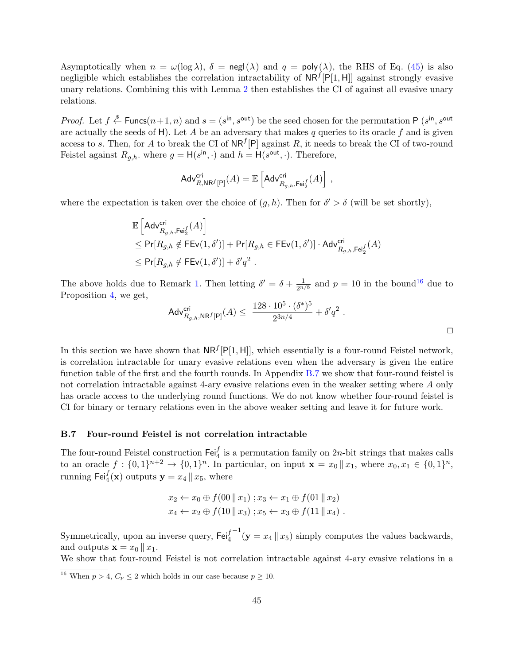Asymptotically when  $n = \omega(\log \lambda)$ ,  $\delta = \text{negl}(\lambda)$  and  $q = \text{poly}(\lambda)$ , the RHS of Eq. [\(45\)](#page-43-0) is also negligible which establishes the correlation intractability of  $NR^{f}[P[1,H]]$  against strongly evasive unary relations. Combining this with Lemma [2](#page-17-1) then establishes the CI of against all evasive unary relations.

*Proof.* Let  $f \stackrel{\$}{\leftarrow}$  Funcs $(n+1, n)$  and  $s = (s^{\text{in}}, s^{\text{out}})$  be the seed chosen for the permutation P  $(s^{\text{in}}, s^{\text{out}})$ are actually the seeds of H). Let A be an adversary that makes q queries to its oracle f and is given access to s. Then, for A to break the CI of  $NR^f[P]$  against R, it needs to break the CI of two-round Feistel against  $R_{g,h}$ . where  $g = H(s^{\text{in}},.)$  and  $h = H(s^{\text{out}},.)$ . Therefore,

$$
\mathsf{Adv}_{R,\mathsf{NR}^f[\mathsf{P}]}^{\mathsf{cri}}(A) = \mathbb{E} \left[ \mathsf{Adv}_{R_{g,h},\mathsf{Fei}_2^f}^{\mathsf{cri}}(A) \right] \,,
$$

where the expectation is taken over the choice of  $(g, h)$ . Then for  $\delta' > \delta$  (will be set shortly),

$$
\label{eq:estim} \begin{aligned} &\mathbb{E}\left[\mathsf{Adv}_{R_{g,h},\mathsf{Fei}_2^f}^{\mathsf{cri}}(A)\right] \\ &\leq \mathsf{Pr}[R_{g,h} \notin \mathsf{FEv}(1,\delta')]+\mathsf{Pr}[R_{g,h} \in \mathsf{FEv}(1,\delta')]\cdot \mathsf{Adv}_{R_{g,h},\mathsf{Fei}_2^f}^{\mathsf{cri}}(A) \\ &\leq \mathsf{Pr}[R_{g,h} \notin \mathsf{FEv}(1,\delta')]+\delta'q^2 \ . \end{aligned}
$$

The above holds due to Remark [1.](#page-19-4) Then letting  $\delta' = \delta + \frac{1}{2n}$  $\frac{1}{2^{n/8}}$  and  $p = 10$  in the bound<sup>[16](#page-44-0)</sup> due to Proposition [4,](#page-41-2) we get,

$$
\mathsf{Adv}_{R_{g,h},\mathsf{NR}^f[\mathsf{P}]}^{\mathsf{cri}}(A) \leq \frac{128 \cdot 10^5 \cdot (\delta^*)^5}{2^{3n/4}} + \delta' q^2.
$$

In this section we have shown that  $NR^{f}[P[1, H]]$ , which essentially is a four-round Feistel network, is correlation intractable for unary evasive relations even when the adversary is given the entire function table of the first and the fourth rounds. In Appendix [B.7](#page-44-1) we show that four-round feistel is not correlation intractable against 4-ary evasive relations even in the weaker setting where A only has oracle access to the underlying round functions. We do not know whether four-round feistel is CI for binary or ternary relations even in the above weaker setting and leave it for future work.

# <span id="page-44-1"></span>B.7 Four-round Feistel is not correlation intractable

The four-round Feistel construction  $\text{Fei}_{4}^{f}$  is a permutation family on 2n-bit strings that makes calls to an oracle  $f: \{0,1\}^{n+2} \to \{0,1\}^n$ . In particular, on input  $\mathbf{x} = x_0 \, \| \, x_1$ , where  $x_0, x_1 \in \{0,1\}^n$ , running  $\operatorname{\sf Fei}^f_4(\mathbf{x})$  outputs  $\mathbf{y} = x_4 \, \| \, x_5$ , where

$$
x_2 \leftarrow x_0 \oplus f(00 \parallel x_1); x_3 \leftarrow x_1 \oplus f(01 \parallel x_2)
$$
  

$$
x_4 \leftarrow x_2 \oplus f(10 \parallel x_3); x_5 \leftarrow x_3 \oplus f(11 \parallel x_4).
$$

Symmetrically, upon an inverse query,  $\textsf{Fe}_{4}^{if}$  $-\frac{1}{y}$  (y = x<sub>4</sub> || x<sub>5</sub>) simply computes the values backwards, and outputs  $\mathbf{x} = x_0 || x_1$ .

We show that four-round Feistel is not correlation intractable against 4-ary evasive relations in a

<span id="page-44-0"></span><sup>&</sup>lt;sup>16</sup> When  $p > 4$ ,  $C_p \le 2$  which holds in our case because  $p \ge 10$ .